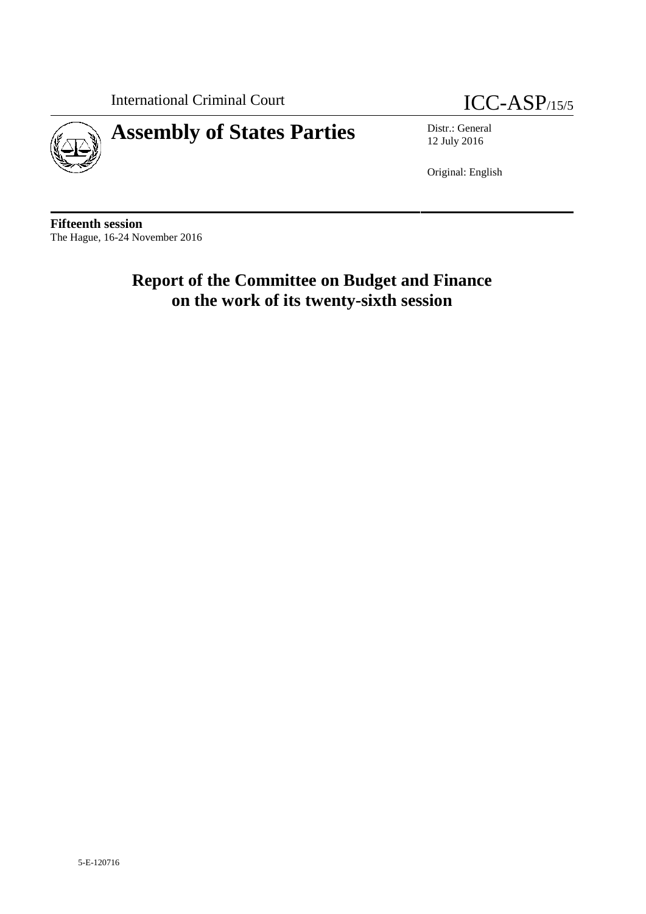International Criminal Court ICC-ASP/15/5



# **Assembly of States Parties** Distr.: General

12 July 2016

Original: English

**Fifteenth session** The Hague, 16-24 November 2016

## **Report of the Committee on Budget and Finance on the work of its twenty-sixth session**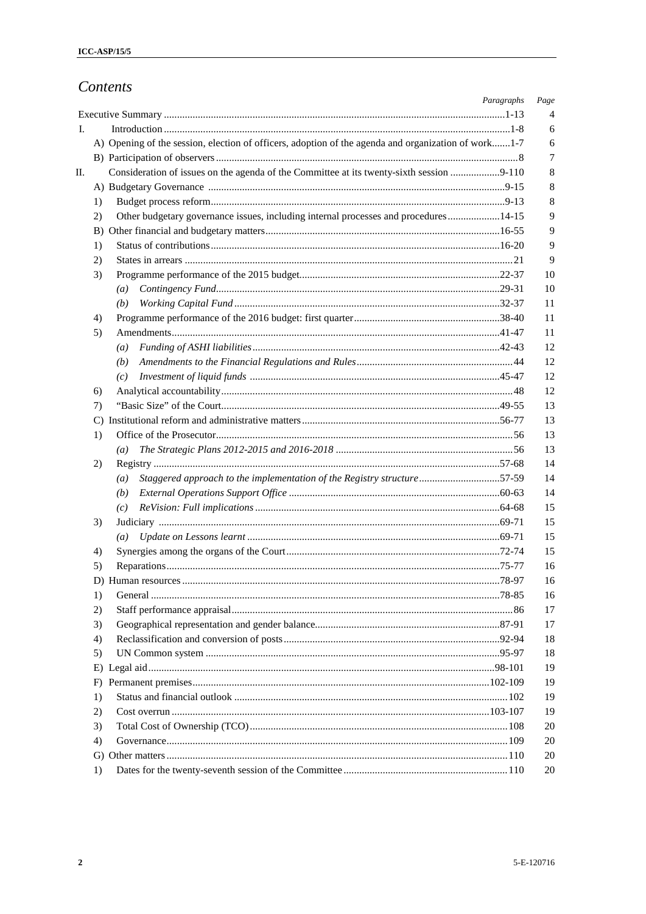## Contents

| 4                                                                                                                                                                                                                                                                                                                                                                 |
|-------------------------------------------------------------------------------------------------------------------------------------------------------------------------------------------------------------------------------------------------------------------------------------------------------------------------------------------------------------------|
| 6                                                                                                                                                                                                                                                                                                                                                                 |
| 6                                                                                                                                                                                                                                                                                                                                                                 |
| 7                                                                                                                                                                                                                                                                                                                                                                 |
| 8                                                                                                                                                                                                                                                                                                                                                                 |
| 8                                                                                                                                                                                                                                                                                                                                                                 |
| 8                                                                                                                                                                                                                                                                                                                                                                 |
| 9                                                                                                                                                                                                                                                                                                                                                                 |
| 9                                                                                                                                                                                                                                                                                                                                                                 |
| 9                                                                                                                                                                                                                                                                                                                                                                 |
| 9                                                                                                                                                                                                                                                                                                                                                                 |
| 10                                                                                                                                                                                                                                                                                                                                                                |
| 10                                                                                                                                                                                                                                                                                                                                                                |
| 11                                                                                                                                                                                                                                                                                                                                                                |
| 11                                                                                                                                                                                                                                                                                                                                                                |
| 11                                                                                                                                                                                                                                                                                                                                                                |
| 12                                                                                                                                                                                                                                                                                                                                                                |
| 12                                                                                                                                                                                                                                                                                                                                                                |
| 12                                                                                                                                                                                                                                                                                                                                                                |
| 12                                                                                                                                                                                                                                                                                                                                                                |
| 13                                                                                                                                                                                                                                                                                                                                                                |
| 13                                                                                                                                                                                                                                                                                                                                                                |
| 13                                                                                                                                                                                                                                                                                                                                                                |
| 13                                                                                                                                                                                                                                                                                                                                                                |
| 14                                                                                                                                                                                                                                                                                                                                                                |
| 14                                                                                                                                                                                                                                                                                                                                                                |
| 14                                                                                                                                                                                                                                                                                                                                                                |
| 15                                                                                                                                                                                                                                                                                                                                                                |
| 15                                                                                                                                                                                                                                                                                                                                                                |
| 15                                                                                                                                                                                                                                                                                                                                                                |
| 15                                                                                                                                                                                                                                                                                                                                                                |
| 16                                                                                                                                                                                                                                                                                                                                                                |
| 16                                                                                                                                                                                                                                                                                                                                                                |
| 16                                                                                                                                                                                                                                                                                                                                                                |
| 17                                                                                                                                                                                                                                                                                                                                                                |
| 17                                                                                                                                                                                                                                                                                                                                                                |
| 18                                                                                                                                                                                                                                                                                                                                                                |
| 18                                                                                                                                                                                                                                                                                                                                                                |
| 19                                                                                                                                                                                                                                                                                                                                                                |
| 19                                                                                                                                                                                                                                                                                                                                                                |
| 19                                                                                                                                                                                                                                                                                                                                                                |
| 19                                                                                                                                                                                                                                                                                                                                                                |
| 20                                                                                                                                                                                                                                                                                                                                                                |
| 20                                                                                                                                                                                                                                                                                                                                                                |
| 20                                                                                                                                                                                                                                                                                                                                                                |
| 20                                                                                                                                                                                                                                                                                                                                                                |
| A) Opening of the session, election of officers, adoption of the agenda and organization of work1-7<br>Consideration of issues on the agenda of the Committee at its twenty-sixth session 9-110<br>Other budgetary governance issues, including internal processes and procedures14-15<br>Staggered approach to the implementation of the Registry structure57-59 |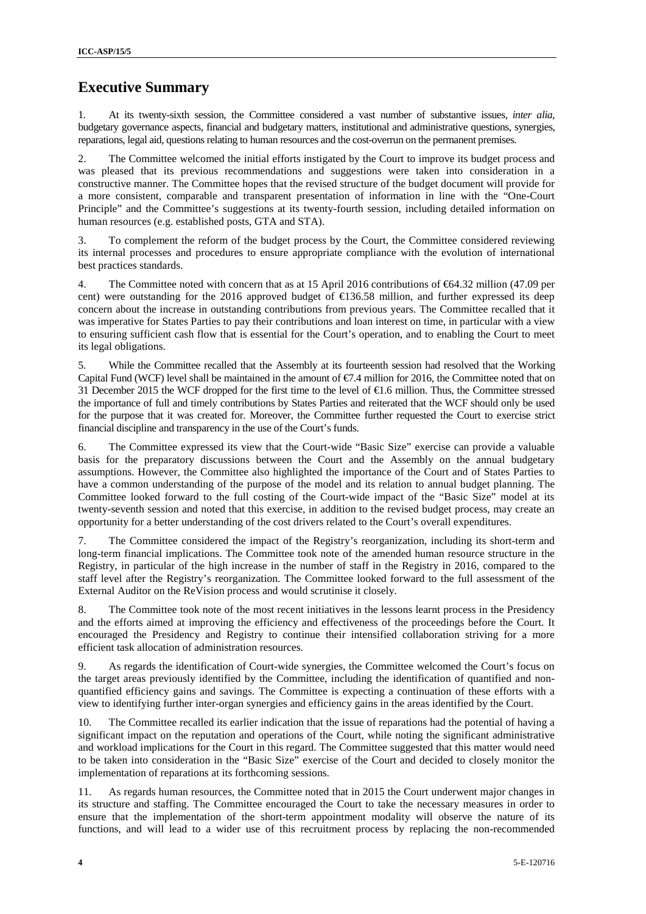## **Executive Summary**

1. At its twenty-sixth session, the Committee considered a vast number of substantive issues, *inter alia*, budgetary governance aspects, financial and budgetary matters, institutional and administrative questions, synergies, reparations, legal aid, questions relating to human resources and the cost-overrun on the permanent premises.

2. The Committee welcomed the initial efforts instigated by the Court to improve its budget process and was pleased that its previous recommendations and suggestions were taken into consideration in a constructive manner. The Committee hopes that the revised structure of the budget document will provide for a more consistent, comparable and transparent presentation of information in line with the "One-Court Principle" and the Committee's suggestions at its twenty-fourth session, including detailed information on human resources (e.g. established posts, GTA and STA).

3. To complement the reform of the budget process by the Court, the Committee considered reviewing its internal processes and procedures to ensure appropriate compliance with the evolution of international best practices standards.

4. The Committee noted with concern that as at 15 April 2016 contributions of €64.32 million (47.09 per cent) were outstanding for the 2016 approved budget of €136.58 million, and further expressed its deep concern about the increase in outstanding contributions from previous years. The Committee recalled that it was imperative for States Parties to pay their contributions and loan interest on time, in particular with a view to ensuring sufficient cash flow that is essential for the Court's operation, and to enabling the Court to meet its legal obligations.

5. While the Committee recalled that the Assembly at its fourteenth session had resolved that the Working Capital Fund (WCF) level shall be maintained in the amount of  $\epsilon$ . 4 million for 2016, the Committee noted that on 31 December 2015 the WCF dropped for the first time to the level of  $\bigoplus$ .6 million. Thus, the Committee stressed the importance of full and timely contributions by States Parties and reiterated that the WCF should only be used for the purpose that it was created for. Moreover, the Committee further requested the Court to exercise strict financial discipline and transparency in the use of the Court's funds.

6. The Committee expressed its view that the Court-wide "Basic Size" exercise can provide a valuable basis for the preparatory discussions between the Court and the Assembly on the annual budgetary assumptions. However, the Committee also highlighted the importance of the Court and of States Parties to have a common understanding of the purpose of the model and its relation to annual budget planning. The Committee looked forward to the full costing of the Court-wide impact of the "Basic Size" model at its twenty-seventh session and noted that this exercise, in addition to the revised budget process, may create an opportunity for a better understanding of the cost drivers related to the Court's overall expenditures.

7. The Committee considered the impact of the Registry's reorganization, including its short-term and long-term financial implications. The Committee took note of the amended human resource structure in the Registry, in particular of the high increase in the number of staff in the Registry in 2016, compared to the staff level after the Registry's reorganization. The Committee looked forward to the full assessment of the External Auditor on the ReVision process and would scrutinise it closely.

8. The Committee took note of the most recent initiatives in the lessons learnt process in the Presidency and the efforts aimed at improving the efficiency and effectiveness of the proceedings before the Court. It encouraged the Presidency and Registry to continue their intensified collaboration striving for a more efficient task allocation of administration resources.

9. As regards the identification of Court-wide synergies, the Committee welcomed the Court's focus on the target areas previously identified by the Committee, including the identification of quantified and non quantified efficiency gains and savings. The Committee is expecting a continuation of these efforts with a view to identifying further inter-organ synergies and efficiency gains in the areas identified by the Court.

The Committee recalled its earlier indication that the issue of reparations had the potential of having a significant impact on the reputation and operations of the Court, while noting the significant administrative and workload implications for the Court in this regard. The Committee suggested that this matter would need to be taken into consideration in the "Basic Size" exercise of the Court and decided to closely monitor the implementation of reparations at its forthcoming sessions.

11. As regards human resources, the Committee noted that in 2015 the Court underwent major changes in its structure and staffing. The Committee encouraged the Court to take the necessary measures in order to ensure that the implementation of the short-term appointment modality will observe the nature of its functions, and will lead to a wider use of this recruitment process by replacing the non-recommended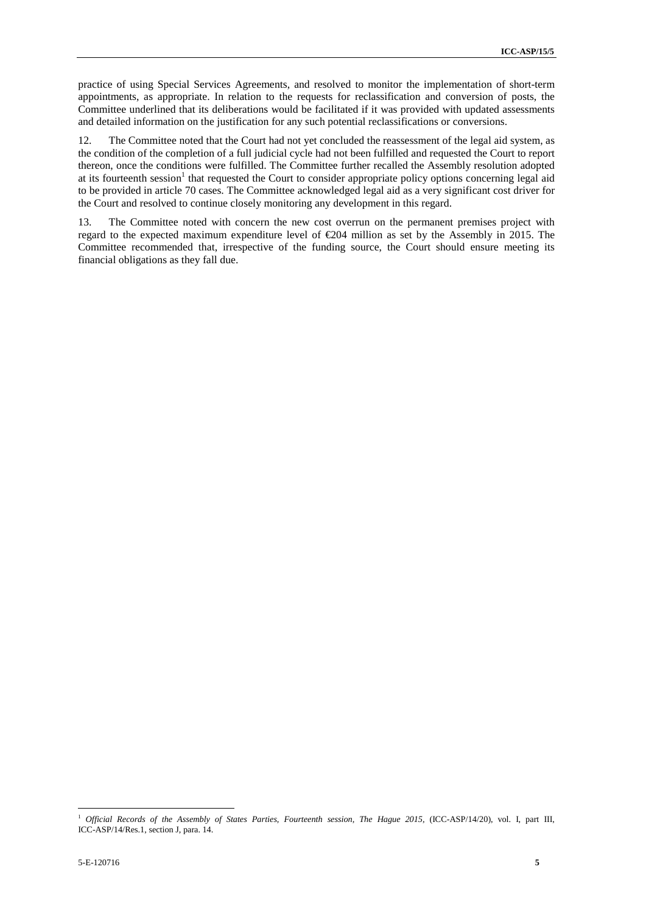practice of using Special Services Agreements, and resolved to monitor the implementation of short-term appointments, as appropriate. In relation to the requests for reclassification and conversion of posts, the Committee underlined that its deliberations would be facilitated if it was provided with updated assessments and detailed information on the justification for any such potential reclassifications or conversions.

12. The Committee noted that the Court had not yet concluded the reassessment of the legal aid system, as the condition of the completion of a full judicial cycle had not been fulfilled and requested the Court to report thereon, once the conditions were fulfilled. The Committee further recalled the Assembly resolution adopted at its fourteenth session<sup>1</sup> that requested the Court to consider appropriate policy options concerning legal aid to be provided in article 70 cases. The Committee acknowledged legal aid as a very significant cost driver for the Court and resolved to continue closely monitoring any development in this regard.

13. The Committee noted with concern the new cost overrun on the permanent premises project with regard to the expected maximum expenditure level of €204 million as set by the Assembly in 2015. The Committee recommended that, irrespective of the funding source, the Court should ensure meeting its financial obligations as they fall due.

<sup>1</sup> *Official Records of the Assembly of States Parties, Fourteenth session, The Hague 2015,* (ICC-ASP/14/20), vol. I, part III, ICC-ASP/14/Res.1, section J, para. 14.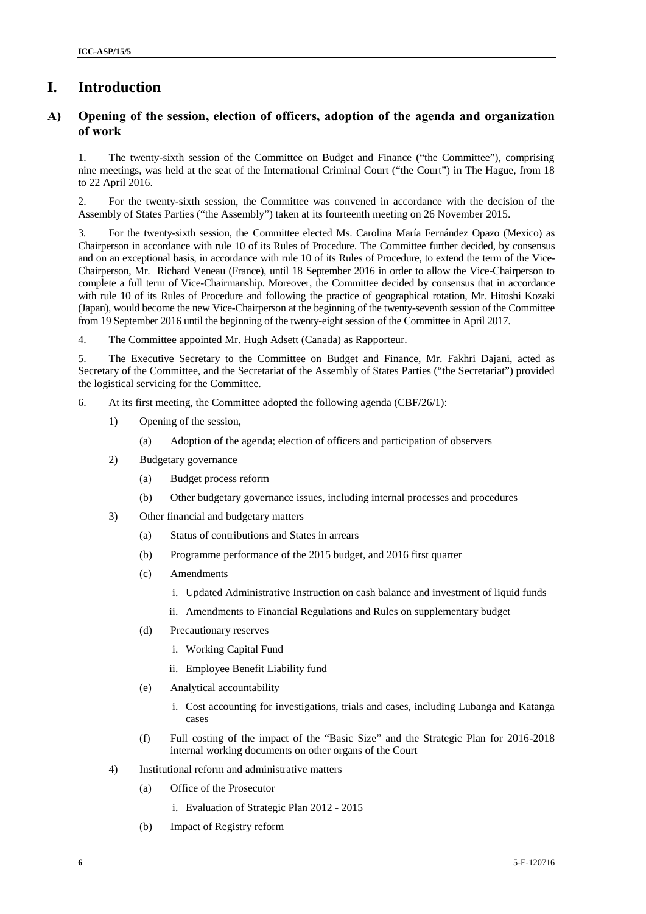## **I. Introduction**

### **A) Opening of the session, election of officers, adoption of the agenda and organization of work**

1. The twenty-sixth session of the Committee on Budget and Finance ("the Committee"), comprising nine meetings, was held at the seat of the International Criminal Court ("the Court") in The Hague, from 18 to 22 April 2016.

2. For the twenty-sixth session, the Committee was convened in accordance with the decision of the Assembly of States Parties ("the Assembly") taken at its fourteenth meeting on 26 November 2015.

3. For the twenty-sixth session, the Committee elected Ms.Carolina María Fernández Opazo (Mexico) as Chairperson in accordance with rule 10 of its Rules of Procedure. The Committee further decided, by consensus and on an exceptional basis, in accordance with rule 10 of its Rules of Procedure, to extend the term of the Vice- Chairperson, Mr. Richard Veneau (France), until 18 September 2016 in order to allow the Vice-Chairperson to complete a full term of Vice-Chairmanship. Moreover, the Committee decided by consensus that in accordance with rule 10 of its Rules of Procedure and following the practice of geographical rotation, Mr. Hitoshi Kozaki (Japan), would become the new Vice-Chairperson at the beginning of the twenty-seventh session of the Committee from 19 September 2016 until the beginning of the twenty-eight session of the Committee in April 2017.

4. The Committee appointed Mr. Hugh Adsett (Canada) as Rapporteur.

5. The Executive Secretary to the Committee on Budget and Finance, Mr. Fakhri Dajani, acted as Secretary of the Committee, and the Secretariat of the Assembly of States Parties ("the Secretariat") provided the logistical servicing for the Committee.

- 6. At its first meeting, the Committee adopted the following agenda (CBF/26/1):
	- 1) Opening of the session,
		- (a) Adoption of the agenda; election of officers and participation of observers
	- 2) Budgetary governance
		- (a) Budget process reform
		- (b) Other budgetary governance issues, including internal processes and procedures
	- 3) Other financial and budgetary matters
		- (a) Status of contributions and States in arrears
		- (b) Programme performance of the 2015 budget, and 2016 first quarter
		- (c) Amendments
			- i. Updated Administrative Instruction on cash balance and investment of liquid funds
			- ii. Amendments to Financial Regulations and Rules on supplementary budget
		- (d) Precautionary reserves
			- i. Working Capital Fund
			- ii. Employee Benefit Liability fund
		- (e) Analytical accountability
			- i. Cost accounting for investigations, trials and cases, including Lubanga and Katanga cases
		- (f) Full costing of the impact of the "Basic Size" and the Strategic Plan for 2016-2018 internal working documents on other organs of the Court
	- 4) Institutional reform and administrative matters
		- (a) Office of the Prosecutor
			- i. Evaluation of Strategic Plan 2012 2015
		- (b) Impact of Registry reform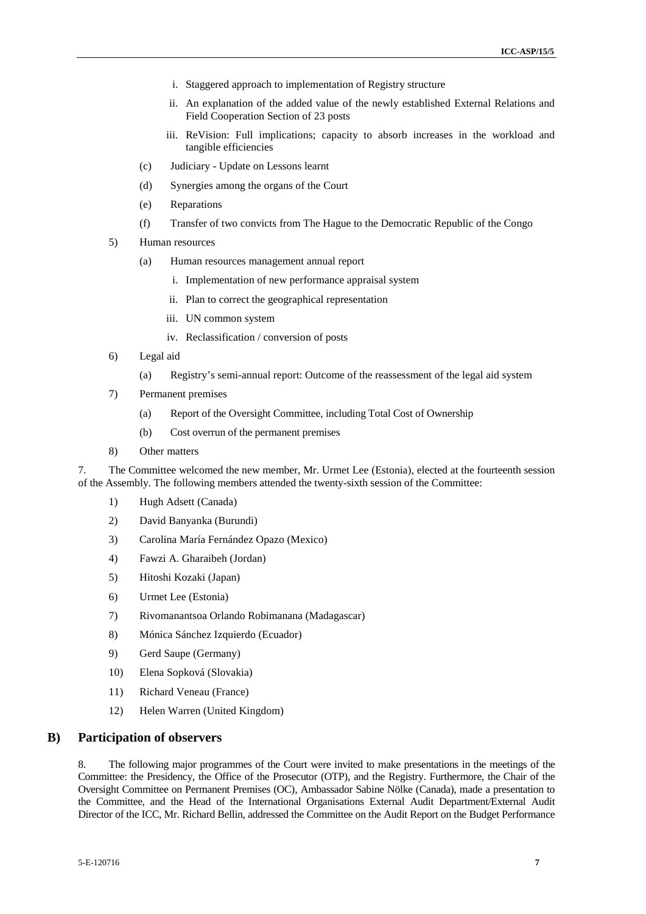- i. Staggered approach to implementation of Registry structure
- ii. An explanation of the added value of the newly established External Relations and Field Cooperation Section of 23 posts
- iii. ReVision: Full implications; capacity to absorb increases in the workload and tangible efficiencies
- (c) Judiciary Update on Lessons learnt
- (d) Synergies among the organs of the Court
- (e) Reparations
- (f) Transfer of two convicts from The Hague to the Democratic Republic of the Congo
- 5) Human resources
	- (a) Human resources management annual report
		- i. Implementation of new performance appraisal system
		- ii. Plan to correct the geographical representation
		- iii. UN common system
		- iv. Reclassification / conversion of posts
- 6) Legal aid
	- (a) Registry's semi-annual report: Outcome of the reassessment of the legal aid system
- 7) Permanent premises
	- (a) Report of the Oversight Committee, including Total Cost of Ownership
	- (b) Cost overrun of the permanent premises
- 8) Other matters

7. The Committee welcomed the new member, Mr. Urmet Lee (Estonia), elected at the fourteenth session of the Assembly. The following members attended the twenty-sixth session of the Committee:

- 1) Hugh Adsett (Canada)
- 2) David Banyanka (Burundi)
- 3) Carolina María Fernández Opazo (Mexico)
- 4) Fawzi A. Gharaibeh (Jordan)
- 5) Hitoshi Kozaki (Japan)
- 6) Urmet Lee (Estonia)
- 7) Rivomanantsoa Orlando Robimanana (Madagascar)
- 8) Mónica Sánchez Izquierdo (Ecuador)
- 9) Gerd Saupe (Germany)
- 10) Elena Sopková (Slovakia)
- 11) Richard Veneau (France)
- 12) Helen Warren (United Kingdom)

### **B) Participation of observers**

8. The following major programmes of the Court were invited to make presentations in the meetings of the Committee: the Presidency, the Office of the Prosecutor (OTP), and the Registry. Furthermore, the Chair of the Oversight Committee on Permanent Premises (OC), Ambassador Sabine Nölke (Canada), made a presentation to the Committee, and the Head of the International Organisations External Audit Department/External Audit Director of the ICC, Mr. Richard Bellin, addressed the Committee on the Audit Report on the Budget Performance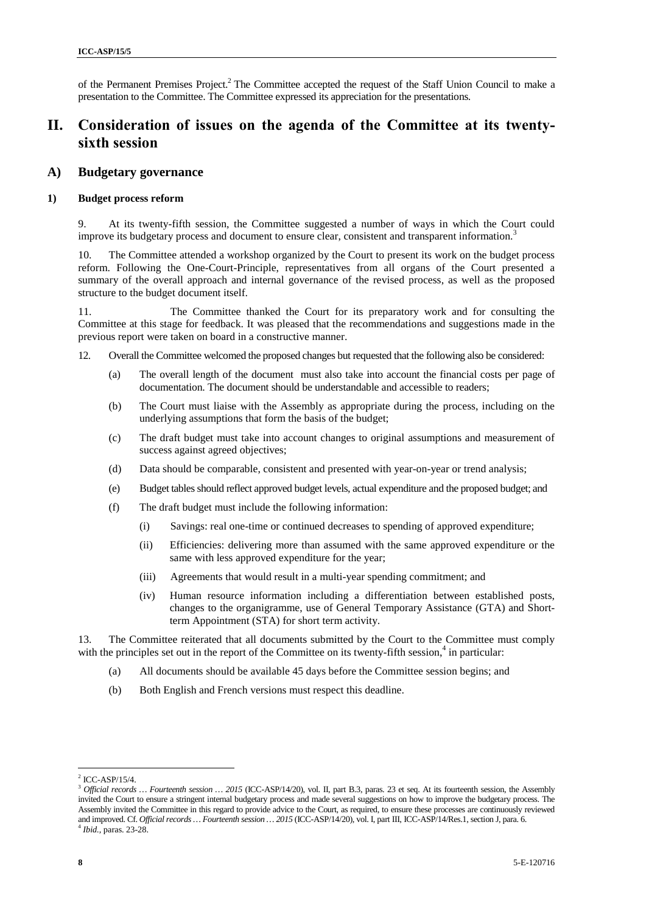of the Permanent Premises Project.<sup>2</sup> The Committee accepted the request of the Staff Union Council to make a presentation to the Committee. The Committee expressed its appreciation for the presentations.

## **II. Consideration of issues on the agenda of the Committee at its twenty sixth session**

### **A) Budgetary governance**

#### **1) Budget process reform**

9. At its twenty-fifth session, the Committee suggested a number of ways in which the Court could improve its budgetary process and document to ensure clear, consistent and transparent information.<sup>3</sup>

10. The Committee attended a workshop organized by the Court to present its work on the budget process reform. Following the One-Court-Principle, representatives from all organs of the Court presented a summary of the overall approach and internal governance of the revised process, as well as the proposed structure to the budget document itself.

11. The Committee thanked the Court for its preparatory work and for consulting the Committee at this stage for feedback. It was pleased that the recommendations and suggestions made in the previous report were taken on board in a constructive manner.

- 12. Overall the Committee welcomed the proposed changes but requested that the following also be considered:
	- (a) The overall length of the document must also take into account the financial costs per page of documentation. The document should be understandable and accessible to readers;
	- (b) The Court must liaise with the Assembly as appropriate during the process, including on the underlying assumptions that form the basis of the budget;
	- (c) The draft budget must take into account changes to original assumptions and measurement of success against agreed objectives;
	- (d) Data should be comparable, consistent and presented with year-on-year or trend analysis;
	- (e) Budget tables should reflect approved budget levels, actual expenditure and the proposed budget; and
	- (f) The draft budget must include the following information:
		- (i) Savings: real one-time or continued decreases to spending of approved expenditure;
		- (ii) Efficiencies: delivering more than assumed with the same approved expenditure or the same with less approved expenditure for the year;
		- (iii) Agreements that would result in a multi-year spending commitment; and
		- (iv) Human resource information including a differentiation between established posts, changes to the organigramme, use of General Temporary Assistance (GTA) and Shortterm Appointment (STA) for short term activity.

13. The Committee reiterated that all documents submitted by the Court to the Committee must comply with the principles set out in the report of the Committee on its twenty-fifth session,<sup>4</sup> in particular:

- (a) All documents should be available 45 days before the Committee session begins; and
- (b) Both English and French versions must respect this deadline.

 $2$  ICC-ASP/15/4.

<sup>&</sup>lt;sup>3</sup> Official records ... Fourteenth session ... 2015 (ICC-ASP/14/20), vol. II, part B.3, paras. 23 et seq. At its fourteenth session, the Assembly invited the Court to ensure a stringent internal budgetary process and made several suggestions on how to improve the budgetary process. The Assembly invited the Committee in this regard to provide advice to the Court, as required, to ensure these processes are continuously reviewed and improved. Cf. *Official records … Fourteenth session … 2015* (ICC-ASP/14/20), vol. I, part III, ICC-ASP/14/Res.1, section J, para. 6. <sup>4</sup> *Ibid.,* paras. 23-28.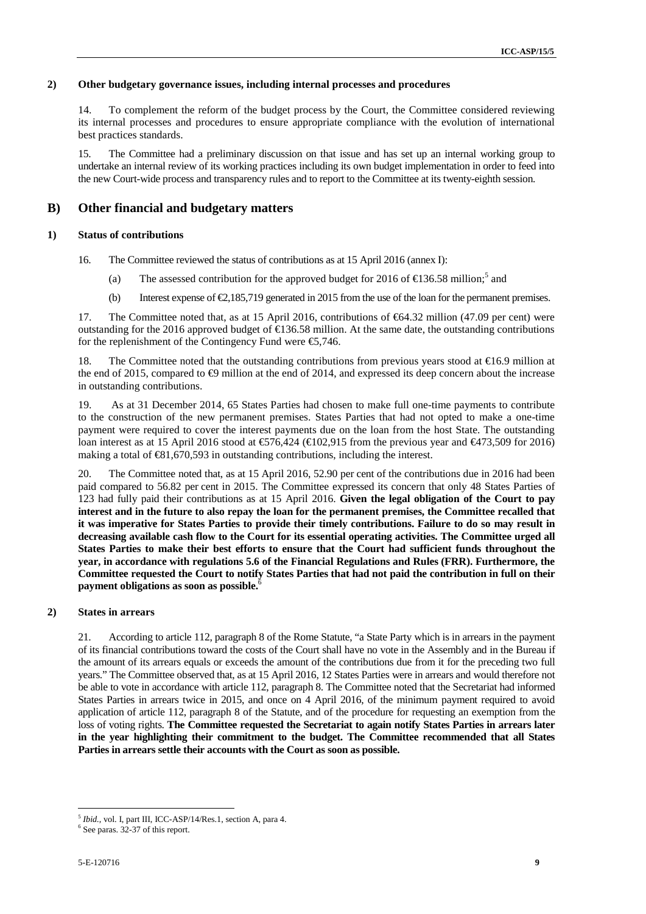#### **2) Other budgetary governance issues, including internal processes and procedures**

14. To complement the reform of the budget process by the Court, the Committee considered reviewing its internal processes and procedures to ensure appropriate compliance with the evolution of international best practices standards.

15. The Committee had a preliminary discussion on that issue and has set up an internal working group to undertake an internal review of its working practices including its own budget implementation in order to feed into the new Court-wide process and transparency rules and to report to the Committee at its twenty-eighth session.

### **B) Other financial and budgetary matters**

#### **1) Status of contributions**

- 16. The Committee reviewed the status of contributions as at 15 April 2016 (annex I):
	- (a) The assessed contribution for the approved budget for 2016 of  $\text{\textsterling}36.58$  million;<sup>5</sup> and
	- (b) Interest expense of  $\epsilon 2,185,719$  generated in 2015 from the use of the loan for the permanent premises.

17. The Committee noted that, as at 15 April 2016, contributions of €64.32 million (47.09 per cent) were outstanding for the 2016 approved budget of  $\text{E}36.58$  million. At the same date, the outstanding contributions for the replenishment of the Contingency Fund were  $\epsilon$ 5,746.

18. The Committee noted that the outstanding contributions from previous years stood at  $\epsilon$ 16.9 million at the end of 2015, compared to  $\Theta$  million at the end of 2014, and expressed its deep concern about the increase in outstanding contributions.

19. As at 31 December 2014, 65 States Parties had chosen to make full one-time payments to contribute to the construction of the new permanent premises. States Parties that had not opted to make a one-time payment were required to cover the interest payments due on the loan from the host State. The outstanding loan interest as at 15 April 2016 stood at €576,424 (€102,915 from the previous year and €473,509 for 2016) making a total of  $\bigoplus$ 1,670,593 in outstanding contributions, including the interest.

20. The Committee noted that, as at 15 April 2016, 52.90 per cent of the contributions due in 2016 had been paid compared to 56.82 per cent in 2015. The Committee expressed its concern that only 48 States Parties of 123 had fully paid their contributions as at 15 April 2016. **Given the legal obligation of the Court to pay interest and in the future to also repay the loan for the permanent premises, the Committee recalled that it was imperative for States Parties to provide their timely contributions. Failure to do so may result in decreasing available cash flow to the Court for its essential operating activities. The Committee urged all States Parties to make their best efforts to ensure that the Court had sufficient funds throughout the year, in accordance with regulations 5.6 of the Financial Regulations and Rules (FRR). Furthermore, the Committee requested the Court to notify States Parties that had not paid the contribution in full on their payment obligations as soon as possible.**<sup>6</sup>

#### **2) States in arrears**

21. According to article 112, paragraph 8 of the Rome Statute, "a State Party which is in arrears in the payment of its financial contributions toward the costs of the Court shall have no vote in the Assembly and in the Bureau if the amount of its arrears equals or exceeds the amount of the contributions due from it for the preceding two full years." The Committee observed that, as at 15 April 2016, 12 States Parties were in arrears and would therefore not be able to vote in accordance with article 112, paragraph 8. The Committee noted that the Secretariat had informed States Parties in arrears twice in 2015, and once on 4 April 2016, of the minimum payment required to avoid application of article 112, paragraph 8 of the Statute, and of the procedure for requesting an exemption from the loss of voting rights. **The Committee requested the Secretariat to again notify States Parties in arrears later in the year highlighting their commitment to the budget. The Committee recommended that all States Parties in arrears settle their accounts with the Court as soon as possible.**

<sup>5</sup> *Ibid.,* vol. I, part III, ICC-ASP/14/Res.1, section A, para 4.

 $6$  See paras. 32-37 of this report.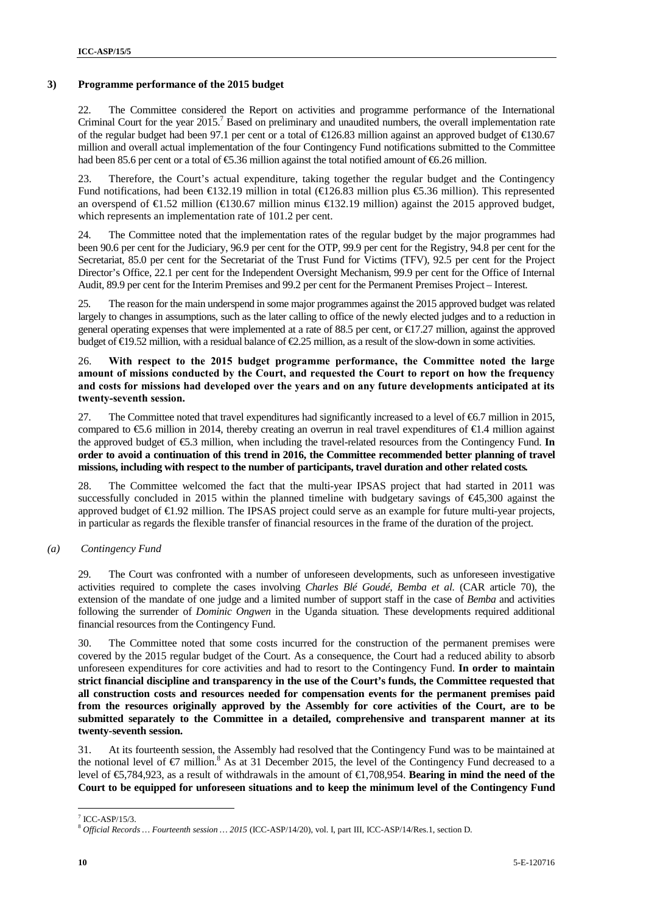#### **3) Programme performance of the 2015 budget**

22. The Committee considered the Report on activities and programme performance of the International Criminal Court for the year 2015.<sup>7</sup> Based on preliminary and unaudited numbers, the overall implementation rate of the regular budget had been 97.1 per cent or a total of €126.83 million against an approved budget of €130.67 million and overall actual implementation of the four Contingency Fund notifications submitted to the Committee had been 85.6 per cent or a total of €5.36 million against the total notified amount of €6.26 million.

23. Therefore, the Court's actual expenditure, taking together the regular budget and the Contingency Fund notifications, had been  $\in$ 132.19 million in total ( $\in$ 126.83 million plus  $\in$ 5.36 million). This represented an overspend of€1.52 million (€130.67 million minus €132.19 million) against the 2015 approved budget, which represents an implementation rate of 101.2 per cent.

24. The Committee noted that the implementation rates of the regular budget by the major programmes had been 90.6 per cent for the Judiciary, 96.9 per cent for the OTP, 99.9 per cent for the Registry, 94.8 per cent for the Secretariat, 85.0 per cent for the Secretariat of the Trust Fund for Victims (TFV), 92.5 per cent for the Project Director's Office, 22.1 per cent for the Independent Oversight Mechanism, 99.9 per cent for the Office of Internal Audit, 89.9 per cent for the Interim Premises and 99.2 per cent for the Permanent Premises Project – Interest.

25. The reason for the main underspend in some major programmes against the 2015 approved budget was related largely to changes in assumptions, such as the later calling to office of the newly elected judges and to a reduction in general operating expenses that were implemented at a rate of 88.5 per cent, or  $\bigoplus$  7.27 million, against the approved budget of  $E$ 9.52 million, with a residual balance of  $E$ .25 million, as a result of the slow-down in some activities.

26. **With respect to the 2015 budget programme performance, the Committee noted the large amount of missions conducted by the Court, and requested the Court to report on how the frequency and costs for missions had developed over the years and on any future developments anticipated at its twenty-seventh session.**

27. The Committee noted that travel expenditures had significantly increased to a level of  $\epsilon$ 6.7 million in 2015, compared to  $\epsilon$ 5.6 million in 2014, thereby creating an overrun in real travel expenditures of  $\epsilon$ 1.4 million against the approved budget of €5.3 million, when including the travel-related resources from the Contingency Fund. **In order to avoid a continuation of this trend in 2016, the Committee recommended better planning of travel missions, including with respect to the number of participants, travel duration and other related costs.**

28. The Committee welcomed the fact that the multi-year IPSAS project that had started in 2011 was successfully concluded in 2015 within the planned timeline with budgetary savings of €45,300 against the approved budget of €1.92 million. The IPSAS project could serve as an example for future multi-year projects, in particular as regards the flexible transfer of financial resources in the frame of the duration of the project.

*(a) Contingency Fund*

29. The Court was confronted with a number of unforeseen developments, such as unforeseen investigative activities required to complete the cases involving *Charles Blé Goudé, Bemba et al.* (CAR article 70), the extension of the mandate of one judge and a limited number of support staff in the case of *Bemba* and activities following the surrender of *Dominic Ongwen* in the Uganda situation. These developments required additional financial resources from the Contingency Fund.

30. The Committee noted that some costs incurred for the construction of the permanent premises were covered by the 2015 regular budget of the Court. As a consequence, the Court had a reduced ability to absorb unforeseen expenditures for core activities and had to resort to the Contingency Fund. **In order to maintain strict financial discipline and transparency in the use of the Court's funds, the Committee requested that all construction costs and resources needed for compensation events for the permanent premises paid from the resources originally approved by the Assembly for core activities of the Court, are to be submitted separately to the Committee in a detailed, comprehensive and transparent manner at its twenty-seventh session.**

31. At its fourteenth session, the Assembly had resolved that the Contingency Fund was to be maintained at the notional level of  $\epsilon$ 7 million.<sup>8</sup> As at 31 December 2015, the level of the Contingency Fund decreased to a level of €5,784,923, as a result of withdrawals in the amount of €1,708,954. **Bearing in mind the need of the Court to be equipped for unforeseen situations and to keep the minimum level of the Contingency Fund**

 $7$  ICC-ASP/15/3.

<sup>8</sup> *Official Records … Fourteenth session … 2015* (ICC-ASP/14/20), vol. I, part III, ICC-ASP/14/Res.1, section D.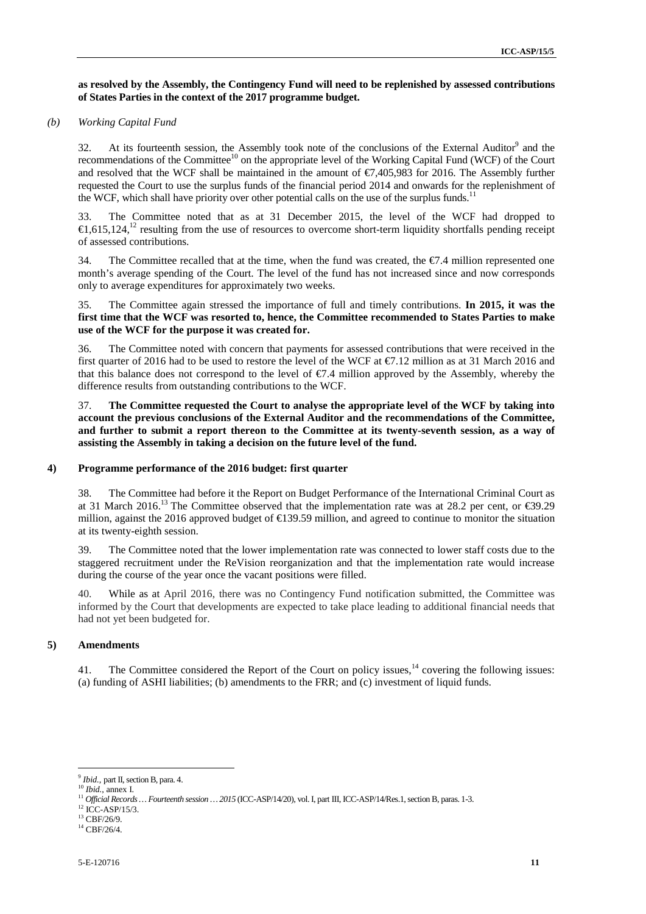#### **as resolved by the Assembly, the Contingency Fund will need to be replenished by assessed contributions of States Parties in the context of the 2017 programme budget.**

#### *(b) Working Capital Fund*

32. At its fourteenth session, the Assembly took note of the conclusions of the External Auditor $9$  and the recommendations of the Committee<sup>10</sup> on the appropriate level of the Working Capital Fund (WCF) of the Court and resolved that the WCF shall be maintained in the amount of  $\epsilon$ 7,405,983 for 2016. The Assembly further requested the Court to use the surplus funds of the financial period 2014 and onwards for the replenishment of the WCF, which shall have priority over other potential calls on the use of the surplus funds.<sup>11</sup>

33. The Committee noted that as at 31 December 2015, the level of the WCF had dropped to  $\in$ 1,615,124,<sup>12</sup> resulting from the use of resources to overcome short-term liquidity shortfalls pending receipt of assessed contributions.

34. The Committee recalled that at the time, when the fund was created, the  $E.4$  million represented one month's average spending of the Court. The level of the fund has not increased since and now corresponds only to average expenditures for approximately two weeks.

35. The Committee again stressed the importance of full and timely contributions. **In 2015, it was the first time that the WCF was resorted to, hence, the Committee recommended to States Parties to make use of the WCF for the purpose it was created for.**

36. The Committee noted with concern that payments for assessed contributions that were received in the first quarter of 2016 had to be used to restore the level of the WCF at  $\epsilon$ 7.12 million as at 31 March 2016 and that this balance does not correspond to the level of  $\epsilon/7.4$  million approved by the Assembly, whereby the difference results from outstanding contributions to the WCF.

37. **The Committee requested the Court to analyse the appropriate level of the WCF by taking into account the previous conclusions of the External Auditor and the recommendations of the Committee, and further to submit a report thereon to the Committee at its twenty-seventh session, as a way of assisting the Assembly in taking a decision on the future level of the fund.**

#### **4) Programme performance of the 2016 budget: first quarter**

38. The Committee had before it the Report on Budget Performance of the International Criminal Court as at 31 March 2016.<sup>13</sup> The Committee observed that the implementation rate was at 28.2 per cent, or  $\epsilon$ 9.29 million, against the 2016 approved budget of €139.59 million, and agreed to continue to monitor the situation at its twenty-eighth session.

39. The Committee noted that the lower implementation rate was connected to lower staff costs due to the staggered recruitment under the ReVision reorganization and that the implementation rate would increase during the course of the year once the vacant positions were filled.

40. While as at April 2016, there was no Contingency Fund notification submitted, the Committee was informed by the Court that developments are expected to take place leading to additional financial needs that had not yet been budgeted for.

#### **5) Amendments**

41. The Committee considered the Report of the Court on policy issues,<sup>14</sup> covering the following issues: (a) funding of ASHI liabilities; (b) amendments to the FRR; and (c) investment of liquid funds.

<sup>9</sup> *Ibid.,* part II, section B, para. 4.

<sup>10</sup> *Ibid.*, annex I.

<sup>&</sup>lt;sup>11</sup> Official Records … Fourteenth session … 2015 (ICC-ASP/14/20), vol. I, part III, ICC-ASP/14/Res.1, section B, paras. 1-3. <sup>12</sup> ICC-ASP/15/3.

<sup>&</sup>lt;sup>13</sup> CBF/26/9.

 $14$  CBF/26/4.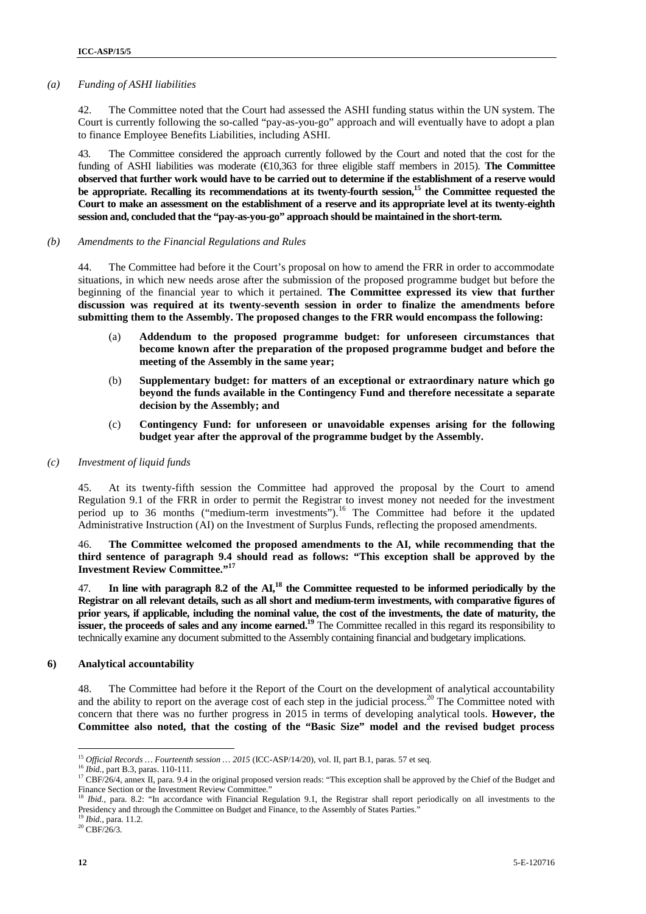#### *(a) Funding of ASHI liabilities*

42. The Committee noted that the Court had assessed the ASHI funding status within the UN system. The Court is currently following the so-called "pay-as-you-go" approach and will eventually have to adopt a plan to finance Employee Benefits Liabilities, including ASHI.

43. The Committee considered the approach currently followed by the Court and noted that the cost for the funding of ASHI liabilities was moderate (€10,363 for three eligible staff members in 2015). **The Committee observed that further work would have to be carried out to determine if the establishment of a reserve would be appropriate. Recalling its recommendations at its twenty-fourth session,<sup>15</sup> the Committee requested the Court to make an assessment on the establishment of a reserve and its appropriate level at its twenty-eighth session and, concluded that the "pay-as-you-go" approach should be maintained in the short-term.**

#### *(b) Amendments to the Financial Regulations and Rules*

44. The Committee had before it the Court's proposal on how to amend the FRR in order to accommodate situations, in which new needs arose after the submission of the proposed programme budget but before the beginning of the financial year to which it pertained. **The Committee expressed its view that further discussion was required at its twenty-seventh session in order to finalize the amendments before submitting them to the Assembly. The proposed changes to the FRR would encompass the following:**

- (a) **Addendum to the proposed programme budget: for unforeseen circumstances that become known after the preparation of the proposed programme budget and before the meeting of the Assembly in the same year;**
- (b) **Supplementary budget: for matters of an exceptional or extraordinary nature which go beyond the funds available in the Contingency Fund and therefore necessitate a separate decision by the Assembly; and**
- (c) **Contingency Fund: for unforeseen or unavoidable expenses arising for the following budget year after the approval of the programme budget by the Assembly.**

#### *(c) Investment of liquid funds*

45. At its twenty-fifth session the Committee had approved the proposal by the Court to amend Regulation 9.1 of the FRR in order to permit the Registrar to invest money not needed for the investment period up to 36 months ("medium-term investments").<sup>16</sup> The Committee had before it the updated Administrative Instruction (AI) on the Investment of Surplus Funds, reflecting the proposed amendments.

46. **The Committee welcomed the proposed amendments to the AI, while recommending that the third sentence of paragraph 9.4 should read as follows: "This exception shall be approved by the Investment Review Committee."<sup>17</sup>**

47. **In line with paragraph 8.2 of the AI,<sup>18</sup> the Committee requested to be informed periodically by the Registrar on all relevant details, such as all short and medium-term investments, with comparative figures of prior years, if applicable, including the nominal value, the cost of the investments, the date of maturity, the issuer, the proceeds of sales and any income earned.<sup>19</sup> The Committee recalled in this regard its responsibility to** technically examine any document submitted to the Assembly containing financial and budgetary implications.

#### **6) Analytical accountability**

48. The Committee had before it the Report of the Court on the development of analytical accountability and the ability to report on the average cost of each step in the judicial process.<sup>20</sup> The Committee noted with concern that there was no further progress in 2015 in terms of developing analytical tools. **However, the Committee also noted, that the costing of the "Basic Size" model and the revised budget process**

<sup>&</sup>lt;sup>15</sup> *Official Records ... Fourteenth session ... 2015* (ICC-ASP/14/20), vol. II, part B.1, paras. 57 et seq.<br><sup>16</sup> *Ibid.*, part B.3, paras. 110-111.<br><sup>17</sup> CBF/26/4, annex II, para. 9.4 in the original proposed version rea Finance Section or the Investment Review Committee."

<sup>18</sup> *Ibid.,* para. 8.2: "In accordance with Financial Regulation 9.1, the Registrar shall report periodically on all investments to the Presidency and through the Committee on Budget and Finance, to the Assembly of States Parties."

<sup>19</sup> *Ibid.,* para. 11.2.

 $^{20}$  CBF/26/3.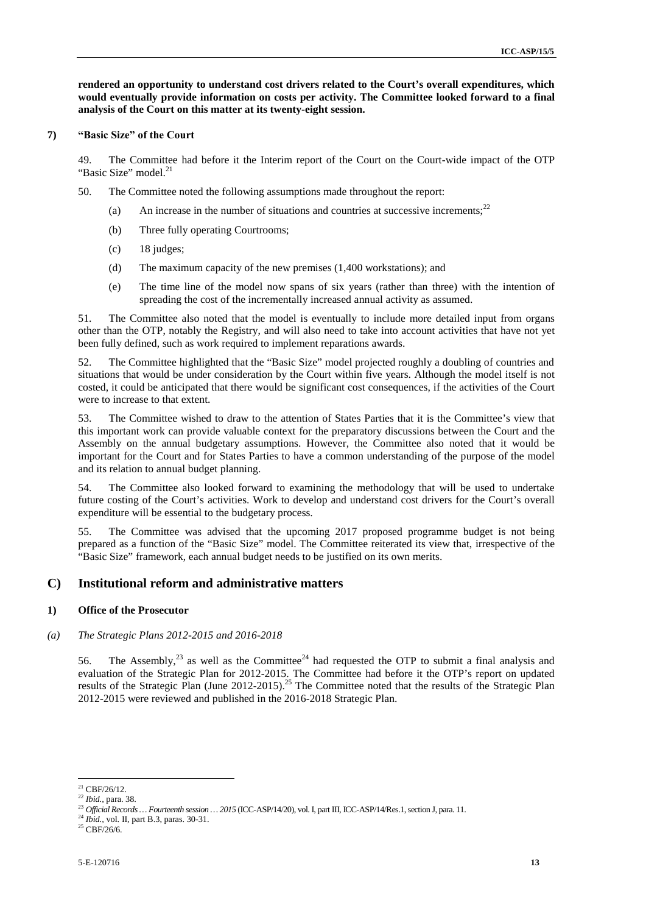**rendered an opportunity to understand cost drivers related to the Court's overall expenditures, which would eventually provide information on costs per activity. The Committee looked forward to a final analysis of the Court on this matter at its twenty-eight session.**

#### **7) "Basic Size" of the Court**

49. The Committee had before it the Interim report of the Court on the Court-wide impact of the OTP "Basic Size" model.<sup>21</sup>

- 50. The Committee noted the following assumptions made throughout the report:
	- (a) An increase in the number of situations and countries at successive increments;<sup>22</sup>
	- (b) Three fully operating Courtrooms;
	- (c) 18 judges;
	- (d) The maximum capacity of the new premises (1,400 workstations); and
	- (e) The time line of the model now spans of six years (rather than three) with the intention of spreading the cost of the incrementally increased annual activity as assumed.

51. The Committee also noted that the model is eventually to include more detailed input from organs other than the OTP, notably the Registry, and will also need to take into account activities that have not yet been fully defined, such as work required to implement reparations awards.

52. The Committee highlighted that the "Basic Size" model projected roughly a doubling of countries and situations that would be under consideration by the Court within five years. Although the model itself is not costed, it could be anticipated that there would be significant cost consequences, if the activities of the Court were to increase to that extent.

53. The Committee wished to draw to the attention of States Parties that it is the Committee's view that this important work can provide valuable context for the preparatory discussions between the Court and the Assembly on the annual budgetary assumptions. However, the Committee also noted that it would be important for the Court and for States Parties to have a common understanding of the purpose of the model and its relation to annual budget planning.

54. The Committee also looked forward to examining the methodology that will be used to undertake future costing of the Court's activities. Work to develop and understand cost drivers for the Court's overall expenditure will be essential to the budgetary process.

55. The Committee was advised that the upcoming 2017 proposed programme budget is not being prepared as a function of the "Basic Size" model. The Committee reiterated its view that, irrespective of the "Basic Size" framework, each annual budget needs to be justified on its own merits.

### **C) Institutional reform and administrative matters**

#### **1) Office of the Prosecutor**

#### *(a) The Strategic Plans 2012-2015 and 2016-2018*

56. The Assembly,  $^{23}$  as well as the Committee<sup>24</sup> had requested the OTP to submit a final analysis and evaluation of the Strategic Plan for 2012-2015. The Committee had before it the OTP's report on updated results of the Strategic Plan (June 2012-2015).<sup>25</sup> The Committee noted that the results of the Strategic Plan 2012-2015 were reviewed and published in the 2016-2018 Strategic Plan.

 $^{21}$  CBF/26/12.<br> $^{22}$  *Ibid.*, para. 38.

<sup>&</sup>lt;sup>23</sup> Official Records … Fourteenth session … 2015 (ICC-ASP/14/20), vol. I, part III, ICC-ASP/14/Res.1, section J, para. 11. <sup>24</sup> *Ibid.*, vol. II, part B.3, paras. 30-31.

 $25$  CBF/26/6.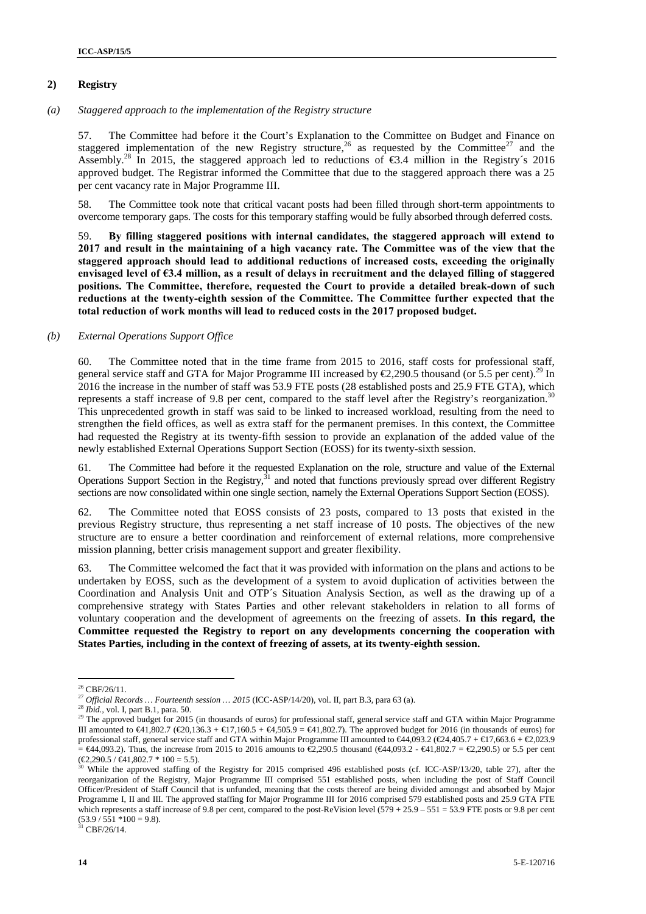#### **2) Registry**

*(a) Staggered approach to the implementation of the Registry structure*

57. The Committee had before it the Court's Explanation to the Committee on Budget and Finance on staggered implementation of the new Registry structure,<sup>26</sup> as requested by the Committee<sup>27</sup> and the Assembly.<sup>28</sup> In 2015, the staggered approach led to reductions of  $\epsilon$ 3.4 million in the Registry's 2016 approved budget. The Registrar informed the Committee that due to the staggered approach there was a 25 per cent vacancy rate in Major Programme III.

58. The Committee took note that critical vacant posts had been filled through short-term appointments to overcome temporary gaps. The costs for this temporary staffing would be fully absorbed through deferred costs.

59. **By filling staggered positions with internal candidates, the staggered approach will extend to 2017 and result in the maintaining of a high vacancy rate. The Committee was of the view that the staggered approach should lead to additional reductions of increased costs, exceeding the originally envisaged level of €3.4 million, as a result of delays in recruitment and the delayed filling of staggered positions. The Committee, therefore, requested the Court to provide a detailed break-down of such reductions at the twenty-eighth session of the Committee. The Committee further expected that the total reduction of work months will lead to reduced costs in the 2017 proposed budget.**

#### *(b) External Operations Support Office*

60. The Committee noted that in the time frame from 2015 to 2016, staff costs for professional staff, general service staff and GTA for Major Programme III increased by  $\epsilon$ 2,290.5 thousand (or 5.5 per cent).<sup>29</sup> In 2016 the increase in the number of staff was 53.9 FTE posts (28 established posts and 25.9 FTE GTA), which represents a staff increase of 9.8 per cent, compared to the staff level after the Registry's reorganization.<sup>30</sup> This unprecedented growth in staff was said to be linked to increased workload, resulting from the need to strengthen the field offices, as well as extra staff for the permanent premises. In this context, the Committee had requested the Registry at its twenty-fifth session to provide an explanation of the added value of the newly established External Operations Support Section (EOSS) for its twenty-sixth session.

61. The Committee had before it the requested Explanation on the role, structure and value of the External Operations Support Section in the Registry, $31$  and noted that functions previously spread over different Registry sections are now consolidated within one single section, namely the External Operations Support Section (EOSS).

62. The Committee noted that EOSS consists of 23 posts, compared to 13 posts that existed in the previous Registry structure, thus representing a net staff increase of 10 posts. The objectives of the new structure are to ensure a better coordination and reinforcement of external relations, more comprehensive mission planning, better crisis management support and greater flexibility.

63. The Committee welcomed the fact that it was provided with information on the plans and actions to be undertaken by EOSS, such as the development of a system to avoid duplication of activities between the Coordination and Analysis Unit and OTP´s Situation Analysis Section, as well as the drawing up of a comprehensive strategy with States Parties and other relevant stakeholders in relation to all forms of voluntary cooperation and the development of agreements on the freezing of assets. **In this regard, the Committee requested the Registry to report on any developments concerning the cooperation with States Parties, including in the context of freezing of assets, at its twenty-eighth session.**

 $31$  CBF/26/14.

 $^{26}$  CBF/26/11. <br> $^{27}$  Official Records  $\ldots$  Fourteenth session  $\ldots$  2015 (ICC-ASP/14/20), vol. II, part B.3, para 63 (a).

 $^{28}$  *Ibid.*, vol. I, part B.1, para. 50.<br><sup>29</sup> The approved budget for 2015 (in thousands of euros) for professional staff, general service staff and GTA within Major Programme III amounted to  $\infty$ 1,802.7 ( $\infty$ 0,136.3 +  $\infty$ 7,160.5 +  $\infty$ ,505.9 =  $\infty$ 41,802.7). The approved budget for 2016 (in thousands of euros) for professional staff, general service staff and GTA within Major Programme III amounted to  $\epsilon 44,093.2$  ( $\epsilon 24,405.7 + \epsilon 17,663.6 + \epsilon 2,023.9$ )  $= \Theta$ 4,093.2). Thus, the increase from 2015 to 2016 amounts to  $\Theta$ ,290.5 thousand ( $\Theta$ 4,093.2 -  $\Theta$ 41,802.7 =  $\Theta$ ,290.5) or 5.5 per cent ( $\Theta$ ,290.5 /  $\Theta$ 41,802.7 \* 100 = 5.5).

 $\frac{30}{20}$  While the approved staffing of the Registry for 2015 comprised 496 established posts (cf. ICC-ASP/13/20, table 27), after the reorganization of the Registry, Major Programme III comprised 551 established posts, when including the post of Staff Council Officer/President of Staff Council that is unfunded, meaning that the costs thereof are being divided amongst and absorbed by Major Programme I, II and III. The approved staffing for Major Programme III for 2016 comprised 579 established posts and 25.9 GTA FTE which represents a staff increase of 9.8 per cent, compared to the post-ReVision level (579 + 25.9 – 551 = 53.9 FTE posts or 9.8 per cent  $(53.9 / 551 * 100 = 9.8).$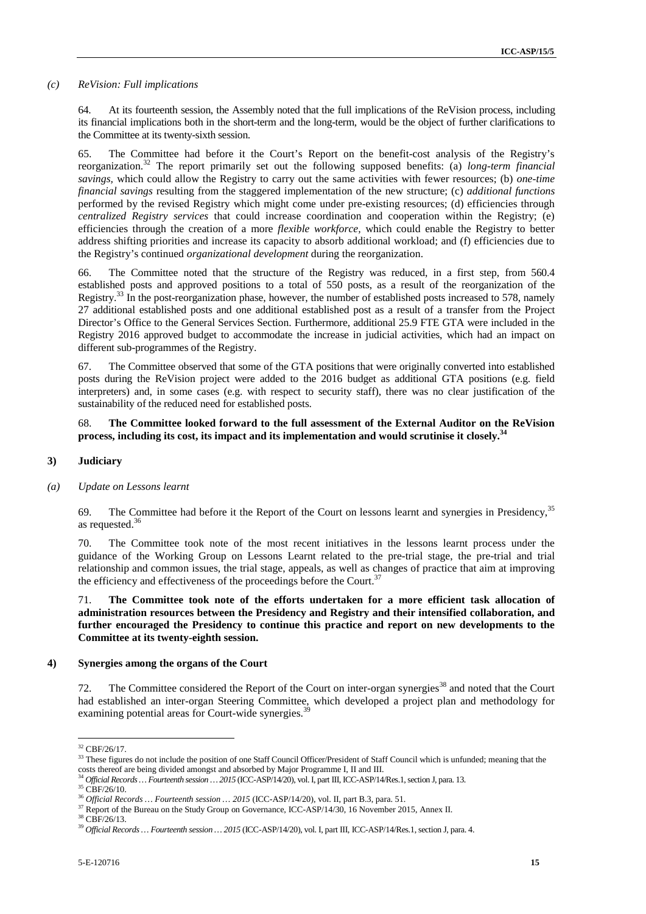#### *(c) ReVision: Full implications*

64. At its fourteenth session, the Assembly noted that the full implications of the ReVision process, including its financial implications both in the short-term and the long-term, would be the object of further clarifications to the Committee at its twenty-sixth session.

65. The Committee had before it the Court's Report on the benefit-cost analysis of the Registry's reorganization.<sup>32</sup> The report primarily set out the following supposed benefits: (a) *long-term financial savings,* which could allow the Registry to carry out the same activities with fewer resources; (b) *one-time financial savings* resulting from the staggered implementation of the new structure; (c) *additional functions* performed by the revised Registry which might come under pre-existing resources; (d) efficiencies through *centralized Registry services* that could increase coordination and cooperation within the Registry; (e) efficiencies through the creation of a more *flexible workforce,* which could enable the Registry to better address shifting priorities and increase its capacity to absorb additional workload; and (f) efficiencies due to the Registry's continued *organizational development* during the reorganization.

66. The Committee noted that the structure of the Registry was reduced, in a first step, from 560.4 established posts and approved positions to a total of 550 posts, as a result of the reorganization of the Registry.<sup>33</sup> In the post-reorganization phase, however, the number of established posts increased to 578, namely 27 additional established posts and one additional established post as a result of a transfer from the Project Director's Office to the General Services Section. Furthermore, additional 25.9 FTE GTA were included in the Registry 2016 approved budget to accommodate the increase in judicial activities, which had an impact on different sub-programmes of the Registry.

67. The Committee observed that some of the GTA positions that were originally converted into established posts during the ReVision project were added to the 2016 budget as additional GTA positions (e.g. field interpreters) and, in some cases (e.g. with respect to security staff), there was no clear justification of the sustainability of the reduced need for established posts.

#### 68. **The Committee looked forward to the full assessment of the External Auditor on the ReVision process, including its cost, its impact and its implementation and would scrutinise it closely.<sup>34</sup>**

#### **3) Judiciary**

*(a) Update on Lessons learnt*

69. The Committee had before it the Report of the Court on lessons learnt and synergies in Presidency,<sup>35</sup> as requested.<sup>36</sup>

70. The Committee took note of the most recent initiatives in the lessons learnt process under the guidance of the Working Group on Lessons Learnt related to the pre-trial stage, the pre-trial and trial relationship and common issues, the trial stage, appeals, as well as changes of practice that aim at improving the efficiency and effectiveness of the proceedings before the Court.<sup>37</sup>

71. **The Committee took note of the efforts undertaken for a more efficient task allocation of administration resources between the Presidency and Registry and their intensified collaboration, and further encouraged the Presidency to continue this practice and report on new developments to the Committee at its twenty-eighth session.**

#### **4) Synergies among the organs of the Court**

72. The Committee considered the Report of the Court on inter-organ synergies<sup>38</sup> and noted that the Court had established an inter-organ Steering Committee, which developed a project plan and methodology for examining potential areas for Court-wide synergies.<sup>3</sup>

<sup>32</sup> CBF/26/17.

<sup>&</sup>lt;sup>33</sup> These figures do not include the position of one Staff Council Officer/President of Staff Council which is unfunded; meaning that the costs thereof are being divided amongst and absorbed by Major Programme I, II and III.<br><sup>34</sup> Official Records ... Fourteenth session ... 2015 (ICC-ASP/14/20), vol. I, part III, ICC-ASP/14/Res.1, section J, para. 13.<br><sup>35</sup> CB

<sup>&</sup>lt;sup>37</sup> Report of the Bureau on the Study Group on Governance, ICC-ASP/14/30, 16 November 2015, Annex II.

<sup>38</sup> CBF/26/13.

<sup>39</sup> *Official Records … Fourteenth session … 2015* (ICC-ASP/14/20), vol. I, part III, ICC-ASP/14/Res.1, section J, para. 4.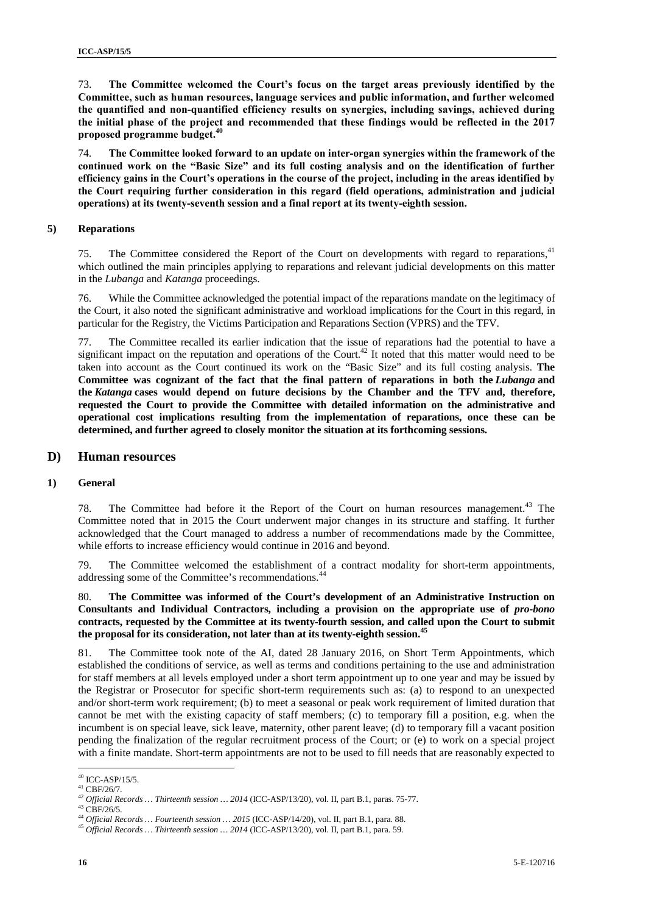73. **The Committee welcomed the Court's focus on the target areas previously identified by the Committee, such as human resources, language services and public information, and further welcomed the quantified and non-quantified efficiency results on synergies, including savings, achieved during the initial phase of the project and recommended that these findings would be reflected in the 2017 proposed programme budget.<sup>40</sup>**

74. **The Committee looked forward to an update on inter-organ synergies within the framework of the continued work on the "Basic Size" and its full costing analysis and on the identification of further efficiency gains in the Court's operations in the course of the project, including in the areas identified by the Court requiring further consideration in this regard (field operations, administration and judicial operations) at its twenty-seventh session and a final report at its twenty-eighth session.**

#### **5) Reparations**

75. The Committee considered the Report of the Court on developments with regard to reparations,<sup>41</sup> which outlined the main principles applying to reparations and relevant judicial developments on this matter in the *Lubanga* and *Katanga* proceedings.

76. While the Committee acknowledged the potential impact of the reparations mandate on the legitimacy of the Court, it also noted the significant administrative and workload implications for the Court in this regard, in particular for the Registry, the Victims Participation and Reparations Section (VPRS) and the TFV.

77. The Committee recalled its earlier indication that the issue of reparations had the potential to have a significant impact on the reputation and operations of the Court.<sup>42</sup> It noted that this matter would need to be taken into account as the Court continued its work on the "Basic Size" and its full costing analysis. **The Committee was cognizant of the fact that the final pattern of reparations in both the** *Lubanga* **and the** *Katanga* **cases would depend on future decisions by the Chamber and the TFV and, therefore, requested the Court to provide the Committee with detailed information on the administrative and operational cost implications resulting from the implementation of reparations, once these can be determined, and further agreed to closely monitor the situation at its forthcoming sessions.**

#### **D) Human resources**

#### **1) General**

78. The Committee had before it the Report of the Court on human resources management.<sup>43</sup> The Committee noted that in 2015 the Court underwent major changes in its structure and staffing. It further acknowledged that the Court managed to address a number of recommendations made by the Committee, while efforts to increase efficiency would continue in 2016 and beyond.

79. The Committee welcomed the establishment of a contract modality for short-term appointments, addressing some of the Committee's recommendations.<sup>44</sup>

80. **The Committee was informed of the Court's development of an Administrative Instruction on Consultants and Individual Contractors, including a provision on the appropriate use of** *pro-bono* **contracts, requested by the Committee at its twenty-fourth session, and called upon the Court to submit the proposal for its consideration, not later than at its twenty-eighth session.<sup>45</sup>**

81. The Committee took note of the AI, dated 28 January 2016, on Short Term Appointments, which established the conditions of service, as well as terms and conditions pertaining to the use and administration for staff members at all levels employed under a short term appointment up to one year and may be issued by the Registrar or Prosecutor for specific short-term requirements such as: (a) to respond to an unexpected and/or short-term work requirement; (b) to meet a seasonal or peak work requirement of limited duration that cannot be met with the existing capacity of staff members; (c) to temporary fill a position, e.g. when the incumbent is on special leave, sick leave, maternity, other parent leave; (d) to temporary fill a vacant position pending the finalization of the regular recruitment process of the Court; or (e) to work on a special project with a finite mandate. Short-term appointments are not to be used to fill needs that are reasonably expected to

<sup>40</sup> ICC-ASP/15/5.

 $^{41}$  CBF/26/7.

<sup>42</sup> *Official Records … Thirteenth session … <sup>2014</sup>* (ICC-ASP/13/20), vol. II, part B.1, paras. 75-77. <sup>43</sup> CBF/26/5.

<sup>&</sup>lt;sup>45</sup> Official Records ... Thirteenth session ... 2014 (ICC-ASP/13/20), vol. II, part B.1, para. 59.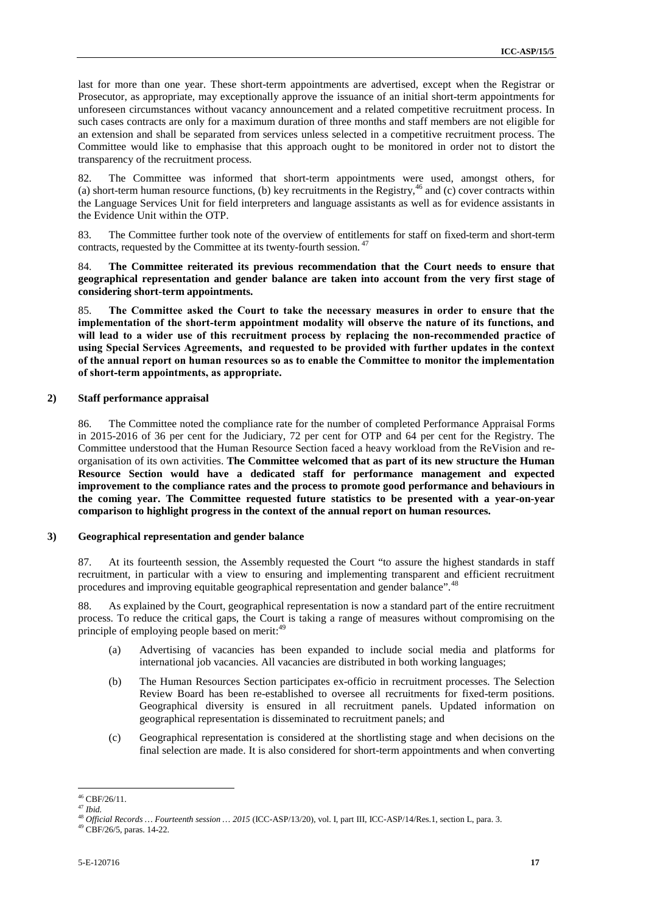last for more than one year. These short-term appointments are advertised, except when the Registrar or Prosecutor, as appropriate, may exceptionally approve the issuance of an initial short-term appointments for unforeseen circumstances without vacancy announcement and a related competitive recruitment process. In such cases contracts are only for a maximum duration of three months and staff members are not eligible for an extension and shall be separated from services unless selected in a competitive recruitment process. The Committee would like to emphasise that this approach ought to be monitored in order not to distort the transparency of the recruitment process.

82. The Committee was informed that short-term appointments were used, amongst others, for (a) short-term human resource functions, (b) key recruitments in the Registry,<sup>46</sup> and (c) cover contracts within the Language Services Unit for field interpreters and language assistants as well as for evidence assistants in the Evidence Unit within the OTP.

83. The Committee further took note of the overview of entitlements for staff on fixed-term and short-term contracts, requested by the Committee at its twenty-fourth session. <sup>47</sup>

84. **The Committee reiterated its previous recommendation that the Court needs to ensure that geographical representation and gender balance are taken into account from the very first stage of considering short-term appointments.**

85. **The Committee asked the Court to take the necessary measures in order to ensure that the implementation of the short-term appointment modality will observe the nature of its functions, and will lead to a wider use of this recruitment process by replacing the non-recommended practice of using Special Services Agreements, and requested to be provided with further updates in the context of the annual report on human resources so as to enable the Committee to monitor the implementation of short-term appointments, as appropriate.**

#### **2) Staff performance appraisal**

86. The Committee noted the compliance rate for the number of completed Performance Appraisal Forms in 2015-2016 of 36 per cent for the Judiciary, 72 per cent for OTP and 64 per cent for the Registry. The Committee understood that the Human Resource Section faced a heavy workload from the ReVision and re organisation of its own activities. **The Committee welcomed that as part of its new structure the Human Resource Section would have a dedicated staff for performance management and expected improvement to the compliance rates and the process to promote good performance and behaviours in the coming year. The Committee requested future statistics to be presented with a year-on-year comparison to highlight progress in the context of the annual report on human resources.**

#### **3) Geographical representation and gender balance**

87. At its fourteenth session, the Assembly requested the Court "to assure the highest standards in staff recruitment, in particular with a view to ensuring and implementing transparent and efficient recruitment procedures and improving equitable geographical representation and gender balance".<sup>48</sup>

88. As explained by the Court, geographical representation is now a standard part of the entire recruitment process. To reduce the critical gaps, the Court is taking a range of measures without compromising on the principle of employing people based on merit:<sup>49</sup>

- (a) Advertising of vacancies has been expanded to include social media and platforms for international job vacancies. All vacancies are distributed in both working languages;
- (b) The Human Resources Section participates ex-officio in recruitment processes. The Selection Review Board has been re-established to oversee all recruitments for fixed-term positions. Geographical diversity is ensured in all recruitment panels. Updated information on geographical representation is disseminated to recruitment panels; and
- (c) Geographical representation is considered at the shortlisting stage and when decisions on the final selection are made. It is also considered for short-term appointments and when converting

<sup>46</sup> CBF/26/11. <sup>47</sup> *Ibid.*

<sup>&</sup>lt;sup>48</sup> *Official Records … Fourteenth session … 2015* (ICC-ASP/13/20), vol. I, part III, ICC-ASP/14/Res.1, section L, para. 3.  $^{49}$  CBF/26/5, paras. 14-22.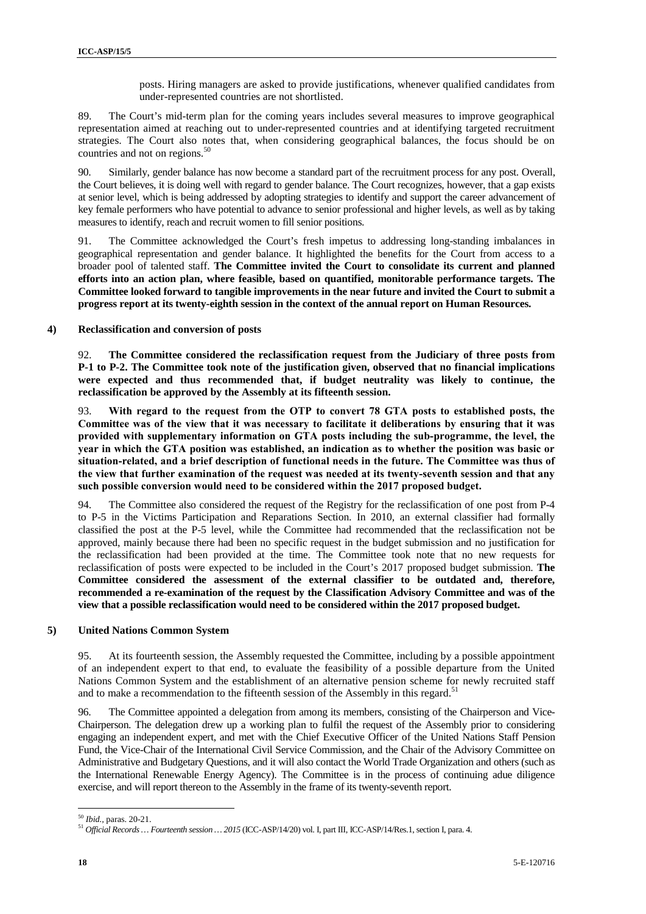posts. Hiring managers are asked to provide justifications, whenever qualified candidates from under-represented countries are not shortlisted.

89. The Court's mid-term plan for the coming years includes several measures to improve geographical representation aimed at reaching out to under-represented countries and at identifying targeted recruitment strategies. The Court also notes that, when considering geographical balances, the focus should be on countries and not on regions.<sup>50</sup>

90. Similarly, gender balance has now become a standard part of the recruitment process for any post. Overall, the Court believes, it is doing well with regard to gender balance. The Court recognizes, however, that a gap exists at senior level, which is being addressed by adopting strategies to identify and support the career advancement of key female performers who have potential to advance to senior professional and higher levels, as well as by taking measures to identify, reach and recruit women to fill senior positions.

91. The Committee acknowledged the Court's fresh impetus to addressing long-standing imbalances in geographical representation and gender balance. It highlighted the benefits for the Court from access to a broader pool of talented staff. **The Committee invited the Court to consolidate its current and planned efforts into an action plan, where feasible, based on quantified, monitorable performance targets. The Committee looked forward to tangible improvements in the near future and invited the Court to submit a progress report at its twenty-eighth session in the context of the annual report on Human Resources.**

**4) Reclassification and conversion of posts**

92. **The Committee considered the reclassification request from the Judiciary of three posts from P-1 to P-2. The Committee took note of the justification given, observed that no financial implications were expected and thus recommended that, if budget neutrality was likely to continue, the reclassification be approved by the Assembly at its fifteenth session.**

93. **With regard to the request from the OTP to convert 78 GTA posts to established posts, the Committee was of the view that it was necessary to facilitate it deliberations by ensuring that it was provided with supplementary information on GTA posts including the sub-programme, the level, the year in which the GTA position was established, an indication as to whether the position was basic or situation-related, and a brief description of functional needs in the future. The Committee was thus of the view that further examination of the request was needed at its twenty-seventh session and that any such possible conversion would need to be considered within the 2017 proposed budget.**

94. The Committee also considered the request of the Registry for the reclassification of one post from P-4 to P-5 in the Victims Participation and Reparations Section. In 2010, an external classifier had formally classified the post at the P-5 level, while the Committee had recommended that the reclassification not be approved, mainly because there had been no specific request in the budget submission and no justification for the reclassification had been provided at the time. The Committee took note that no new requests for reclassification of posts were expected to be included in the Court's 2017 proposed budget submission. **The Committee considered the assessment of the external classifier to be outdated and, therefore, recommended a re-examination of the request by the Classification Advisory Committee and was of the view that a possible reclassification would need to be considered within the 2017 proposed budget.**

#### **5) United Nations Common System**

95. At its fourteenth session, the Assembly requested the Committee, including by a possible appointment of an independent expert to that end, to evaluate the feasibility of a possible departure from the United Nations Common System and the establishment of an alternative pension scheme for newly recruited staff and to make a recommendation to the fifteenth session of the Assembly in this regard.<sup>51</sup>

96. The Committee appointed a delegation from among its members, consisting of the Chairperson and Vice- Chairperson. The delegation drew up a working plan to fulfil the request of the Assembly prior to considering engaging an independent expert, and met with the Chief Executive Officer of the United Nations Staff Pension Fund, the Vice-Chair of the International Civil Service Commission, and the Chair of the Advisory Committee on Administrative and Budgetary Questions, and it will also contact the World Trade Organization and others (such as the International Renewable Energy Agency). The Committee is in the process of continuing adue diligence exercise, and will report thereon to the Assembly in the frame of its twenty-seventh report.

<sup>50</sup> *Ibid.,* paras. 20-21.

<sup>51</sup> *Official Records … Fourteenth session … 2015* (ICC-ASP/14/20) vol. I, part III, ICC-ASP/14/Res.1, section I, para. 4.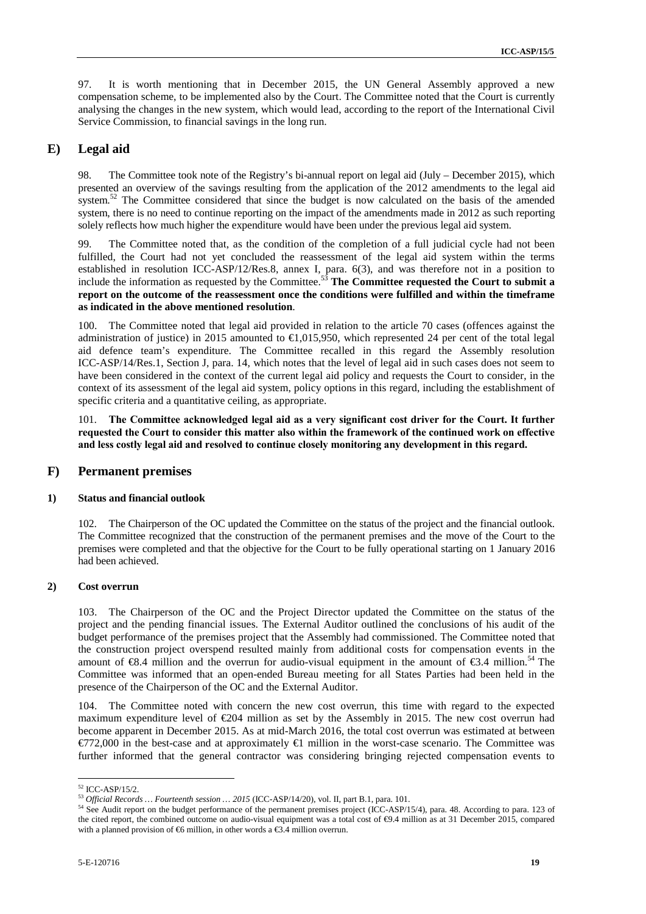97. It is worth mentioning that in December 2015, the UN General Assembly approved a new compensation scheme, to be implemented also by the Court. The Committee noted that the Court is currently analysing the changes in the new system, which would lead, according to the report of the International Civil Service Commission, to financial savings in the long run.

### **E) Legal aid**

98. The Committee took note of the Registry's bi-annual report on legal aid (July – December 2015), which presented an overview of the savings resulting from the application of the 2012 amendments to the legal aid system.<sup>52</sup> The Committee considered that since the budget is now calculated on the basis of the amended system, there is no need to continue reporting on the impact of the amendments made in 2012 as such reporting solely reflects how much higher the expenditure would have been under the previous legal aid system.

99. The Committee noted that, as the condition of the completion of a full judicial cycle had not been fulfilled, the Court had not yet concluded the reassessment of the legal aid system within the terms established in resolution ICC-ASP/12/Res.8, annex I, para. 6(3), and was therefore not in a position to include the information as requested by the Committee.<sup>53</sup> **The Committee requested the Court to submit a report on the outcome of the reassessment once the conditions were fulfilled and within the timeframe as indicated in the above mentioned resolution**.

100. The Committee noted that legal aid provided in relation to the article 70 cases (offences against the administration of justice) in 2015 amounted to  $\bigoplus$  015,950, which represented 24 per cent of the total legal aid defence team's expenditure. The Committee recalled in this regard the Assembly resolution ICC-ASP/14/Res.1, Section J, para. 14, which notes that the level of legal aid in such cases does not seem to have been considered in the context of the current legal aid policy and requests the Court to consider, in the context of its assessment of the legal aid system, policy options in this regard, including the establishment of specific criteria and a quantitative ceiling, as appropriate.

101. **The Committee acknowledged legal aid as a very significant cost driver for the Court. It further requested the Court to consider this matter also within the framework of the continued work on effective and less costly legal aid and resolved to continue closely monitoring any development in this regard.**

#### **F) Permanent premises**

#### **1) Status and financial outlook**

102. The Chairperson of the OC updated the Committee on the status of the project and the financial outlook. The Committee recognized that the construction of the permanent premises and the move of the Court to the premises were completed and that the objective for the Court to be fully operational starting on 1 January 2016 had been achieved.

#### **2) Cost overrun**

103. The Chairperson of the OC and the Project Director updated the Committee on the status of the project and the pending financial issues. The External Auditor outlined the conclusions of his audit of the budget performance of the premises project that the Assembly had commissioned. The Committee noted that the construction project overspend resulted mainly from additional costs for compensation events in the amount of  $\mathfrak{S}8.4$  million and the overrun for audio-visual equipment in the amount of  $\mathfrak{S}3.4$  million.<sup>54</sup> The Committee was informed that an open-ended Bureau meeting for all States Parties had been held in the presence of the Chairperson of the OC and the External Auditor.

104. The Committee noted with concern the new cost overrun, this time with regard to the expected maximum expenditure level of  $\epsilon 204$  million as set by the Assembly in 2015. The new cost overrun had become apparent in December 2015. As at mid-March 2016, the total cost overrun was estimated at between  $\epsilon$ 772,000 in the best-case and at approximately  $\epsilon$  million in the worst-case scenario. The Committee was further informed that the general contractor was considering bringing rejected compensation events to

 $^{52}$  ICC-ASP/15/2.<br> $^{53}$  Official Records ... Fourteenth session ... 2015 (ICC-ASP/14/20), vol. II, part B.1, para. 101.

<sup>&</sup>lt;sup>54</sup> See Audit report on the budget performance of the permanent premises project (ICC-ASP/15/4), para. 48. According to para. 123 of the cited report, the combined outcome on audio-visual equipment was a total cost of  $\Theta$ .4 million as at 31 December 2015, compared with a planned provision of  $\bigoplus$  million, in other words a  $\bigoplus$ .4 million overrun.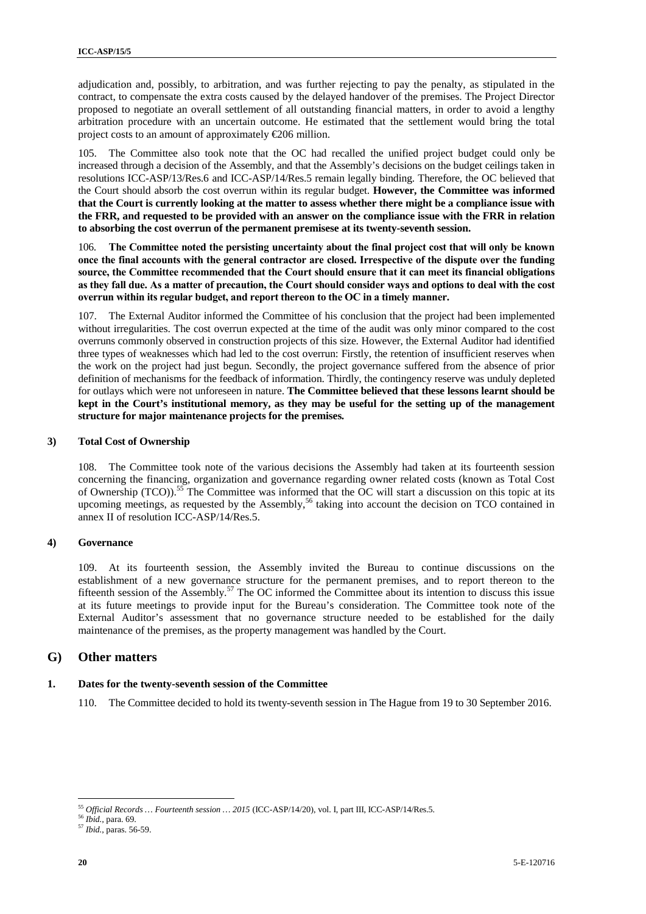adjudication and, possibly, to arbitration, and was further rejecting to pay the penalty, as stipulated in the contract, to compensate the extra costs caused by the delayed handover of the premises. The Project Director proposed to negotiate an overall settlement of all outstanding financial matters, in order to avoid a lengthy arbitration procedure with an uncertain outcome. He estimated that the settlement would bring the total project costs to an amount of approximately €206 million.

105. The Committee also took note that the OC had recalled the unified project budget could only be increased through a decision of the Assembly, and that the Assembly's decisions on the budget ceilings taken in resolutions ICC-ASP/13/Res.6 and ICC-ASP/14/Res.5 remain legally binding. Therefore, the OC believed that the Court should absorb the cost overrun within its regular budget. **However, the Committee was informed that the Court is currently looking at the matter to assess whether there might be a compliance issue with the FRR, and requested to be provided with an answer on the compliance issue with the FRR in relation to absorbing the cost overrun of the permanent premisese at its twenty-seventh session.**

106. **The Committee noted the persisting uncertainty about the final project cost that will only be known once the final accounts with the general contractor are closed. Irrespective of the dispute over the funding source, the Committee recommended that the Court should ensure that it can meet its financial obligations as they fall due. As a matter of precaution, the Court should consider ways and options to deal with the cost overrun within its regular budget, and report thereon to the OC in a timely manner.**

107. The External Auditor informed the Committee of his conclusion that the project had been implemented without irregularities. The cost overrun expected at the time of the audit was only minor compared to the cost overruns commonly observed in construction projects of this size. However, the External Auditor had identified three types of weaknesses which had led to the cost overrun: Firstly, the retention of insufficient reserves when the work on the project had just begun. Secondly, the project governance suffered from the absence of prior definition of mechanisms for the feedback of information. Thirdly, the contingency reserve was unduly depleted for outlays which were not unforeseen in nature. **The Committee believed that these lessons learnt should be kept in the Court's institutional memory, as they may be useful for the setting up of the management structure for major maintenance projects for the premises.**

#### **3) Total Cost of Ownership**

108. The Committee took note of the various decisions the Assembly had taken at its fourteenth session concerning the financing, organization and governance regarding owner related costs (known as Total Cost of Ownership (TCO)).<sup>55</sup> The Committee was informed that the OC will start a discussion on this topic at its upcoming meetings, as requested by the Assembly,<sup>56</sup> taking into account the decision on TCO contained in annex II of resolution ICC-ASP/14/Res.5.

#### **4) Governance**

109. At its fourteenth session, the Assembly invited the Bureau to continue discussions on the establishment of a new governance structure for the permanent premises, and to report thereon to the fifteenth session of the Assembly.<sup>57</sup> The OC informed the Committee about its intention to discuss this issue at its future meetings to provide input for the Bureau's consideration. The Committee took note of the External Auditor's assessment that no governance structure needed to be established for the daily maintenance of the premises, as the property management was handled by the Court.

#### **G) Other matters**

#### **1. Dates for the twenty-seventh session of the Committee**

110. The Committee decided to hold its twenty-seventh session in The Hague from 19 to 30 September 2016.

<sup>55</sup> *Official Records … Fourteenth session … 2015* (ICC-ASP/14/20), vol. I, part III, ICC-ASP/14/Res.5. <sup>56</sup> *Ibid.,* para. 69.

<sup>57</sup> *Ibid.*, paras. 56-59.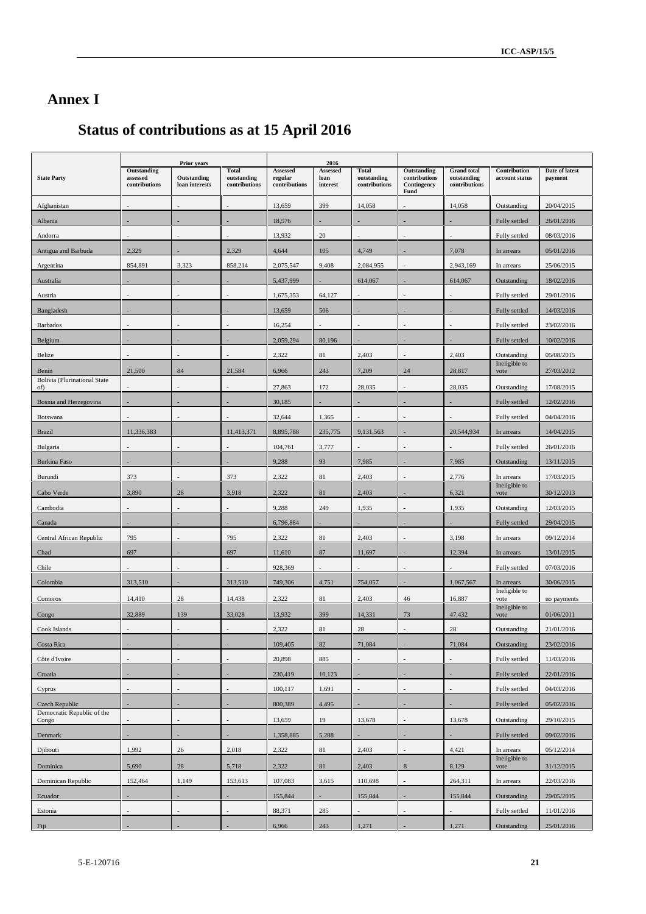## **Annex I**

# **Status of contributions as at 15 April 2016**

|                                              |                                          | <b>Prior years</b>            |                                              |                                      | 2016                         |                                              |                                                     |                                                    |                                |                           |
|----------------------------------------------|------------------------------------------|-------------------------------|----------------------------------------------|--------------------------------------|------------------------------|----------------------------------------------|-----------------------------------------------------|----------------------------------------------------|--------------------------------|---------------------------|
| <b>State Party</b>                           | Outstanding<br>assessed<br>contributions | Outstanding<br>loan interests | <b>Total</b><br>outstanding<br>contributions | Assessed<br>regular<br>contributions | Assessed<br>loan<br>interest | <b>Total</b><br>outstanding<br>contributions | Outstanding<br>contributions<br>Contingency<br>Fund | <b>Grand</b> total<br>outstanding<br>contributions | Contribution<br>account status | Date of latest<br>payment |
| Afghanistan                                  |                                          |                               |                                              | 13,659                               | 399                          | 14,058                                       |                                                     | 14,058                                             | Outstanding                    | 20/04/2015                |
| Albania                                      |                                          |                               |                                              | 18,576                               |                              |                                              |                                                     |                                                    | Fully settled                  | 26/01/2016                |
| Andorra                                      |                                          |                               |                                              | 13,932                               | 20                           |                                              |                                                     |                                                    | Fully settled                  | 08/03/2016                |
| Antigua and Barbuda                          | 2,329                                    |                               | 2.329                                        | 4,644                                | 105                          | 4,749                                        |                                                     | 7,078                                              | In arrears                     | 05/01/2016                |
| Argentina                                    | 854,891                                  | 3,323                         | 858,214                                      | 2,075,547                            | 9,408                        | 2,084,955                                    |                                                     | 2,943,169                                          | In arrears                     | 25/06/2015                |
| Australia                                    |                                          |                               |                                              | 5,437,999                            |                              | 614,067                                      |                                                     | 614,067                                            | Outstanding                    | 18/02/2016                |
| Austria                                      |                                          |                               |                                              | 1,675,353                            | 64,127                       |                                              |                                                     |                                                    | Fully settled                  | 29/01/2016                |
| Bangladesh                                   |                                          |                               |                                              | 13,659                               | 506                          |                                              |                                                     |                                                    | Fully settled                  | 14/03/2016                |
| <b>Barbados</b>                              |                                          |                               |                                              | 16,254                               |                              |                                              |                                                     |                                                    | Fully settled                  | 23/02/2016                |
| Belgium                                      |                                          |                               |                                              | 2,059,294                            | 80,196                       |                                              |                                                     |                                                    | Fully settled                  | 10/02/2016                |
| Belize                                       |                                          |                               |                                              | 2,322                                | 81                           | 2,403                                        |                                                     | 2,403                                              | Outstanding                    | 05/08/2015                |
| Benin                                        | 21,500                                   | 84                            | 21,584                                       | 6,966                                | 243                          | 7,209                                        | 24                                                  | 28,817                                             | Ineligible to<br>vote          | 27/03/2012                |
| <b>Bolivia</b> (Plurinational State<br>of)   |                                          |                               |                                              | 27,863                               | 172                          | 28,035                                       |                                                     | 28,035                                             | Outstanding                    | 17/08/2015                |
| Bosnia and Herzegovina                       |                                          |                               |                                              | 30,185                               |                              |                                              |                                                     |                                                    | Fully settled                  | 12/02/2016                |
| <b>Botswana</b>                              |                                          |                               |                                              | 32,644                               | 1,365                        |                                              |                                                     |                                                    | Fully settled                  | 04/04/2016                |
| <b>Brazil</b>                                | 11,336,383                               |                               | 11,413,371                                   | 8,895,788                            | 235,775                      | 9,131,563                                    |                                                     | 20,544,934                                         | In arrears                     | 14/04/2015                |
| Bulgaria                                     |                                          |                               |                                              | 104,761                              | 3,777                        |                                              |                                                     |                                                    | Fully settled                  | 26/01/2016                |
| <b>Burkina Faso</b>                          |                                          |                               |                                              | 9,288                                | 93                           | 7,985                                        |                                                     | 7,985                                              | Outstanding                    | 13/11/2015                |
| Burundi                                      | 373                                      |                               | 373                                          | 2,322                                | 81                           | 2,403                                        |                                                     | 2,776                                              | In arrears                     | 17/03/2015                |
| Cabo Verde                                   | 3,890                                    | 28                            | 3,918                                        | 2,322                                | 81                           | 2,403                                        |                                                     | 6,321                                              | Ineligible to<br>vote          | 30/12/2013                |
| Cambodia                                     |                                          |                               |                                              | 9,288                                | 249                          | 1,935                                        |                                                     | 1,935                                              | Outstanding                    | 12/03/2015                |
| Canada                                       |                                          |                               |                                              | 6,796,884                            |                              |                                              |                                                     |                                                    | Fully settled                  | 29/04/2015                |
| Central African Republic                     | 795                                      |                               | 795                                          | 2,322                                | 81                           | 2,403                                        |                                                     | 3,198                                              | In arrears                     | 09/12/2014                |
| Chad                                         | 697                                      |                               | 697                                          | 11,610                               | 87                           | 11,697                                       |                                                     | 12,394                                             | In arrears                     | 13/01/2015                |
| Chile                                        |                                          |                               |                                              | 928,369                              |                              |                                              |                                                     |                                                    | Fully settled                  | 07/03/2016                |
| Colombia                                     | 313,510                                  |                               | 313,510                                      | 749,306                              | 4,751                        | 754,057                                      |                                                     | 1,067,567                                          | In arrears                     | 30/06/2015                |
| Comoros                                      | 14,410                                   | 28                            | 14,438                                       | 2,322                                | 81                           | 2,403                                        | 46                                                  | 16,887                                             | Ineligible to<br>vote          |                           |
|                                              |                                          |                               |                                              |                                      |                              |                                              |                                                     |                                                    | Ineligible to                  | no payments               |
| Congo                                        | 32,889                                   | 139                           | 33,028                                       | 13,932                               | 399                          | 14,331                                       | 73                                                  | 47,432                                             | vote                           | 01/06/2011                |
| Cook Islands                                 |                                          |                               |                                              | 2,322                                | 81                           | 28                                           |                                                     | 28                                                 | Outstanding                    | 21/01/2016                |
| Costa Rica                                   |                                          |                               |                                              | 109,405                              | 82                           | 71,084                                       |                                                     | 71,084                                             | Outstanding                    | 23/02/2016                |
| Côte d'Ivoire                                |                                          |                               |                                              | 20,898                               | 885                          |                                              |                                                     |                                                    | Fully settled                  | 11/03/2016                |
| Croatia                                      |                                          |                               |                                              | 230,419<br>100,117                   | 10,123                       |                                              |                                                     | ÷,                                                 | Fully settled                  | 22/01/2016<br>04/03/2016  |
| Cyprus                                       |                                          |                               |                                              |                                      | 1,691                        |                                              |                                                     |                                                    | Fully settled                  |                           |
| Czech Republic<br>Democratic Republic of the |                                          |                               |                                              | 800,389                              | 4,495                        |                                              |                                                     |                                                    | Fully settled                  | 05/02/2016                |
| Congo                                        |                                          |                               |                                              | 13,659                               | 19                           | 13,678                                       |                                                     | 13,678                                             | Outstanding                    | 29/10/2015                |
| Denmark                                      |                                          |                               |                                              | 1,358,885                            | 5,288                        |                                              |                                                     |                                                    | Fully settled                  | 09/02/2016                |
| Djibouti                                     | 1,992                                    | 26                            | 2,018                                        | 2,322                                | $81\,$                       | 2,403                                        |                                                     | 4,421                                              | In arrears<br>Ineligible to    | 05/12/2014                |
| Dominica                                     | 5,690                                    | $28\,$                        | 5,718                                        | 2,322                                | 81                           | 2,403                                        | $\,$ 8 $\,$                                         | 8,129                                              | vote                           | 31/12/2015                |
| Dominican Republic                           | 152,464                                  | 1,149                         | 153,613                                      | 107,083                              | 3,615                        | 110,698                                      |                                                     | 264,311                                            | In arrears                     | 22/03/2016                |
| Ecuador                                      |                                          |                               |                                              | 155,844                              |                              | 155,844                                      |                                                     | 155,844                                            | Outstanding                    | 29/05/2015                |
| Estonia                                      |                                          |                               |                                              | 88,371                               | 285                          |                                              |                                                     |                                                    | Fully settled                  | 11/01/2016                |
| Fiji                                         |                                          |                               |                                              | 6,966                                | 243                          | 1,271                                        |                                                     | 1,271                                              | Outstanding                    | 25/01/2016                |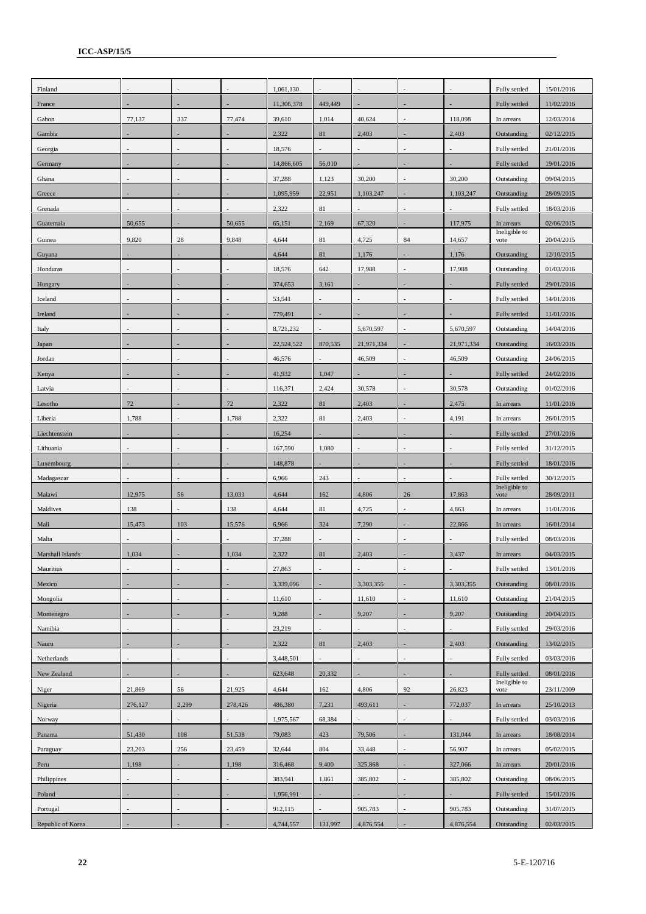| Finland           |         |         |         | 1,061,130  |         |            |                |            | Fully settled         | 15/01/2016 |
|-------------------|---------|---------|---------|------------|---------|------------|----------------|------------|-----------------------|------------|
| France            |         |         |         | 11,306,378 | 449,449 |            |                |            | Fully settled         | 11/02/2016 |
| Gabon             | 77,137  | 337     | 77,474  | 39,610     | 1,014   | 40,624     |                | 118,098    | In arrears            | 12/03/2014 |
| Gambia            |         |         |         | 2,322      | 81      | 2,403      |                | 2,403      | Outstanding           | 02/12/2015 |
| Georgia           |         |         |         | 18,576     |         |            |                |            | Fully settled         | 21/01/2016 |
| Germany           |         |         |         | 14,866,605 | 56,010  |            |                |            | Fully settled         | 19/01/2016 |
| Ghana             |         |         |         | 37,288     | 1,123   | 30,200     |                | 30,200     | Outstanding           | 09/04/2015 |
| Greece            |         |         |         | 1,095,959  | 22,951  | 1,103,247  |                | 1,103,247  | Outstanding           | 28/09/2015 |
| Grenada           |         |         |         | 2,322      | 81      |            |                |            | Fully settled         | 18/03/2016 |
| Guatemala         | 50,655  |         | 50,655  | 65,151     | 2,169   | 67,320     |                | 117,975    | In arrears            | 02/06/2015 |
| Guinea            | 9,820   | 28      | 9,848   | 4,644      | 81      | 4,725      | 84             | 14,657     | Ineligible to<br>vote | 20/04/2015 |
| Guyana            |         |         |         | 4,644      | 81      | 1,176      |                | 1,176      | Outstanding           | 12/10/2015 |
| Honduras          |         |         |         | 18,576     | 642     | 17,988     |                | 17,988     | Outstanding           | 01/03/2016 |
| Hungary           |         |         |         | 374,653    | 3,161   |            |                |            | Fully settled         | 29/01/2016 |
| Iceland           |         |         |         | 53,541     |         |            |                |            | Fully settled         | 14/01/2016 |
| Ireland           |         |         |         | 779,491    |         |            |                |            | Fully settled         | 11/01/2016 |
| Italy             |         |         |         | 8,721,232  |         | 5,670,597  |                | 5,670,597  | Outstanding           | 14/04/2016 |
| Japan             |         |         |         | 22,524,522 | 870,535 | 21,971,334 |                | 21,971,334 | Outstanding           | 16/03/2016 |
| Jordan            |         |         |         | 46,576     |         | 46,509     |                | 46,509     | Outstanding           | 24/06/2015 |
| Kenya             |         |         |         | 41,932     | 1,047   |            |                |            | Fully settled         | 24/02/2016 |
| Latvia            |         |         |         | 116,371    | 2,424   | 30,578     |                | 30,578     | Outstanding           | 01/02/2016 |
| Lesotho           | 72      |         | $72\,$  | 2,322      | 81      | 2,403      |                | 2,475      | In arrears            | 11/01/2016 |
| Liberia           | 1,788   |         | 1,788   | 2,322      | 81      | 2,403      |                | 4,191      | In arrears            | 26/01/2015 |
| Liechtenstein     |         |         |         | 16,254     |         |            |                |            | Fully settled         | 27/01/2016 |
| Lithuania         |         |         |         | 167,590    | 1,080   |            |                |            | Fully settled         | 31/12/2015 |
| Luxembourg        |         |         |         | 148,878    |         |            |                |            | Fully settled         | 18/01/2016 |
| Madagascar        |         |         |         | 6,966      | 243     |            |                |            | Fully settled         | 30/12/2015 |
| Malawi            | 12,975  | 56      | 13,031  | 4,644      | 162     | 4,806      | 26             | 17,863     | Ineligible to<br>vote | 28/09/2011 |
| Maldives          | 138     |         | 138     | 4,644      | 81      | 4,725      |                | 4,863      | In arrears            | 11/01/2016 |
| Mali              | 15,473  | 103     | 15,576  | 6,966      | 324     | 7,290      |                | 22,866     | In arrears            | 16/01/2014 |
| Malta             |         |         |         | 37,288     |         |            |                |            | Fully settled         | 08/03/2016 |
| Marshall Islands  | 1,034   |         | 1,034   | 2,322      | 81      | 2,403      |                | 3,437      | In arrears            | 04/03/2015 |
| Mauritius         |         |         |         | 27,863     |         |            |                |            | Fully settled         | 13/01/2016 |
| Mexico            |         |         |         | 3,339,096  |         | 3,303,355  |                | 3,303,355  | Outstanding           | 08/01/2016 |
| Mongolia          |         |         |         | 11,610     |         | 11,610     |                | 11,610     | Outstanding           | 21/04/2015 |
| Montenegro        |         |         |         | 9,288      |         | 9,207      |                | 9,207      | Outstanding           | 20/04/2015 |
| Namibia           |         |         |         | 23,219     |         |            |                |            | Fully settled         | 29/03/2016 |
| Nauru             |         |         |         | 2,322      | 81      | 2,403      |                | 2,403      | Outstanding           | 13/02/2015 |
| Netherlands       | ä,      |         |         | 3,448,501  |         | ÷,         | $\overline{a}$ |            | Fully settled         | 03/03/2016 |
| New Zealand       |         |         |         | 623,648    | 20,332  |            |                |            | Fully settled         | 08/01/2016 |
| Niger             | 21,869  | 56      | 21,925  | 4,644      | 162     | 4,806      | 92             | 26,823     | Ineligible to<br>vote | 23/11/2009 |
| Nigeria           | 276,127 | 2,299   | 278,426 | 486,380    | 7,231   | 493,611    |                | 772,037    | In arrears            | 25/10/2013 |
| Norway            |         |         |         | 1,975,567  | 68,384  |            |                |            | Fully settled         | 03/03/2016 |
| Panama            | 51,430  | $108\,$ | 51,538  | 79,083     | 423     | 79,506     |                | 131,044    | In arrears            | 18/08/2014 |
| Paraguay          | 23,203  | 256     | 23,459  | 32,644     | 804     | 33,448     |                | 56,907     | In arrears            | 05/02/2015 |
| Peru              | 1,198   |         | 1,198   | 316,468    | 9,400   | 325,868    |                | 327,066    | In arrears            | 20/01/2016 |
| Philippines       |         |         |         | 383,941    | 1,861   | 385,802    |                | 385,802    | Outstanding           | 08/06/2015 |
| Poland            |         |         |         | 1,956,991  |         |            |                |            | Fully settled         | 15/01/2016 |
| Portugal          |         |         |         | 912,115    |         | 905,783    |                | 905,783    | Outstanding           | 31/07/2015 |
| Republic of Korea |         |         |         | 4,744,557  | 131,997 | 4,876,554  |                | 4,876,554  | Outstanding           | 02/03/2015 |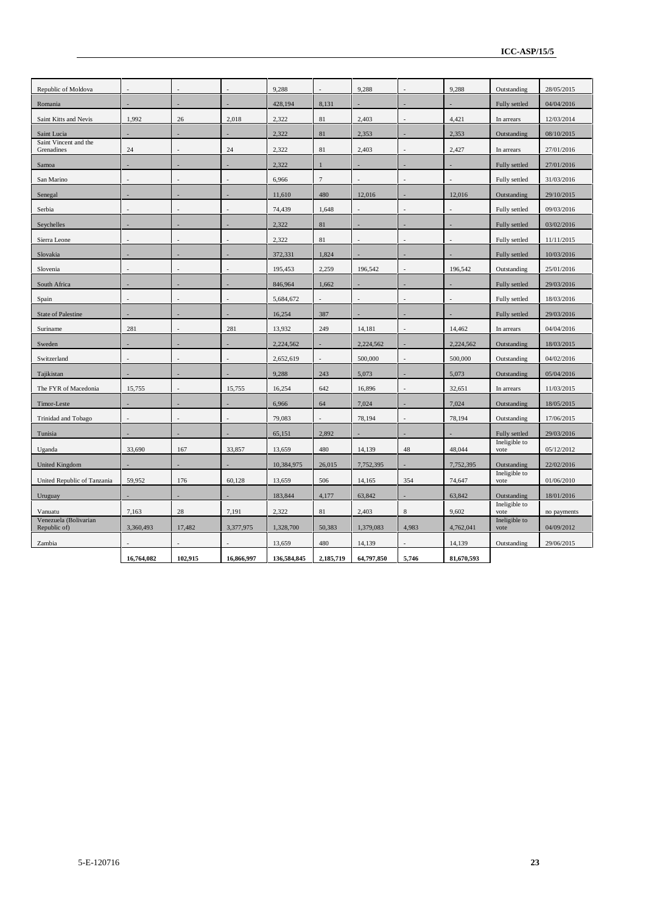| Republic of Moldova                   |            |         |            | 9,288       |              | 9,288          |                          | 9,288      | Outstanding           | 28/05/2015  |
|---------------------------------------|------------|---------|------------|-------------|--------------|----------------|--------------------------|------------|-----------------------|-------------|
| Romania                               |            |         |            | 428,194     | 8,131        |                |                          |            | Fully settled         | 04/04/2016  |
| Saint Kitts and Nevis                 | 1,992      | 26      | 2,018      | 2,322       | 81           | 2,403          |                          | 4,421      | In arrears            | 12/03/2014  |
| Saint Lucia                           |            |         |            | 2,322       | 81           | 2,353          |                          | 2,353      | Outstanding           | 08/10/2015  |
| Saint Vincent and the<br>Grenadines   | 24         |         | 24         | 2,322       | $81\,$       | 2,403          |                          | 2,427      | In arrears            | 27/01/2016  |
| Samoa                                 |            |         |            | 2,322       | $\mathbf{1}$ |                |                          |            | Fully settled         | 27/01/2016  |
| San Marino                            |            |         |            | 6,966       | $\tau$       |                |                          |            | Fully settled         | 31/03/2016  |
| Senegal                               |            |         |            | 11,610      | 480          | 12,016         |                          | 12,016     | Outstanding           | 29/10/2015  |
| Serbia                                | L,         |         |            | 74,439      | 1,648        | $\overline{a}$ | $\overline{\phantom{a}}$ |            | Fully settled         | 09/03/2016  |
| Seychelles                            |            |         |            | 2,322       | 81           |                |                          |            | Fully settled         | 03/02/2016  |
| Sierra Leone                          |            |         |            | 2,322       | 81           |                |                          |            | Fully settled         | 11/11/2015  |
| Slovakia                              |            |         |            | 372,331     | 1,824        |                |                          |            | Fully settled         | 10/03/2016  |
| Slovenia                              |            |         |            | 195,453     | 2,259        | 196,542        |                          | 196,542    | Outstanding           | 25/01/2016  |
| South Africa                          |            |         |            | 846,964     | 1,662        |                |                          |            | Fully settled         | 29/03/2016  |
| Spain                                 | L          |         |            | 5,684,672   |              |                | ÷.                       |            | Fully settled         | 18/03/2016  |
| <b>State of Palestine</b>             |            |         |            | 16,254      | 387          |                |                          |            | Fully settled         | 29/03/2016  |
| Suriname                              | 281        |         | 281        | 13,932      | 249          | 14,181         |                          | 14,462     | In arrears            | 04/04/2016  |
| Sweden                                |            |         |            | 2,224,562   |              | 2,224,562      |                          | 2,224,562  | Outstanding           | 18/03/2015  |
| Switzerland                           |            |         |            | 2,652,619   |              | 500,000        |                          | 500,000    | Outstanding           | 04/02/2016  |
| Tajikistan                            |            |         |            | 9,288       | 243          | 5,073          |                          | 5,073      | Outstanding           | 05/04/2016  |
| The FYR of Macedonia                  | 15,755     |         | 15,755     | 16,254      | 642          | 16,896         |                          | 32,651     | In arrears            | 11/03/2015  |
| Timor-Leste                           | ٠          |         |            | 6,966       | 64           | 7,024          |                          | 7,024      | Outstanding           | 18/05/2015  |
| Trinidad and Tobago                   |            |         |            | 79,083      |              | 78,194         |                          | 78,194     | Outstanding           | 17/06/2015  |
| Tunisia                               |            |         |            | 65,151      | 2,892        |                |                          |            | Fully settled         | 29/03/2016  |
| Uganda                                | 33,690     | 167     | 33,857     | 13,659      | 480          | 14,139         | 48                       | 48,044     | Ineligible to<br>vote | 05/12/2012  |
| <b>United Kingdom</b>                 |            |         |            | 10,384,975  | 26,015       | 7,752,395      |                          | 7,752,395  | Outstanding           | 22/02/2016  |
| United Republic of Tanzania           | 59,952     | 176     | 60,128     | 13,659      | 506          | 14,165         | 354                      | 74,647     | Ineligible to<br>vote | 01/06/2010  |
| Uruguay                               |            |         |            | 183,844     | 4,177        | 63,842         |                          | 63,842     | Outstanding           | 18/01/2016  |
| Vanuatu                               | 7,163      | 28      | 7,191      | 2,322       | 81           | 2,403          | 8                        | 9,602      | Ineligible to<br>vote | no payments |
| Venezuela (Bolivarian<br>Republic of) | 3,360,493  | 17,482  | 3,377,975  | 1,328,700   | 50,383       | 1,379,083      | 4,983                    | 4,762,041  | Ineligible to<br>vote | 04/09/2012  |
| Zambia                                |            |         |            | 13,659      | 480          | 14,139         |                          | 14,139     | Outstanding           | 29/06/2015  |
|                                       | 16,764,082 | 102,915 | 16,866,997 | 136,584,845 | 2,185,719    | 64,797,850     | 5,746                    | 81,670,593 |                       |             |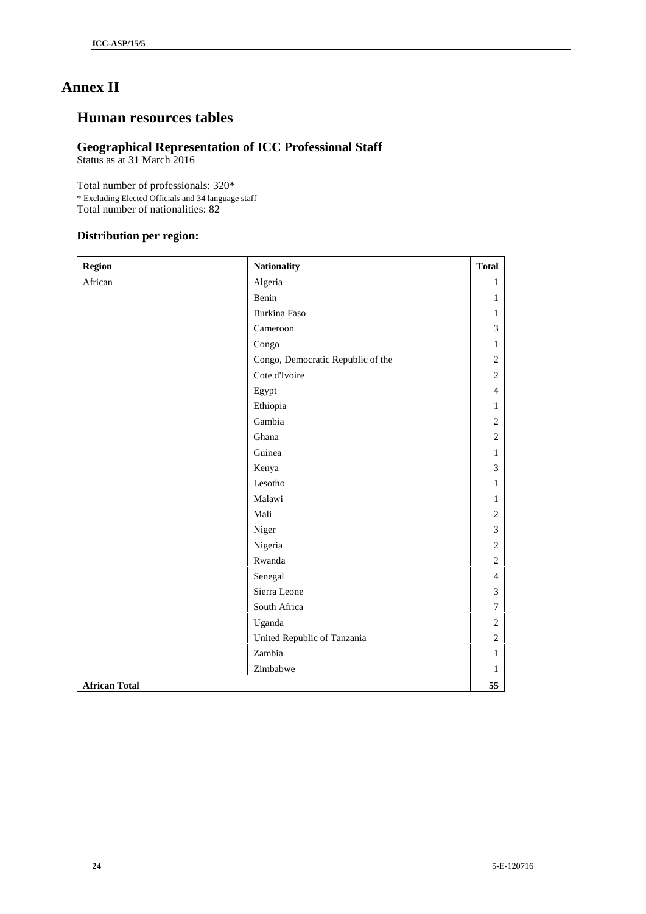## **Annex II**

## **Human resources tables**

## **Geographical Representation of ICC Professional Staff**

Status as at 31 March 2016

Total number of professionals: 320\* \* Excluding Elected Officials and 34 language staff Total number of nationalities: 82

## **Distribution per region:**

| <b>Region</b>        | <b>Nationality</b>                | <b>Total</b>   |
|----------------------|-----------------------------------|----------------|
| African              | Algeria                           | $\mathbf{1}$   |
|                      | Benin                             | $\mathbf{1}$   |
|                      | <b>Burkina Faso</b>               | $\mathbf{1}$   |
|                      | Cameroon                          | 3              |
|                      | Congo                             | $\mathbf{1}$   |
|                      | Congo, Democratic Republic of the | $\mathbf{2}$   |
|                      | Cote d'Ivoire                     | $\overline{c}$ |
|                      | Egypt                             | $\overline{4}$ |
|                      | Ethiopia                          | 1              |
|                      | Gambia                            | $\mathbf{2}$   |
|                      | Ghana                             | 2              |
|                      | Guinea                            | $\mathbf{1}$   |
|                      | Kenya                             | 3              |
|                      | Lesotho                           | $\mathbf{1}$   |
|                      | Malawi                            | $\mathbf{1}$   |
|                      | Mali                              | $\mathbf{2}$   |
|                      | Niger                             | 3              |
|                      | Nigeria                           | $\overline{2}$ |
|                      | Rwanda                            | 2              |
|                      | Senegal                           | $\overline{4}$ |
|                      | Sierra Leone                      | 3              |
|                      | South Africa                      | 7              |
|                      | Uganda                            | $\sqrt{2}$     |
|                      | United Republic of Tanzania       | $\overline{c}$ |
|                      | Zambia                            | 1              |
|                      | Zimbabwe                          | $\mathbf{1}$   |
| <b>African Total</b> |                                   | 55             |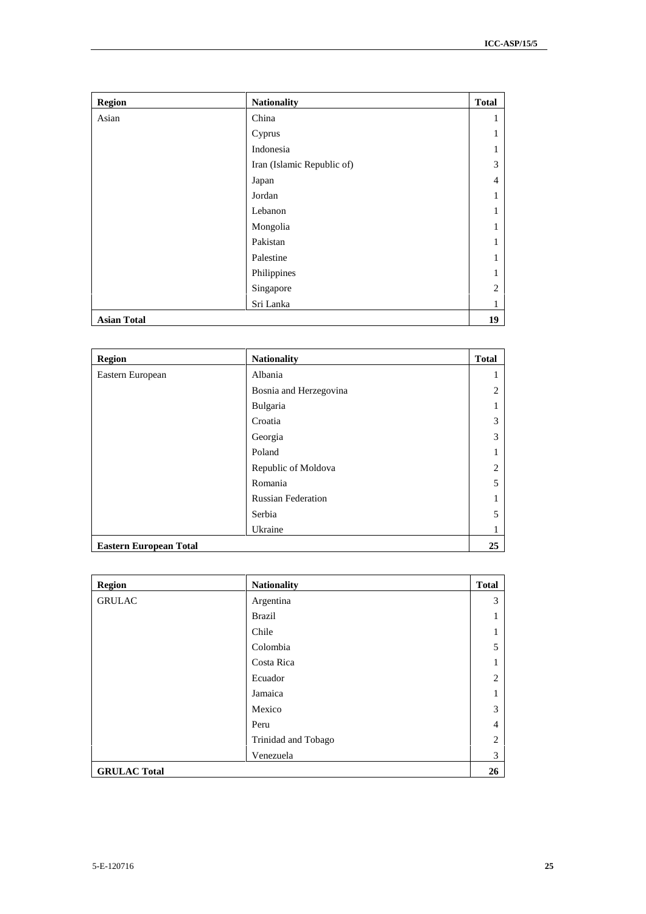| <b>Region</b>      | <b>Nationality</b>         | <b>Total</b>   |
|--------------------|----------------------------|----------------|
| Asian              | China                      | 1              |
|                    | Cyprus                     | 1              |
|                    | Indonesia                  | 1              |
|                    | Iran (Islamic Republic of) | 3              |
|                    | Japan                      | 4              |
|                    | Jordan                     | 1              |
|                    | Lebanon                    | 1              |
|                    | Mongolia                   | 1              |
|                    | Pakistan                   | 1              |
|                    | Palestine                  | $\mathbf{1}$   |
|                    | Philippines                | 1              |
|                    | Singapore                  | $\overline{2}$ |
|                    | Sri Lanka                  | $\mathbf{1}$   |
| <b>Asian Total</b> |                            | 19             |

| <b>Region</b>                 | <b>Nationality</b>        | <b>Total</b>   |
|-------------------------------|---------------------------|----------------|
| Eastern European              | Albania                   | 1              |
|                               | Bosnia and Herzegovina    | $\overline{2}$ |
|                               | Bulgaria                  |                |
|                               | Croatia                   | 3              |
|                               | Georgia                   | 3              |
|                               | Poland                    | ш              |
|                               | Republic of Moldova       | $\overline{2}$ |
|                               | Romania                   | 5              |
|                               | <b>Russian Federation</b> |                |
|                               | Serbia                    | 5              |
|                               | Ukraine                   | 1              |
| <b>Eastern European Total</b> |                           | 25             |

| <b>Region</b>       | <b>Nationality</b>  | <b>Total</b>   |
|---------------------|---------------------|----------------|
| <b>GRULAC</b>       | Argentina           | 3              |
|                     | <b>Brazil</b>       | 1              |
|                     | Chile               | -1             |
|                     | Colombia            | 5              |
|                     | Costa Rica          | 1              |
|                     | Ecuador             | $\overline{2}$ |
|                     | Jamaica             | 1              |
|                     | Mexico              | 3              |
|                     | Peru                | $\overline{4}$ |
|                     | Trinidad and Tobago | $\overline{2}$ |
|                     | Venezuela           | 3              |
| <b>GRULAC Total</b> |                     | 26             |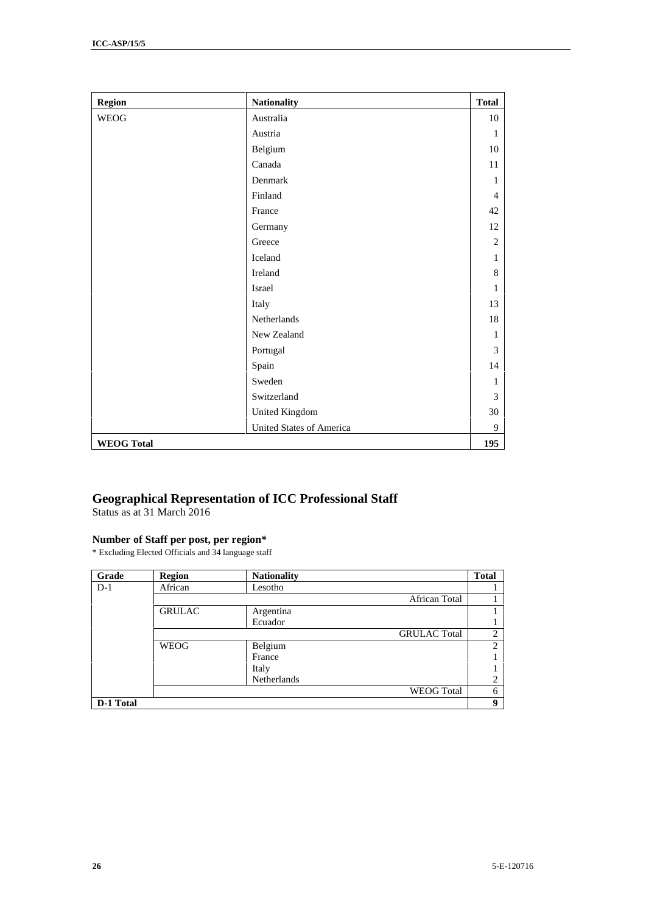| <b>Region</b>     | <b>Nationality</b>              | <b>Total</b>   |
|-------------------|---------------------------------|----------------|
| <b>WEOG</b>       | Australia                       | 10             |
|                   | Austria                         | 1              |
|                   | Belgium                         | 10             |
|                   | Canada                          | 11             |
|                   | Denmark                         | 1              |
|                   | Finland                         | $\overline{4}$ |
|                   | France                          | 42             |
|                   | Germany                         | 12             |
|                   | Greece                          | $\overline{2}$ |
|                   | Iceland                         | $\mathbf{1}$   |
|                   | Ireland                         | 8              |
|                   | Israel                          | $\mathbf{1}$   |
|                   | Italy                           | 13             |
|                   | Netherlands                     | 18             |
|                   | New Zealand                     | $\mathbf{1}$   |
|                   | Portugal                        | 3              |
|                   | Spain                           | 14             |
|                   | Sweden                          | 1              |
|                   | Switzerland                     | 3              |
|                   | <b>United Kingdom</b>           | 30             |
|                   | <b>United States of America</b> | 9              |
| <b>WEOG Total</b> |                                 | 195            |

## **Geographical Representation of ICC Professional Staff**

Status as at 31 March 2016

### **Number of Staff per post, per region\***

\* Excluding Elected Officials and 34 language staff

| Grade     | <b>Region</b> | <b>Nationality</b> |                     | <b>Total</b>   |
|-----------|---------------|--------------------|---------------------|----------------|
| $D-1$     | African       | Lesotho            |                     |                |
|           |               |                    | African Total       |                |
|           | <b>GRULAC</b> | Argentina          |                     |                |
|           |               | Ecuador            |                     |                |
|           |               |                    | <b>GRULAC</b> Total | $\overline{2}$ |
|           | <b>WEOG</b>   | Belgium            |                     | ↑              |
|           |               | France             |                     |                |
|           |               | Italy              |                     |                |
|           |               | Netherlands        |                     | ◠<br>∠         |
|           |               |                    | <b>WEOG</b> Total   | 6              |
| D-1 Total |               |                    |                     | 9              |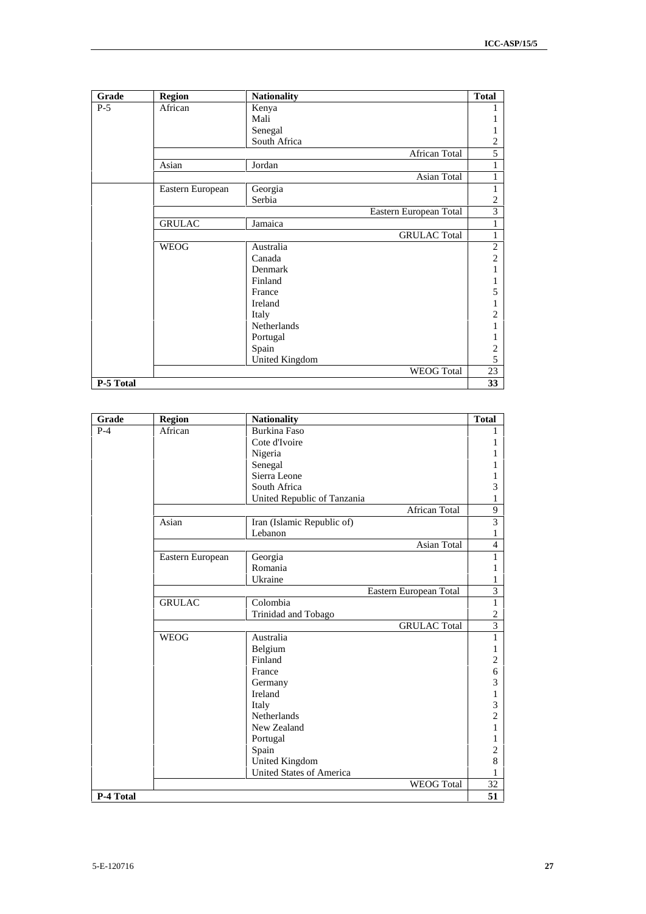| Grade     | <b>Region</b>    | <b>Nationality</b>     | <b>Total</b>   |
|-----------|------------------|------------------------|----------------|
| $P-5$     | African          | Kenya                  |                |
|           |                  | Mali                   | 1              |
|           |                  | Senegal                | 1              |
|           |                  | South Africa           | $\overline{c}$ |
|           |                  | African Total          | 5              |
|           | Asian            | Jordan                 | 1              |
|           |                  | Asian Total            | 1              |
|           | Eastern European | Georgia                | 1              |
|           |                  | Serbia                 | $\overline{c}$ |
|           |                  | Eastern European Total | 3              |
|           | <b>GRULAC</b>    | Jamaica                | $\mathbf{1}$   |
|           |                  | <b>GRULAC Total</b>    | $\mathbf{1}$   |
|           | <b>WEOG</b>      | Australia              | $\overline{c}$ |
|           |                  | Canada                 | $\overline{c}$ |
|           |                  | Denmark                | 1              |
|           |                  | Finland                | 1              |
|           |                  | France                 | 5              |
|           |                  | Ireland                | 1              |
|           |                  | Italy                  | $\overline{c}$ |
|           |                  | Netherlands            | 1              |
|           |                  | Portugal               |                |
|           |                  | Spain                  | $\overline{c}$ |
|           |                  | United Kingdom         | 5              |
|           |                  | <b>WEOG</b> Total      | 23             |
| P-5 Total |                  |                        | 33             |

| Grade     | <b>Region</b>    | <b>Nationality</b>              | <b>Total</b>   |
|-----------|------------------|---------------------------------|----------------|
| $P-4$     | African          | <b>Burkina Faso</b>             | T              |
|           |                  | Cote d'Ivoire                   | 1              |
|           |                  | Nigeria                         | 1              |
|           |                  | Senegal                         | 1              |
|           |                  | Sierra Leone                    | 1              |
|           |                  | South Africa                    | 3              |
|           |                  | United Republic of Tanzania     | 1              |
|           |                  | <b>African Total</b>            | 9              |
|           | Asian            | Iran (Islamic Republic of)      | 3              |
|           |                  | Lebanon                         | 1              |
|           |                  | Asian Total                     | 4              |
|           | Eastern European | Georgia                         | 1              |
|           |                  | Romania                         | 1              |
|           |                  | Ukraine                         | 1              |
|           |                  | Eastern European Total          | 3              |
|           | <b>GRULAC</b>    | Colombia                        | $\mathbf{1}$   |
|           |                  | Trinidad and Tobago             | $\overline{c}$ |
|           |                  | <b>GRULAC Total</b>             | $\overline{3}$ |
|           | <b>WEOG</b>      | Australia                       | $\,1$          |
|           |                  | Belgium                         | 1              |
|           |                  | Finland                         | $\overline{c}$ |
|           |                  | France                          | 6              |
|           |                  | Germany                         | 3              |
|           |                  | Ireland                         | 1              |
|           |                  | Italy                           | 3              |
|           |                  | <b>Netherlands</b>              | 2              |
|           |                  | New Zealand                     | 1              |
|           |                  | Portugal                        | 1              |
|           |                  | Spain                           | 2              |
|           |                  | United Kingdom                  | 8              |
|           |                  | <b>United States of America</b> | 1              |
|           |                  | <b>WEOG</b> Total               | 32             |
| P-4 Total |                  |                                 | 51             |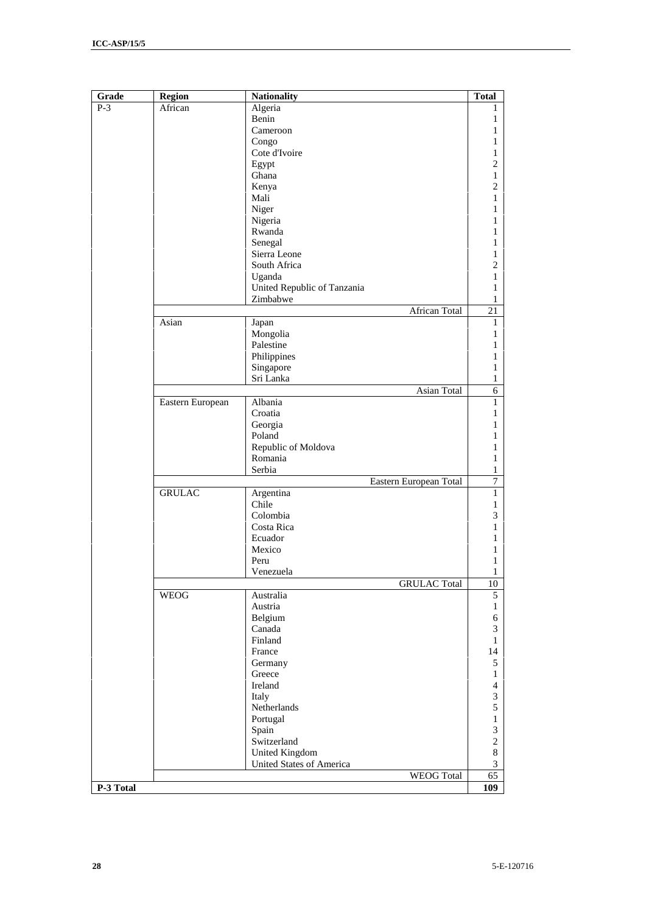| Grade | <b>Region</b>    | <b>Nationality</b>                            | <b>Total</b>                |
|-------|------------------|-----------------------------------------------|-----------------------------|
| $P-3$ | African          | Algeria                                       | T                           |
|       |                  | Benin                                         | 1                           |
|       |                  | Cameroon                                      | 1                           |
|       |                  | Congo                                         | 1                           |
|       |                  | Cote d'Ivoire                                 | 1                           |
|       |                  | Egypt                                         | $\mathbf{2}$                |
|       |                  | Ghana                                         | 1                           |
|       |                  | Kenya                                         | $\mathbf{2}$                |
|       |                  | Mali                                          | 1                           |
|       |                  | Niger                                         | 1                           |
|       |                  | Nigeria                                       | 1                           |
|       |                  | Rwanda                                        | 1                           |
|       |                  | Senegal                                       | 1                           |
|       |                  | Sierra Leone                                  | 1                           |
|       |                  | South Africa                                  | $\overline{c}$              |
|       |                  | Uganda                                        | 1                           |
|       |                  | United Republic of Tanzania                   | 1                           |
|       |                  | Zimbabwe                                      | 1                           |
|       |                  | African Total                                 | 21                          |
|       | Asian            | Japan                                         | 1                           |
|       |                  | Mongolia                                      | 1                           |
|       |                  | Palestine                                     | 1                           |
|       |                  | Philippines                                   | 1                           |
|       |                  | Singapore                                     | 1                           |
|       |                  | Sri Lanka                                     | 1                           |
|       |                  | <b>Asian Total</b>                            | $\sqrt{6}$                  |
|       | Eastern European | Albania                                       | 1                           |
|       |                  | Croatia                                       | 1                           |
|       |                  | Georgia                                       | 1                           |
|       |                  | Poland                                        | 1                           |
|       |                  | Republic of Moldova                           | 1                           |
|       |                  | Romania                                       | 1                           |
|       |                  | Serbia                                        | 1                           |
|       |                  | Eastern European Total                        | $\boldsymbol{7}$            |
|       | <b>GRULAC</b>    | Argentina                                     | 1                           |
|       |                  | Chile                                         | 1                           |
|       |                  | Colombia                                      | 3                           |
|       |                  | Costa Rica                                    | 1                           |
|       |                  | Ecuador                                       | 1                           |
|       |                  | Mexico                                        | 1                           |
|       |                  | Peru                                          | 1                           |
|       |                  | Venezuela                                     | 1                           |
|       |                  | <b>GRULAC</b> Total                           | $10\,$                      |
|       | <b>WEOG</b>      | Australia                                     | 5                           |
|       |                  | Austria                                       | $\mathbf{1}$                |
|       |                  | Belgium                                       | 6                           |
|       |                  | Canada                                        | $\ensuremath{\mathfrak{Z}}$ |
|       |                  | Finland                                       | $\mathbf{1}$                |
|       |                  | France                                        | 14                          |
|       |                  | Germany                                       | 5                           |
|       |                  | Greece                                        | $\mathbf{1}$                |
|       |                  | Ireland                                       | $\overline{4}$              |
|       |                  | Italy                                         | $\mathfrak{Z}$              |
|       |                  | Netherlands                                   | 5                           |
|       |                  | Portugal                                      | $\,1$                       |
|       |                  | Spain                                         | 3                           |
|       |                  | Switzerland                                   | $\sqrt{2}$                  |
|       |                  |                                               |                             |
|       |                  |                                               |                             |
|       |                  | United Kingdom                                | $\,8\,$                     |
|       |                  | United States of America<br><b>WEOG</b> Total | 3<br>65                     |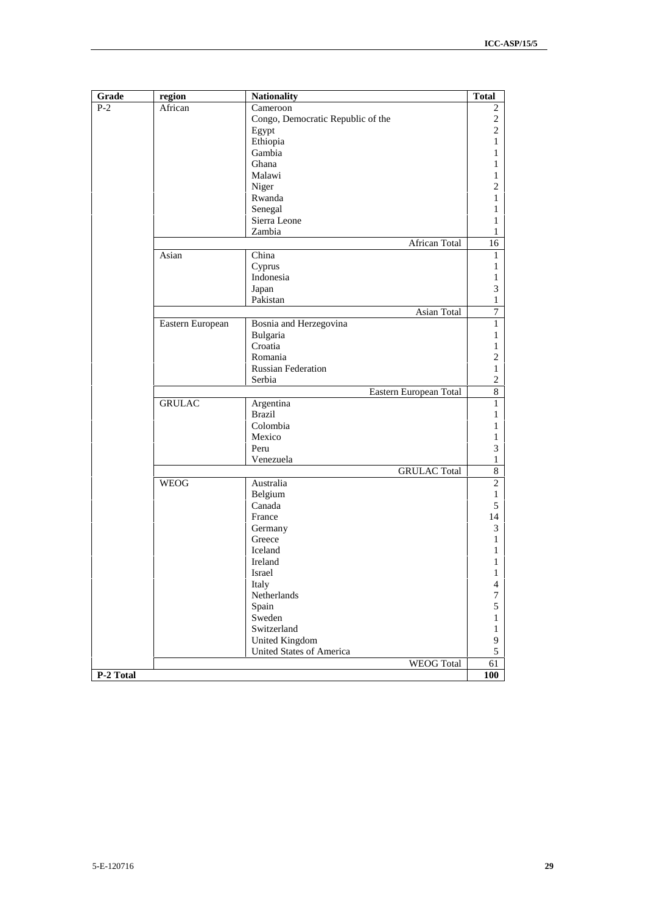| $P-2$<br>African | Cameroon<br>Congo, Democratic Republic of the<br>Egypt | 2<br>$\overline{c}$ |  |  |  |  |  |  |
|------------------|--------------------------------------------------------|---------------------|--|--|--|--|--|--|
|                  |                                                        |                     |  |  |  |  |  |  |
|                  |                                                        |                     |  |  |  |  |  |  |
|                  |                                                        | $\mathbf{2}$        |  |  |  |  |  |  |
|                  | Ethiopia                                               | 1                   |  |  |  |  |  |  |
|                  | Gambia                                                 | 1                   |  |  |  |  |  |  |
|                  | Ghana                                                  | 1                   |  |  |  |  |  |  |
|                  | Malawi                                                 | 1                   |  |  |  |  |  |  |
|                  | Niger                                                  | 2                   |  |  |  |  |  |  |
|                  | Rwanda                                                 | 1                   |  |  |  |  |  |  |
|                  | Senegal                                                | 1                   |  |  |  |  |  |  |
|                  | Sierra Leone                                           | 1                   |  |  |  |  |  |  |
|                  | Zambia                                                 | 1                   |  |  |  |  |  |  |
|                  | African Total                                          | 16                  |  |  |  |  |  |  |
| Asian            | China                                                  |                     |  |  |  |  |  |  |
|                  | Cyprus                                                 | 1                   |  |  |  |  |  |  |
|                  | Indonesia                                              | 1                   |  |  |  |  |  |  |
|                  | Japan                                                  | 3                   |  |  |  |  |  |  |
|                  | Pakistan                                               | 1                   |  |  |  |  |  |  |
|                  | Asian Total                                            | $\boldsymbol{7}$    |  |  |  |  |  |  |
| Eastern European | Bosnia and Herzegovina                                 | 1                   |  |  |  |  |  |  |
|                  | Bulgaria                                               | 1                   |  |  |  |  |  |  |
|                  | Croatia                                                | 1                   |  |  |  |  |  |  |
|                  | Romania                                                | 2                   |  |  |  |  |  |  |
|                  | <b>Russian Federation</b>                              | 1                   |  |  |  |  |  |  |
|                  | Serbia                                                 | $\overline{c}$      |  |  |  |  |  |  |
|                  | Eastern European Total                                 |                     |  |  |  |  |  |  |
| <b>GRULAC</b>    | Argentina                                              | 1                   |  |  |  |  |  |  |
|                  | <b>Brazil</b>                                          | 1                   |  |  |  |  |  |  |
|                  | Colombia                                               | 1                   |  |  |  |  |  |  |
|                  | Mexico                                                 | 1                   |  |  |  |  |  |  |
|                  | Peru                                                   | 3                   |  |  |  |  |  |  |
|                  | Venezuela                                              | 1                   |  |  |  |  |  |  |
|                  | <b>GRULAC Total</b>                                    | $\,8\,$             |  |  |  |  |  |  |
| <b>WEOG</b>      | Australia                                              | $\mathfrak{2}$      |  |  |  |  |  |  |
|                  | Belgium                                                | 1                   |  |  |  |  |  |  |
|                  | Canada                                                 | 5                   |  |  |  |  |  |  |
|                  | France                                                 | 14                  |  |  |  |  |  |  |
|                  | Germany                                                | $\mathfrak{Z}$      |  |  |  |  |  |  |
|                  | Greece                                                 | 1                   |  |  |  |  |  |  |
|                  | Iceland                                                | 1                   |  |  |  |  |  |  |
|                  | Ireland                                                | 1                   |  |  |  |  |  |  |
|                  | Israel                                                 | 1                   |  |  |  |  |  |  |
|                  | Italy                                                  | $\overline{4}$      |  |  |  |  |  |  |
|                  | Netherlands                                            | $\boldsymbol{7}$    |  |  |  |  |  |  |
|                  | Spain                                                  | 5                   |  |  |  |  |  |  |
|                  | Sweden                                                 | 1                   |  |  |  |  |  |  |
|                  | Switzerland                                            | 1                   |  |  |  |  |  |  |
|                  | <b>United Kingdom</b>                                  | 9                   |  |  |  |  |  |  |
|                  | United States of America                               | 5                   |  |  |  |  |  |  |
|                  | <b>WEOG Total</b>                                      | 61                  |  |  |  |  |  |  |
| P-2 Total        |                                                        | 100                 |  |  |  |  |  |  |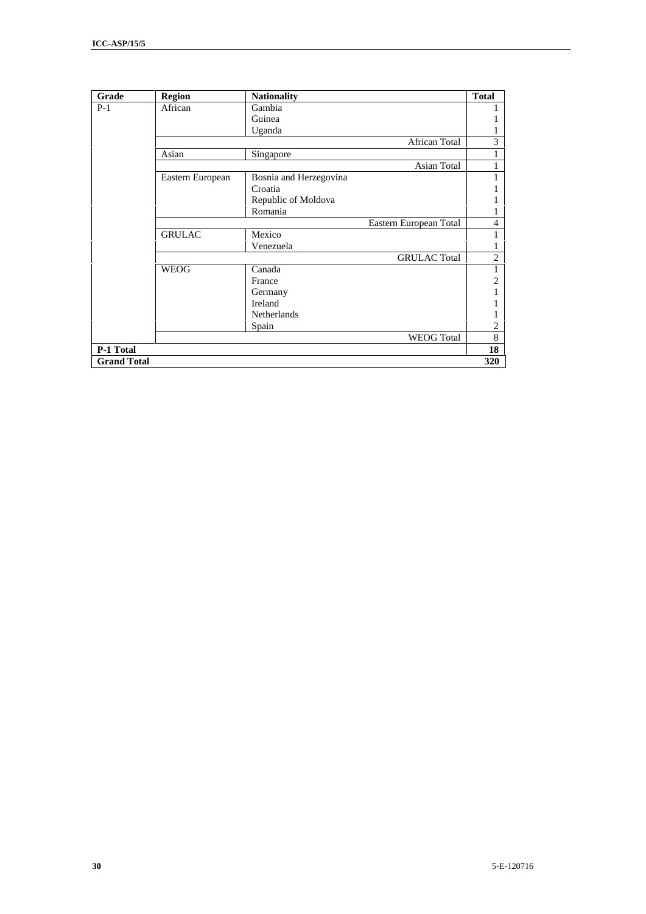| Grade              | <b>Region</b>    | <b>Nationality</b>     | <b>Total</b>   |
|--------------------|------------------|------------------------|----------------|
| $P-1$              | African          | Gambia                 |                |
|                    |                  | Guinea                 |                |
|                    |                  | Uganda                 |                |
|                    |                  | African Total          | 3              |
|                    | Asian            | Singapore              | ı              |
|                    |                  | Asian Total            | 1              |
|                    | Eastern European | Bosnia and Herzegovina | 1              |
|                    |                  | Croatia                |                |
|                    |                  | Republic of Moldova    |                |
|                    |                  | Romania                |                |
|                    |                  | Eastern European Total | 4              |
|                    | <b>GRULAC</b>    | Mexico                 | 1              |
|                    |                  | Venezuela              | 1              |
|                    |                  | <b>GRULAC Total</b>    | $\overline{2}$ |
|                    | <b>WEOG</b>      | Canada                 | 1              |
|                    |                  | France                 | $\overline{2}$ |
|                    |                  | Germany                |                |
|                    |                  | Ireland                |                |
|                    |                  | <b>Netherlands</b>     |                |
|                    |                  | Spain                  | 2              |
|                    |                  | <b>WEOG</b> Total      | 8              |
| P-1 Total          |                  |                        | 18             |
| <b>Grand Total</b> |                  |                        | 320            |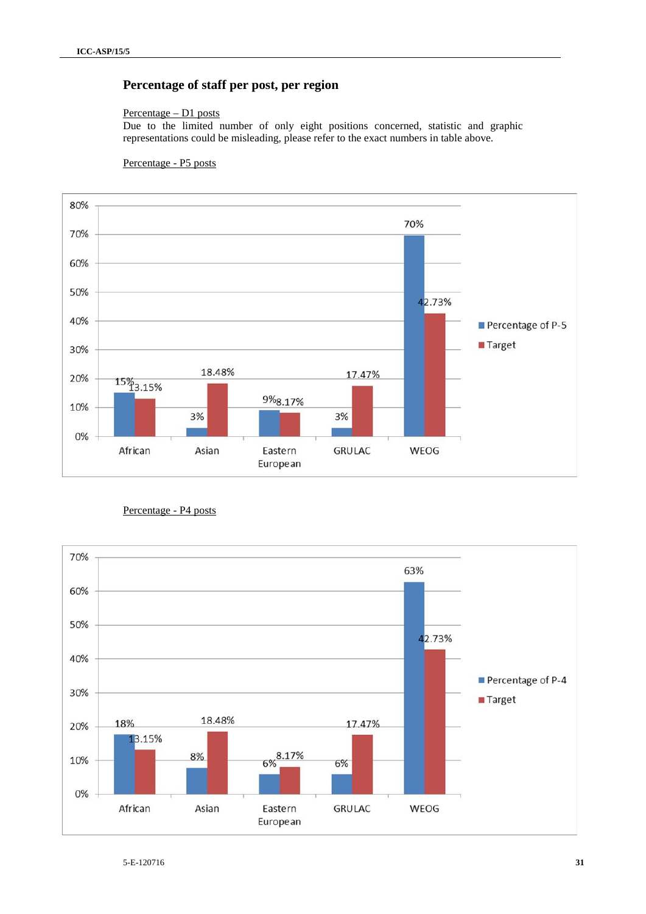## **Percentage of staff per post, per region**

### Percentage – D1 posts

Due to the limited number of only eight positions concerned, statistic and graphic representations could be misleading, please refer to the exact numbers in table above.

### Percentage - P5 posts



Percentage - P4 posts

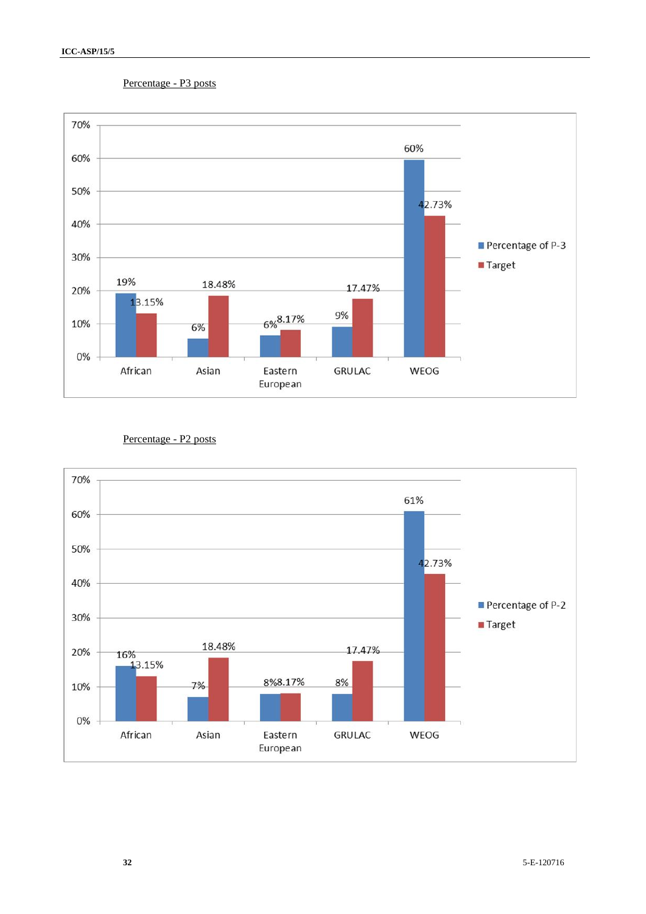### Percentage - P3 posts



### Percentage - P2 posts

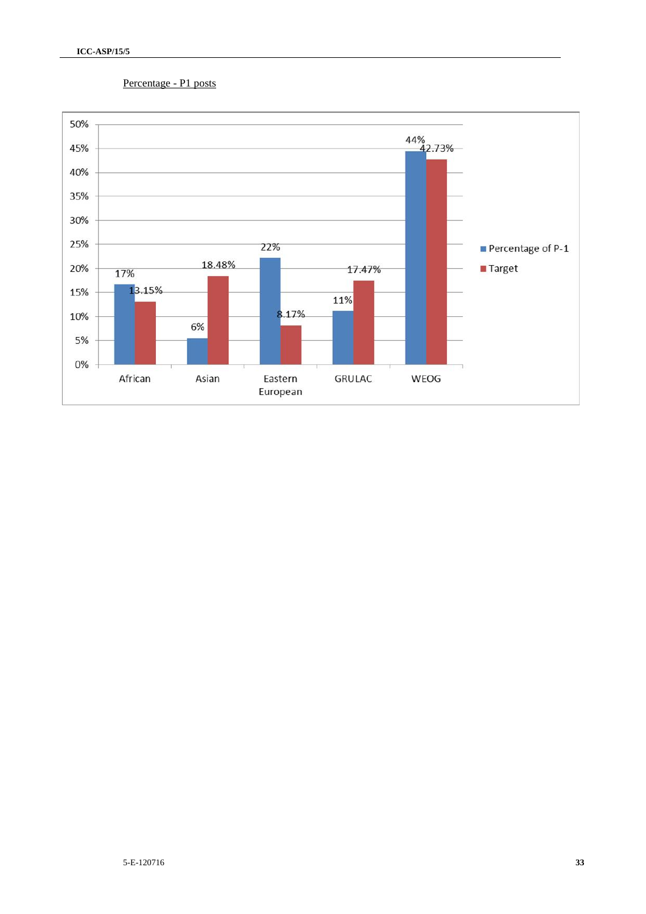### Percentage - P1 posts

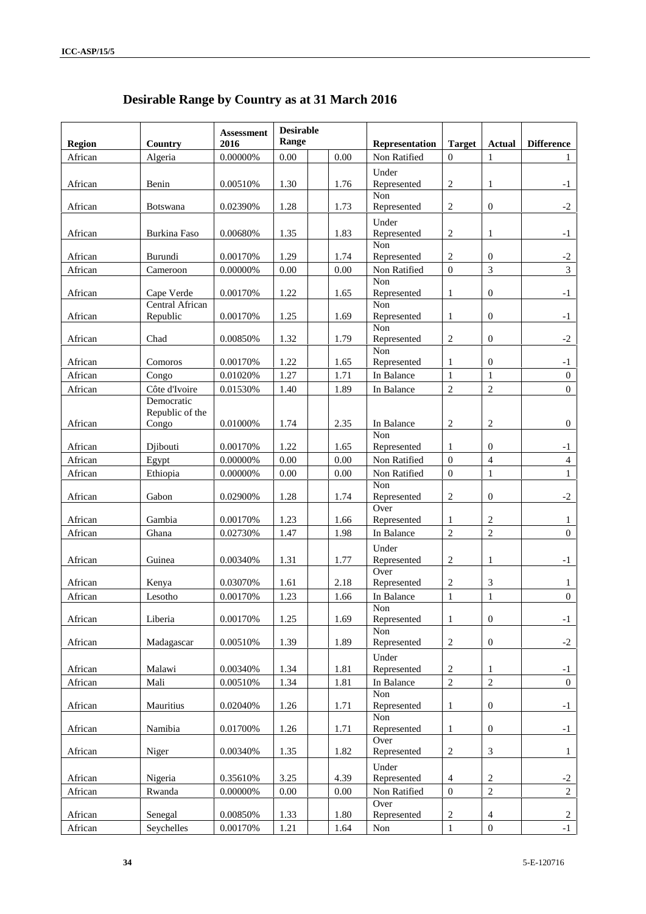|               |                          | <b>Assessment</b> | <b>Desirable</b> |               |                    |                   |                  |                |
|---------------|--------------------------|-------------------|------------------|---------------|--------------------|-------------------|------------------|----------------|
| <b>Region</b> | Range<br>2016<br>Country |                   | Representation   | <b>Target</b> | <b>Actual</b>      | <b>Difference</b> |                  |                |
| African       | Algeria                  | 0.00000%          | $0.00\,$         | 0.00          | Non Ratified       | $\mathbf{0}$      | 1                |                |
|               |                          |                   |                  |               | Under              |                   |                  |                |
| African       | Benin                    | 0.00510\%         | 1.30             | 1.76          | Represented        | $\overline{2}$    | $\mathbf{1}$     | $-1$           |
|               |                          |                   |                  |               | Non                |                   |                  |                |
| African       | <b>Botswana</b>          | 0.02390%          | 1.28             | 1.73          | Represented        | $\overline{2}$    | $\boldsymbol{0}$ | $-2$           |
|               |                          |                   |                  |               | Under              |                   |                  |                |
| African       | <b>Burkina Faso</b>      | 0.00680%          | 1.35             | 1.83          | Represented        | $\overline{2}$    | 1                | $-1$           |
| African       | Burundi                  | 0.00170%          | 1.29             | 1.74          | Non<br>Represented | 2                 | $\overline{0}$   | $-2$           |
| African       | Cameroon                 | 0.00000%          | 0.00             | 0.00          | Non Ratified       | $\overline{0}$    | $\overline{3}$   | 3              |
|               |                          |                   |                  |               | Non                |                   |                  |                |
| African       | Cape Verde               | 0.00170%          | 1.22             | 1.65          | Represented        | $\mathbf{1}$      | $\boldsymbol{0}$ | $-1$           |
|               | Central African          |                   |                  |               | Non                |                   |                  |                |
| African       | Republic                 | 0.00170%          | 1.25             | 1.69          | Represented        | 1                 | $\mathbf{0}$     | $-1$           |
| African       | Chad                     | 0.00850%          | 1.32             | 1.79          | Non<br>Represented | $\overline{c}$    | $\mathbf{0}$     | $-2$           |
|               |                          |                   |                  |               | Non                |                   |                  |                |
| African       | Comoros                  | 0.00170%          | 1.22             | 1.65          | Represented        | $\mathbf{1}$      | $\boldsymbol{0}$ | $-1$           |
| African       | Congo                    | 0.01020%          | 1.27             | 1.71          | In Balance         | $\mathbf{1}$      | $\mathbf{1}$     | 0              |
| African       | Côte d'Ivoire            | 0.01530%          | 1.40             | 1.89          | In Balance         | $\overline{c}$    | $\overline{c}$   | $\overline{0}$ |
|               | Democratic               |                   |                  |               |                    |                   |                  |                |
|               | Republic of the          |                   |                  |               |                    |                   |                  |                |
| African       | Congo                    | 0.01000%          | 1.74             | 2.35          | In Balance         | $\overline{c}$    | $\sqrt{2}$       | $\mathbf{0}$   |
| African       | Djibouti                 | 0.00170%          | 1.22             | 1.65          | Non<br>Represented | 1                 | $\overline{0}$   | $-1$           |
| African       | Egypt                    | 0.00000%          | 0.00             | 0.00          | Non Ratified       | $\boldsymbol{0}$  | $\overline{4}$   | $\overline{4}$ |
| African       | Ethiopia                 | $0.00000\%$       | 0.00             | 0.00          | Non Ratified       | $\boldsymbol{0}$  | $\mathbf{1}$     | $\mathbf{1}$   |
|               |                          |                   |                  |               | Non                |                   |                  |                |
| African       | Gabon                    | 0.02900%          | 1.28             | 1.74          | Represented        | $\overline{2}$    | $\mathbf{0}$     | $-2$           |
|               |                          |                   |                  |               | Over               |                   |                  |                |
| African       | Gambia                   | 0.00170%          | 1.23             | 1.66          | Represented        | 1                 | $\overline{c}$   | $\mathbf{1}$   |
| African       | Ghana                    | 0.02730%          | 1.47             | 1.98          | In Balance         | $\overline{2}$    | $\overline{c}$   | $\overline{0}$ |
|               |                          |                   |                  |               | Under              |                   |                  |                |
| African       | Guinea                   | 0.00340%          | 1.31             | 1.77          | Represented        | $\overline{c}$    | $\mathbf{1}$     | $-1$           |
| African       |                          | 0.03070%          | 1.61             | 2.18          | Over               |                   | 3                |                |
|               | Kenya                    | 0.00170%          |                  |               | Represented        | $\overline{c}$    | $\mathbf{1}$     | 1              |
| African       | Lesotho                  |                   | 1.23             | 1.66          | In Balance<br>Non  | $\mathbf{1}$      |                  | $\overline{0}$ |
| African       | Liberia                  | 0.00170%          | 1.25             | 1.69          | Represented        | $\mathbf{1}$      | $\boldsymbol{0}$ | $^{\rm -1}$    |
|               |                          |                   |                  |               | Non                |                   |                  |                |
| African       | Madagascar               | 0.00510%          | 1.39             | 1.89          | Represented        | $\sqrt{2}$        | $\boldsymbol{0}$ | $-2$           |
|               |                          |                   |                  |               | Under              |                   |                  |                |
| African       | Malawi                   | 0.00340%          | 1.34             | 1.81          | Represented        | $\sqrt{2}$        | $\mathbf{1}$     | $-1$           |
| African       | Mali                     | 0.00510%          | 1.34             | 1.81          | In Balance         | $\overline{2}$    | $\overline{2}$   | $\overline{0}$ |
|               |                          |                   |                  |               | Non                |                   |                  |                |
| African       | Mauritius                | 0.02040%          | 1.26             | 1.71          | Represented<br>Non | 1                 | $\boldsymbol{0}$ | $-1$           |
| African       | Namibia                  | 0.01700%          | 1.26             | 1.71          | Represented        | $\mathbf{1}$      | $\boldsymbol{0}$ | $-1$           |
|               |                          |                   |                  |               | Over               |                   |                  |                |
| African       | Niger                    | 0.00340%          | 1.35             | 1.82          | Represented        | $\boldsymbol{2}$  | $\mathfrak{Z}$   | 1              |
|               |                          |                   |                  |               | Under              |                   |                  |                |
| African       | Nigeria                  | 0.35610%          | 3.25             | 4.39          | Represented        | $\overline{4}$    | $\sqrt{2}$       | $-2$           |
| African       | Rwanda                   | $0.00000\%$       | $0.00\,$         | $0.00\,$      | Non Ratified       | $\boldsymbol{0}$  | $\overline{2}$   | $\overline{2}$ |
|               |                          |                   |                  |               | Over               |                   |                  |                |
| African       | Senegal                  | 0.00850%          | 1.33             | 1.80          | Represented        | $\overline{c}$    | $\overline{4}$   | 2              |
| African       | Seychelles               | 0.00170%          | 1.21             | 1.64          | Non                | $\mathbf{1}$      | $\boldsymbol{0}$ | $-1$           |

## **Desirable Range by Country as at 31 March 2016**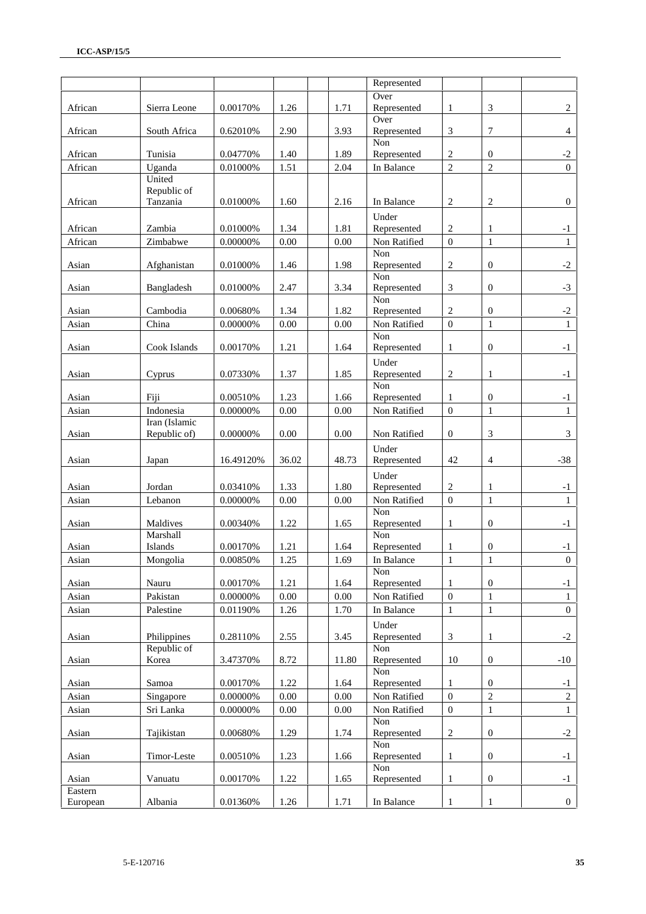|          |                      |             |          |          | Represented          |                  |                  |                  |
|----------|----------------------|-------------|----------|----------|----------------------|------------------|------------------|------------------|
|          |                      |             |          |          | Over                 |                  |                  |                  |
| African  | Sierra Leone         | 0.00170%    | 1.26     | 1.71     | Represented          | $\mathbf{1}$     | 3                | 2                |
|          |                      |             |          |          | Over                 |                  |                  |                  |
| African  | South Africa         | 0.62010%    | 2.90     | 3.93     | Represented          | 3                | 7                | 4                |
| African  | Tunisia              | 0.04770%    | 1.40     | 1.89     | Non<br>Represented   | $\overline{c}$   | $\mathbf{0}$     | $-2$             |
| African  | Uganda               | 0.01000%    | 1.51     | 2.04     | In Balance           | $\overline{2}$   | $\sqrt{2}$       | $\Omega$         |
|          | United               |             |          |          |                      |                  |                  |                  |
|          | Republic of          |             |          |          |                      |                  |                  |                  |
| African  | Tanzania             | 0.01000%    | 1.60     | 2.16     | In Balance           | $\mathbf{2}$     | $\overline{2}$   | $\overline{0}$   |
|          |                      |             |          |          | Under                |                  |                  |                  |
| African  | Zambia               | 0.01000%    | 1.34     | 1.81     | Represented          | 2                | 1                | $-1$             |
| African  | Zimbabwe             | 0.00000%    | $0.00\,$ | $0.00\,$ | Non Ratified         | $\boldsymbol{0}$ | $\mathbf 1$      | $\mathbf{1}$     |
|          |                      |             |          |          | Non                  |                  |                  |                  |
| Asian    | Afghanistan          | 0.01000%    | 1.46     | 1.98     | Represented          | 2                | $\boldsymbol{0}$ | $-2$             |
|          |                      |             |          |          | Non                  |                  |                  |                  |
| Asian    | Bangladesh           | 0.01000%    | 2.47     | 3.34     | Represented          | 3                | $\mathbf{0}$     | $-3$             |
|          |                      |             |          |          | Non                  |                  |                  |                  |
| Asian    | Cambodia             | 0.00680%    | 1.34     | 1.82     | Represented          | 2                | $\overline{0}$   | $-2$             |
| Asian    | China                | 0.00000%    | 0.00     | 0.00     | Non Ratified         | $\mathbf{0}$     | $\mathbf{1}$     | 1                |
| Asian    | Cook Islands         | 0.00170%    | 1.21     | 1.64     | Non<br>Represented   | 1                | $\boldsymbol{0}$ | $-1$             |
|          |                      |             |          |          |                      |                  |                  |                  |
| Asian    | Cyprus               | 0.07330%    | 1.37     | 1.85     | Under<br>Represented | $\mathbf{2}$     | $\mathbf{1}$     | $-1$             |
|          |                      |             |          |          | Non                  |                  |                  |                  |
| Asian    | Fiji                 | 0.00510%    | 1.23     | 1.66     | Represented          | -1               | $\mathbf{0}$     | $-1$             |
| Asian    | Indonesia            | 0.00000%    | $0.00\,$ | 0.00     | Non Ratified         | $\mathbf{0}$     | $\mathbf{1}$     | $\mathbf{1}$     |
|          | Iran (Islamic        |             |          |          |                      |                  |                  |                  |
| Asian    | Republic of)         | 0.00000%    | $0.00\,$ | $0.00\,$ | Non Ratified         | $\overline{0}$   | $\mathfrak{Z}$   | 3                |
|          |                      |             |          |          | Under                |                  |                  |                  |
| Asian    | Japan                | 16.49120%   | 36.02    | 48.73    | Represented          | 42               | $\overline{4}$   | $-38$            |
|          |                      |             |          |          | Under                |                  |                  |                  |
| Asian    | Jordan               | 0.03410%    | 1.33     | 1.80     | Represented          | $\overline{c}$   | 1                | $-1$             |
| Asian    | Lebanon              | 0.00000%    | $0.00\,$ | $0.00\,$ | Non Ratified         | $\boldsymbol{0}$ | $\mathbf 1$      | $\mathbf{1}$     |
|          |                      |             |          |          | Non                  |                  |                  |                  |
| Asian    | Maldives             | 0.00340%    | 1.22     | 1.65     | Represented          | 1                | $\mathbf{0}$     | $-1$             |
|          | Marshall             |             |          |          | Non                  |                  |                  |                  |
| Asian    | Islands              | 0.00170%    | 1.21     | 1.64     | Represented          | 1                | $\boldsymbol{0}$ | $-1$             |
| Asian    | Mongolia             | 0.00850%    | 1.25     | 1.69     | In Balance           | $\,1$            | $\,1$            | $\boldsymbol{0}$ |
|          |                      |             |          |          | Non                  |                  |                  |                  |
| Asian    | Nauru                | 0.00170%    | 1.21     | 1.64     | Represented          | 1                | $\overline{0}$   | $-1$             |
| Asian    | Pakistan             | $0.00000\%$ | $0.00\,$ | $0.00\,$ | Non Ratified         | $\boldsymbol{0}$ | $\mathbf{1}$     | $\mathbf{1}$     |
| Asian    | Palestine            | 0.01190%    | 1.26     | 1.70     | In Balance           | $\mathbf{1}$     | $\mathbf 1$      | $\overline{0}$   |
|          |                      |             |          |          | Under                |                  |                  |                  |
| Asian    | Philippines          | 0.28110%    | 2.55     | 3.45     | Represented          | $\mathfrak{Z}$   | $\mathbf{1}$     | $-2$             |
|          | Republic of<br>Korea | 3.47370%    |          |          | Non                  |                  | $\mathbf{0}$     |                  |
| Asian    |                      |             | 8.72     | 11.80    | Represented<br>Non   | 10               |                  | $-10$            |
| Asian    | Samoa                | 0.00170%    | 1.22     | 1.64     | Represented          | 1                | $\boldsymbol{0}$ | $-1$             |
| Asian    | Singapore            | $0.00000\%$ | $0.00\,$ | $0.00\,$ | Non Ratified         | $\mathbf{0}$     | $\overline{2}$   | $\sqrt{2}$       |
| Asian    | Sri Lanka            | $0.00000\%$ | $0.00\,$ | $0.00\,$ | Non Ratified         | $\boldsymbol{0}$ | $\mathbf{1}$     | $\mathbf{1}$     |
|          |                      |             |          |          | Non                  |                  |                  |                  |
| Asian    | Tajikistan           | 0.00680%    | 1.29     | 1.74     | Represented          | $\mathbf{2}$     | $\mathbf{0}$     | $-2$             |
|          |                      |             |          |          | Non                  |                  |                  |                  |
| Asian    | Timor-Leste          | 0.00510%    | 1.23     | 1.66     | Represented          | 1                | $\boldsymbol{0}$ | $-1$             |
|          |                      |             |          |          | Non                  |                  |                  |                  |
| Asian    | Vanuatu              | 0.00170%    | 1.22     | 1.65     | Represented          | 1                | $\boldsymbol{0}$ | $-1$             |
| Eastern  |                      |             |          |          |                      |                  |                  |                  |
| European | Albania              | 0.01360%    | 1.26     | 1.71     | In Balance           | $\mathbf{1}$     | $\mathbf{1}$     | $\overline{0}$   |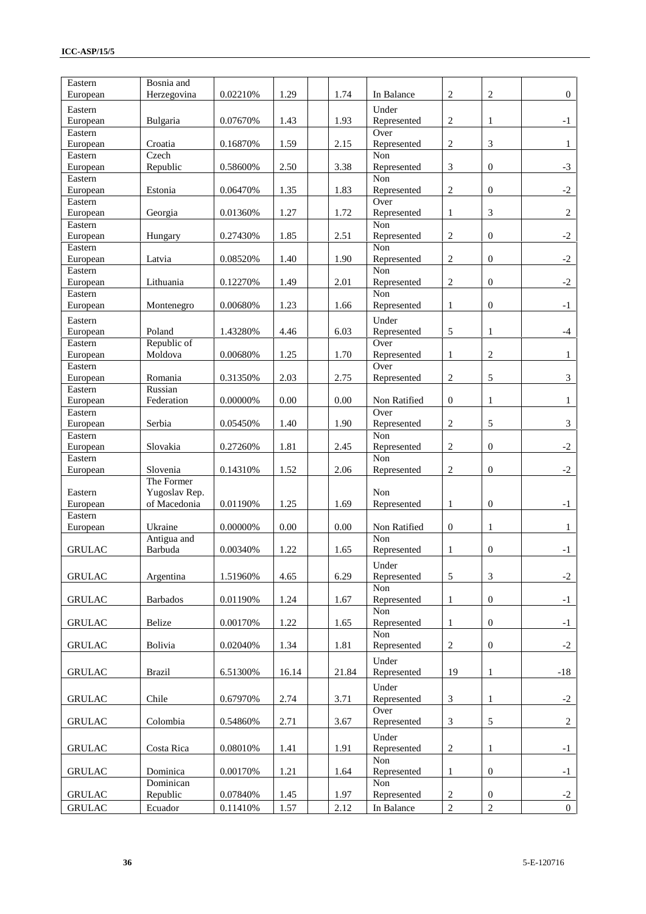| In Balance<br>Under<br>$\overline{2}$<br>0.07670%<br>1.43<br>1.93<br>Represented<br>$-1$<br>Bulgaria<br>1<br>Over<br>Eastern<br>$\mathbf{2}$<br>1.59<br>2.15<br>3<br>Croatia<br>0.16870%<br>$\mathbf{1}$<br>Represented<br>Czech<br>Non<br>3<br>Republic<br>0.58600%<br>2.50<br>3.38<br>Represented<br>$\mathbf{0}$<br>$-3$<br>European<br>Non<br>$\overline{2}$<br>$-2$<br>Estonia<br>0.06470%<br>1.35<br>1.83<br>$\mathbf{0}$<br>Represented<br>Over<br>Eastern<br>0.01360%<br>1.27<br>1.72<br>Represented<br>$\mathbf{1}$<br>3<br>2<br>European<br>Georgia<br>Non<br>1.85<br>2.51<br>$\overline{2}$<br>$\overline{0}$<br>$-2$<br>0.27430%<br>European<br>Hungary<br>Represented<br>Non<br>Eastern<br>0.08520%<br>1.40<br>$\overline{c}$<br>$\overline{0}$<br>$-2$<br>Latvia<br>1.90<br>Represented<br>Non<br>$\overline{2}$<br>$-2$<br>Lithuania<br>1.49<br>2.01<br>$\mathbf{0}$<br>European<br>0.12270%<br>Represented<br>Non<br>0.00680%<br>1.23<br>1.66<br>Represented<br>$\mathbf{1}$<br>$\mathbf{0}$<br>$-1$<br>Montenegro<br>Under<br>6.03<br>5<br>Poland<br>1.43280%<br>4.46<br>Represented<br>$-4$<br>European<br>1<br>Republic of<br>Over<br>Moldova<br>1.25<br>$\overline{c}$<br>0.00680%<br>1.70<br>Represented<br>$\mathbf{1}$<br>$\mathbf{1}$<br>Over<br>Eastern<br>$\overline{c}$<br>5<br>2.03<br>2.75<br>3<br>0.31350%<br>Represented<br>Romania<br>Russian<br>0.00<br>$\theta$<br>European<br>Federation<br>0.00000%<br>0.00<br>Non Ratified<br>$\mathbf{1}$<br>$\mathbf{1}$<br>Eastern<br>Over<br>$\overline{2}$<br>5<br>3<br>Serbia<br>1.40<br>1.90<br>0.05450%<br>Represented<br>Non<br>$\overline{2}$<br>$-2$<br>European<br>Slovakia<br>0.27260%<br>1.81<br>Represented<br>$\mathbf{0}$<br>2.45<br>Non<br>$\overline{2}$<br>1.52<br>$\overline{0}$<br>$-2$<br>Slovenia<br>0.14310%<br>2.06<br>Represented<br>The Former<br>Yugoslav Rep.<br>Eastern<br>Non<br>of Macedonia<br>1.25<br>$\boldsymbol{0}$<br>0.01190%<br>1.69<br>Represented<br>$\mathbf{1}$<br>$-1$<br>Eastern<br>0.00000%<br>0.00<br>Ukraine<br>0.00<br>Non Ratified<br>$\boldsymbol{0}$<br>$\mathbf{1}$<br>1<br>European<br>Non<br>Antigua and<br>Barbuda<br>1.22<br>$\boldsymbol{0}$<br>0.00340%<br>Represented<br>$\mathbf{1}$<br>$-1$<br>1.65<br>Under<br>$\mathfrak{Z}$<br>6.29<br>5<br>$-2$<br><b>GRULAC</b><br>Argentina<br>1.51960%<br>4.65<br>Represented<br>Non<br><b>Barbados</b><br>1.24<br>1.67<br>Represented<br>$\boldsymbol{0}$<br>$-1$<br>0.01190%<br>-1<br>Non<br>Belize<br>1.22<br>Represented<br>0.00170%<br>$\mathbf{1}$<br>$\boldsymbol{0}$<br>$-1$<br>1.65<br>Non<br>$\overline{2}$<br><b>GRULAC</b><br>Bolivia<br>0.02040%<br>1.34<br>1.81<br>$\boldsymbol{0}$<br>$-2$<br>Represented<br>Under<br><b>Brazil</b><br>16.14<br>21.84<br>19<br>$-18$<br>6.51300%<br>Represented<br>$\mathbf{1}$<br>Under<br>Chile<br>2.74<br>$\mathfrak{Z}$<br><b>GRULAC</b><br>3.71<br>Represented<br>$-2$<br>0.67970%<br>1<br>Over<br>Colombia<br>2.71<br>3.67<br>3<br>$\sqrt{5}$<br>$\overline{c}$<br>0.54860%<br>Represented<br>Under<br>$\sqrt{2}$<br><b>GRULAC</b><br>Costa Rica<br>0.08010%<br>1.41<br>1.91<br>Represented<br>$-1$<br>1<br>Non<br>Dominica<br>1.21<br>0.00170%<br>1.64<br>Represented<br>$\mathbf{1}$<br>$\boldsymbol{0}$<br>$-1$<br>Dominican<br>Non<br>0.07840%<br>1.45<br>$\overline{c}$<br>Republic<br>1.97<br>Represented<br>$\boldsymbol{0}$<br>$-2$<br>$\overline{2}$<br>$\overline{2}$<br>2.12<br>Ecuador<br>0.11410%<br>1.57<br>In Balance<br>$\overline{0}$ | Eastern             | Bosnia and  |          |      |      |                |                |                |
|-----------------------------------------------------------------------------------------------------------------------------------------------------------------------------------------------------------------------------------------------------------------------------------------------------------------------------------------------------------------------------------------------------------------------------------------------------------------------------------------------------------------------------------------------------------------------------------------------------------------------------------------------------------------------------------------------------------------------------------------------------------------------------------------------------------------------------------------------------------------------------------------------------------------------------------------------------------------------------------------------------------------------------------------------------------------------------------------------------------------------------------------------------------------------------------------------------------------------------------------------------------------------------------------------------------------------------------------------------------------------------------------------------------------------------------------------------------------------------------------------------------------------------------------------------------------------------------------------------------------------------------------------------------------------------------------------------------------------------------------------------------------------------------------------------------------------------------------------------------------------------------------------------------------------------------------------------------------------------------------------------------------------------------------------------------------------------------------------------------------------------------------------------------------------------------------------------------------------------------------------------------------------------------------------------------------------------------------------------------------------------------------------------------------------------------------------------------------------------------------------------------------------------------------------------------------------------------------------------------------------------------------------------------------------------------------------------------------------------------------------------------------------------------------------------------------------------------------------------------------------------------------------------------------------------------------------------------------------------------------------------------------------------------------------------------------------------------------------------------------------------------------------------------------------------------------------------------------------------------------------------------------------------------------------------------------------------------------------------------------------------------------------------------------------------------------------------------------------------------------|---------------------|-------------|----------|------|------|----------------|----------------|----------------|
|                                                                                                                                                                                                                                                                                                                                                                                                                                                                                                                                                                                                                                                                                                                                                                                                                                                                                                                                                                                                                                                                                                                                                                                                                                                                                                                                                                                                                                                                                                                                                                                                                                                                                                                                                                                                                                                                                                                                                                                                                                                                                                                                                                                                                                                                                                                                                                                                                                                                                                                                                                                                                                                                                                                                                                                                                                                                                                                                                                                                                                                                                                                                                                                                                                                                                                                                                                                                                                                                                         | European            | Herzegovina | 0.02210% | 1.29 | 1.74 | $\overline{2}$ | $\overline{c}$ | $\overline{0}$ |
|                                                                                                                                                                                                                                                                                                                                                                                                                                                                                                                                                                                                                                                                                                                                                                                                                                                                                                                                                                                                                                                                                                                                                                                                                                                                                                                                                                                                                                                                                                                                                                                                                                                                                                                                                                                                                                                                                                                                                                                                                                                                                                                                                                                                                                                                                                                                                                                                                                                                                                                                                                                                                                                                                                                                                                                                                                                                                                                                                                                                                                                                                                                                                                                                                                                                                                                                                                                                                                                                                         | Eastern<br>European |             |          |      |      |                |                |                |
|                                                                                                                                                                                                                                                                                                                                                                                                                                                                                                                                                                                                                                                                                                                                                                                                                                                                                                                                                                                                                                                                                                                                                                                                                                                                                                                                                                                                                                                                                                                                                                                                                                                                                                                                                                                                                                                                                                                                                                                                                                                                                                                                                                                                                                                                                                                                                                                                                                                                                                                                                                                                                                                                                                                                                                                                                                                                                                                                                                                                                                                                                                                                                                                                                                                                                                                                                                                                                                                                                         | European            |             |          |      |      |                |                |                |
|                                                                                                                                                                                                                                                                                                                                                                                                                                                                                                                                                                                                                                                                                                                                                                                                                                                                                                                                                                                                                                                                                                                                                                                                                                                                                                                                                                                                                                                                                                                                                                                                                                                                                                                                                                                                                                                                                                                                                                                                                                                                                                                                                                                                                                                                                                                                                                                                                                                                                                                                                                                                                                                                                                                                                                                                                                                                                                                                                                                                                                                                                                                                                                                                                                                                                                                                                                                                                                                                                         | Eastern             |             |          |      |      |                |                |                |
|                                                                                                                                                                                                                                                                                                                                                                                                                                                                                                                                                                                                                                                                                                                                                                                                                                                                                                                                                                                                                                                                                                                                                                                                                                                                                                                                                                                                                                                                                                                                                                                                                                                                                                                                                                                                                                                                                                                                                                                                                                                                                                                                                                                                                                                                                                                                                                                                                                                                                                                                                                                                                                                                                                                                                                                                                                                                                                                                                                                                                                                                                                                                                                                                                                                                                                                                                                                                                                                                                         | Eastern             |             |          |      |      |                |                |                |
|                                                                                                                                                                                                                                                                                                                                                                                                                                                                                                                                                                                                                                                                                                                                                                                                                                                                                                                                                                                                                                                                                                                                                                                                                                                                                                                                                                                                                                                                                                                                                                                                                                                                                                                                                                                                                                                                                                                                                                                                                                                                                                                                                                                                                                                                                                                                                                                                                                                                                                                                                                                                                                                                                                                                                                                                                                                                                                                                                                                                                                                                                                                                                                                                                                                                                                                                                                                                                                                                                         | European            |             |          |      |      |                |                |                |
|                                                                                                                                                                                                                                                                                                                                                                                                                                                                                                                                                                                                                                                                                                                                                                                                                                                                                                                                                                                                                                                                                                                                                                                                                                                                                                                                                                                                                                                                                                                                                                                                                                                                                                                                                                                                                                                                                                                                                                                                                                                                                                                                                                                                                                                                                                                                                                                                                                                                                                                                                                                                                                                                                                                                                                                                                                                                                                                                                                                                                                                                                                                                                                                                                                                                                                                                                                                                                                                                                         |                     |             |          |      |      |                |                |                |
|                                                                                                                                                                                                                                                                                                                                                                                                                                                                                                                                                                                                                                                                                                                                                                                                                                                                                                                                                                                                                                                                                                                                                                                                                                                                                                                                                                                                                                                                                                                                                                                                                                                                                                                                                                                                                                                                                                                                                                                                                                                                                                                                                                                                                                                                                                                                                                                                                                                                                                                                                                                                                                                                                                                                                                                                                                                                                                                                                                                                                                                                                                                                                                                                                                                                                                                                                                                                                                                                                         | Eastern             |             |          |      |      |                |                |                |
|                                                                                                                                                                                                                                                                                                                                                                                                                                                                                                                                                                                                                                                                                                                                                                                                                                                                                                                                                                                                                                                                                                                                                                                                                                                                                                                                                                                                                                                                                                                                                                                                                                                                                                                                                                                                                                                                                                                                                                                                                                                                                                                                                                                                                                                                                                                                                                                                                                                                                                                                                                                                                                                                                                                                                                                                                                                                                                                                                                                                                                                                                                                                                                                                                                                                                                                                                                                                                                                                                         |                     |             |          |      |      |                |                |                |
|                                                                                                                                                                                                                                                                                                                                                                                                                                                                                                                                                                                                                                                                                                                                                                                                                                                                                                                                                                                                                                                                                                                                                                                                                                                                                                                                                                                                                                                                                                                                                                                                                                                                                                                                                                                                                                                                                                                                                                                                                                                                                                                                                                                                                                                                                                                                                                                                                                                                                                                                                                                                                                                                                                                                                                                                                                                                                                                                                                                                                                                                                                                                                                                                                                                                                                                                                                                                                                                                                         | European            |             |          |      |      |                |                |                |
|                                                                                                                                                                                                                                                                                                                                                                                                                                                                                                                                                                                                                                                                                                                                                                                                                                                                                                                                                                                                                                                                                                                                                                                                                                                                                                                                                                                                                                                                                                                                                                                                                                                                                                                                                                                                                                                                                                                                                                                                                                                                                                                                                                                                                                                                                                                                                                                                                                                                                                                                                                                                                                                                                                                                                                                                                                                                                                                                                                                                                                                                                                                                                                                                                                                                                                                                                                                                                                                                                         | Eastern             |             |          |      |      |                |                |                |
|                                                                                                                                                                                                                                                                                                                                                                                                                                                                                                                                                                                                                                                                                                                                                                                                                                                                                                                                                                                                                                                                                                                                                                                                                                                                                                                                                                                                                                                                                                                                                                                                                                                                                                                                                                                                                                                                                                                                                                                                                                                                                                                                                                                                                                                                                                                                                                                                                                                                                                                                                                                                                                                                                                                                                                                                                                                                                                                                                                                                                                                                                                                                                                                                                                                                                                                                                                                                                                                                                         | Eastern             |             |          |      |      |                |                |                |
|                                                                                                                                                                                                                                                                                                                                                                                                                                                                                                                                                                                                                                                                                                                                                                                                                                                                                                                                                                                                                                                                                                                                                                                                                                                                                                                                                                                                                                                                                                                                                                                                                                                                                                                                                                                                                                                                                                                                                                                                                                                                                                                                                                                                                                                                                                                                                                                                                                                                                                                                                                                                                                                                                                                                                                                                                                                                                                                                                                                                                                                                                                                                                                                                                                                                                                                                                                                                                                                                                         | European            |             |          |      |      |                |                |                |
|                                                                                                                                                                                                                                                                                                                                                                                                                                                                                                                                                                                                                                                                                                                                                                                                                                                                                                                                                                                                                                                                                                                                                                                                                                                                                                                                                                                                                                                                                                                                                                                                                                                                                                                                                                                                                                                                                                                                                                                                                                                                                                                                                                                                                                                                                                                                                                                                                                                                                                                                                                                                                                                                                                                                                                                                                                                                                                                                                                                                                                                                                                                                                                                                                                                                                                                                                                                                                                                                                         | Eastern             |             |          |      |      |                |                |                |
|                                                                                                                                                                                                                                                                                                                                                                                                                                                                                                                                                                                                                                                                                                                                                                                                                                                                                                                                                                                                                                                                                                                                                                                                                                                                                                                                                                                                                                                                                                                                                                                                                                                                                                                                                                                                                                                                                                                                                                                                                                                                                                                                                                                                                                                                                                                                                                                                                                                                                                                                                                                                                                                                                                                                                                                                                                                                                                                                                                                                                                                                                                                                                                                                                                                                                                                                                                                                                                                                                         | Eastern             |             |          |      |      |                |                |                |
|                                                                                                                                                                                                                                                                                                                                                                                                                                                                                                                                                                                                                                                                                                                                                                                                                                                                                                                                                                                                                                                                                                                                                                                                                                                                                                                                                                                                                                                                                                                                                                                                                                                                                                                                                                                                                                                                                                                                                                                                                                                                                                                                                                                                                                                                                                                                                                                                                                                                                                                                                                                                                                                                                                                                                                                                                                                                                                                                                                                                                                                                                                                                                                                                                                                                                                                                                                                                                                                                                         | European            |             |          |      |      |                |                |                |
|                                                                                                                                                                                                                                                                                                                                                                                                                                                                                                                                                                                                                                                                                                                                                                                                                                                                                                                                                                                                                                                                                                                                                                                                                                                                                                                                                                                                                                                                                                                                                                                                                                                                                                                                                                                                                                                                                                                                                                                                                                                                                                                                                                                                                                                                                                                                                                                                                                                                                                                                                                                                                                                                                                                                                                                                                                                                                                                                                                                                                                                                                                                                                                                                                                                                                                                                                                                                                                                                                         | European            |             |          |      |      |                |                |                |
|                                                                                                                                                                                                                                                                                                                                                                                                                                                                                                                                                                                                                                                                                                                                                                                                                                                                                                                                                                                                                                                                                                                                                                                                                                                                                                                                                                                                                                                                                                                                                                                                                                                                                                                                                                                                                                                                                                                                                                                                                                                                                                                                                                                                                                                                                                                                                                                                                                                                                                                                                                                                                                                                                                                                                                                                                                                                                                                                                                                                                                                                                                                                                                                                                                                                                                                                                                                                                                                                                         | Eastern             |             |          |      |      |                |                |                |
|                                                                                                                                                                                                                                                                                                                                                                                                                                                                                                                                                                                                                                                                                                                                                                                                                                                                                                                                                                                                                                                                                                                                                                                                                                                                                                                                                                                                                                                                                                                                                                                                                                                                                                                                                                                                                                                                                                                                                                                                                                                                                                                                                                                                                                                                                                                                                                                                                                                                                                                                                                                                                                                                                                                                                                                                                                                                                                                                                                                                                                                                                                                                                                                                                                                                                                                                                                                                                                                                                         |                     |             |          |      |      |                |                |                |
|                                                                                                                                                                                                                                                                                                                                                                                                                                                                                                                                                                                                                                                                                                                                                                                                                                                                                                                                                                                                                                                                                                                                                                                                                                                                                                                                                                                                                                                                                                                                                                                                                                                                                                                                                                                                                                                                                                                                                                                                                                                                                                                                                                                                                                                                                                                                                                                                                                                                                                                                                                                                                                                                                                                                                                                                                                                                                                                                                                                                                                                                                                                                                                                                                                                                                                                                                                                                                                                                                         | European            |             |          |      |      |                |                |                |
|                                                                                                                                                                                                                                                                                                                                                                                                                                                                                                                                                                                                                                                                                                                                                                                                                                                                                                                                                                                                                                                                                                                                                                                                                                                                                                                                                                                                                                                                                                                                                                                                                                                                                                                                                                                                                                                                                                                                                                                                                                                                                                                                                                                                                                                                                                                                                                                                                                                                                                                                                                                                                                                                                                                                                                                                                                                                                                                                                                                                                                                                                                                                                                                                                                                                                                                                                                                                                                                                                         | Eastern             |             |          |      |      |                |                |                |
|                                                                                                                                                                                                                                                                                                                                                                                                                                                                                                                                                                                                                                                                                                                                                                                                                                                                                                                                                                                                                                                                                                                                                                                                                                                                                                                                                                                                                                                                                                                                                                                                                                                                                                                                                                                                                                                                                                                                                                                                                                                                                                                                                                                                                                                                                                                                                                                                                                                                                                                                                                                                                                                                                                                                                                                                                                                                                                                                                                                                                                                                                                                                                                                                                                                                                                                                                                                                                                                                                         | Eastern             |             |          |      |      |                |                |                |
|                                                                                                                                                                                                                                                                                                                                                                                                                                                                                                                                                                                                                                                                                                                                                                                                                                                                                                                                                                                                                                                                                                                                                                                                                                                                                                                                                                                                                                                                                                                                                                                                                                                                                                                                                                                                                                                                                                                                                                                                                                                                                                                                                                                                                                                                                                                                                                                                                                                                                                                                                                                                                                                                                                                                                                                                                                                                                                                                                                                                                                                                                                                                                                                                                                                                                                                                                                                                                                                                                         | European            |             |          |      |      |                |                |                |
|                                                                                                                                                                                                                                                                                                                                                                                                                                                                                                                                                                                                                                                                                                                                                                                                                                                                                                                                                                                                                                                                                                                                                                                                                                                                                                                                                                                                                                                                                                                                                                                                                                                                                                                                                                                                                                                                                                                                                                                                                                                                                                                                                                                                                                                                                                                                                                                                                                                                                                                                                                                                                                                                                                                                                                                                                                                                                                                                                                                                                                                                                                                                                                                                                                                                                                                                                                                                                                                                                         |                     |             |          |      |      |                |                |                |
|                                                                                                                                                                                                                                                                                                                                                                                                                                                                                                                                                                                                                                                                                                                                                                                                                                                                                                                                                                                                                                                                                                                                                                                                                                                                                                                                                                                                                                                                                                                                                                                                                                                                                                                                                                                                                                                                                                                                                                                                                                                                                                                                                                                                                                                                                                                                                                                                                                                                                                                                                                                                                                                                                                                                                                                                                                                                                                                                                                                                                                                                                                                                                                                                                                                                                                                                                                                                                                                                                         | European            |             |          |      |      |                |                |                |
|                                                                                                                                                                                                                                                                                                                                                                                                                                                                                                                                                                                                                                                                                                                                                                                                                                                                                                                                                                                                                                                                                                                                                                                                                                                                                                                                                                                                                                                                                                                                                                                                                                                                                                                                                                                                                                                                                                                                                                                                                                                                                                                                                                                                                                                                                                                                                                                                                                                                                                                                                                                                                                                                                                                                                                                                                                                                                                                                                                                                                                                                                                                                                                                                                                                                                                                                                                                                                                                                                         |                     |             |          |      |      |                |                |                |
|                                                                                                                                                                                                                                                                                                                                                                                                                                                                                                                                                                                                                                                                                                                                                                                                                                                                                                                                                                                                                                                                                                                                                                                                                                                                                                                                                                                                                                                                                                                                                                                                                                                                                                                                                                                                                                                                                                                                                                                                                                                                                                                                                                                                                                                                                                                                                                                                                                                                                                                                                                                                                                                                                                                                                                                                                                                                                                                                                                                                                                                                                                                                                                                                                                                                                                                                                                                                                                                                                         |                     |             |          |      |      |                |                |                |
|                                                                                                                                                                                                                                                                                                                                                                                                                                                                                                                                                                                                                                                                                                                                                                                                                                                                                                                                                                                                                                                                                                                                                                                                                                                                                                                                                                                                                                                                                                                                                                                                                                                                                                                                                                                                                                                                                                                                                                                                                                                                                                                                                                                                                                                                                                                                                                                                                                                                                                                                                                                                                                                                                                                                                                                                                                                                                                                                                                                                                                                                                                                                                                                                                                                                                                                                                                                                                                                                                         | <b>GRULAC</b>       |             |          |      |      |                |                |                |
|                                                                                                                                                                                                                                                                                                                                                                                                                                                                                                                                                                                                                                                                                                                                                                                                                                                                                                                                                                                                                                                                                                                                                                                                                                                                                                                                                                                                                                                                                                                                                                                                                                                                                                                                                                                                                                                                                                                                                                                                                                                                                                                                                                                                                                                                                                                                                                                                                                                                                                                                                                                                                                                                                                                                                                                                                                                                                                                                                                                                                                                                                                                                                                                                                                                                                                                                                                                                                                                                                         |                     |             |          |      |      |                |                |                |
|                                                                                                                                                                                                                                                                                                                                                                                                                                                                                                                                                                                                                                                                                                                                                                                                                                                                                                                                                                                                                                                                                                                                                                                                                                                                                                                                                                                                                                                                                                                                                                                                                                                                                                                                                                                                                                                                                                                                                                                                                                                                                                                                                                                                                                                                                                                                                                                                                                                                                                                                                                                                                                                                                                                                                                                                                                                                                                                                                                                                                                                                                                                                                                                                                                                                                                                                                                                                                                                                                         |                     |             |          |      |      |                |                |                |
|                                                                                                                                                                                                                                                                                                                                                                                                                                                                                                                                                                                                                                                                                                                                                                                                                                                                                                                                                                                                                                                                                                                                                                                                                                                                                                                                                                                                                                                                                                                                                                                                                                                                                                                                                                                                                                                                                                                                                                                                                                                                                                                                                                                                                                                                                                                                                                                                                                                                                                                                                                                                                                                                                                                                                                                                                                                                                                                                                                                                                                                                                                                                                                                                                                                                                                                                                                                                                                                                                         | <b>GRULAC</b>       |             |          |      |      |                |                |                |
|                                                                                                                                                                                                                                                                                                                                                                                                                                                                                                                                                                                                                                                                                                                                                                                                                                                                                                                                                                                                                                                                                                                                                                                                                                                                                                                                                                                                                                                                                                                                                                                                                                                                                                                                                                                                                                                                                                                                                                                                                                                                                                                                                                                                                                                                                                                                                                                                                                                                                                                                                                                                                                                                                                                                                                                                                                                                                                                                                                                                                                                                                                                                                                                                                                                                                                                                                                                                                                                                                         | <b>GRULAC</b>       |             |          |      |      |                |                |                |
|                                                                                                                                                                                                                                                                                                                                                                                                                                                                                                                                                                                                                                                                                                                                                                                                                                                                                                                                                                                                                                                                                                                                                                                                                                                                                                                                                                                                                                                                                                                                                                                                                                                                                                                                                                                                                                                                                                                                                                                                                                                                                                                                                                                                                                                                                                                                                                                                                                                                                                                                                                                                                                                                                                                                                                                                                                                                                                                                                                                                                                                                                                                                                                                                                                                                                                                                                                                                                                                                                         |                     |             |          |      |      |                |                |                |
|                                                                                                                                                                                                                                                                                                                                                                                                                                                                                                                                                                                                                                                                                                                                                                                                                                                                                                                                                                                                                                                                                                                                                                                                                                                                                                                                                                                                                                                                                                                                                                                                                                                                                                                                                                                                                                                                                                                                                                                                                                                                                                                                                                                                                                                                                                                                                                                                                                                                                                                                                                                                                                                                                                                                                                                                                                                                                                                                                                                                                                                                                                                                                                                                                                                                                                                                                                                                                                                                                         |                     |             |          |      |      |                |                |                |
|                                                                                                                                                                                                                                                                                                                                                                                                                                                                                                                                                                                                                                                                                                                                                                                                                                                                                                                                                                                                                                                                                                                                                                                                                                                                                                                                                                                                                                                                                                                                                                                                                                                                                                                                                                                                                                                                                                                                                                                                                                                                                                                                                                                                                                                                                                                                                                                                                                                                                                                                                                                                                                                                                                                                                                                                                                                                                                                                                                                                                                                                                                                                                                                                                                                                                                                                                                                                                                                                                         | <b>GRULAC</b>       |             |          |      |      |                |                |                |
|                                                                                                                                                                                                                                                                                                                                                                                                                                                                                                                                                                                                                                                                                                                                                                                                                                                                                                                                                                                                                                                                                                                                                                                                                                                                                                                                                                                                                                                                                                                                                                                                                                                                                                                                                                                                                                                                                                                                                                                                                                                                                                                                                                                                                                                                                                                                                                                                                                                                                                                                                                                                                                                                                                                                                                                                                                                                                                                                                                                                                                                                                                                                                                                                                                                                                                                                                                                                                                                                                         |                     |             |          |      |      |                |                |                |
|                                                                                                                                                                                                                                                                                                                                                                                                                                                                                                                                                                                                                                                                                                                                                                                                                                                                                                                                                                                                                                                                                                                                                                                                                                                                                                                                                                                                                                                                                                                                                                                                                                                                                                                                                                                                                                                                                                                                                                                                                                                                                                                                                                                                                                                                                                                                                                                                                                                                                                                                                                                                                                                                                                                                                                                                                                                                                                                                                                                                                                                                                                                                                                                                                                                                                                                                                                                                                                                                                         |                     |             |          |      |      |                |                |                |
|                                                                                                                                                                                                                                                                                                                                                                                                                                                                                                                                                                                                                                                                                                                                                                                                                                                                                                                                                                                                                                                                                                                                                                                                                                                                                                                                                                                                                                                                                                                                                                                                                                                                                                                                                                                                                                                                                                                                                                                                                                                                                                                                                                                                                                                                                                                                                                                                                                                                                                                                                                                                                                                                                                                                                                                                                                                                                                                                                                                                                                                                                                                                                                                                                                                                                                                                                                                                                                                                                         | <b>GRULAC</b>       |             |          |      |      |                |                |                |
|                                                                                                                                                                                                                                                                                                                                                                                                                                                                                                                                                                                                                                                                                                                                                                                                                                                                                                                                                                                                                                                                                                                                                                                                                                                                                                                                                                                                                                                                                                                                                                                                                                                                                                                                                                                                                                                                                                                                                                                                                                                                                                                                                                                                                                                                                                                                                                                                                                                                                                                                                                                                                                                                                                                                                                                                                                                                                                                                                                                                                                                                                                                                                                                                                                                                                                                                                                                                                                                                                         |                     |             |          |      |      |                |                |                |
|                                                                                                                                                                                                                                                                                                                                                                                                                                                                                                                                                                                                                                                                                                                                                                                                                                                                                                                                                                                                                                                                                                                                                                                                                                                                                                                                                                                                                                                                                                                                                                                                                                                                                                                                                                                                                                                                                                                                                                                                                                                                                                                                                                                                                                                                                                                                                                                                                                                                                                                                                                                                                                                                                                                                                                                                                                                                                                                                                                                                                                                                                                                                                                                                                                                                                                                                                                                                                                                                                         |                     |             |          |      |      |                |                |                |
|                                                                                                                                                                                                                                                                                                                                                                                                                                                                                                                                                                                                                                                                                                                                                                                                                                                                                                                                                                                                                                                                                                                                                                                                                                                                                                                                                                                                                                                                                                                                                                                                                                                                                                                                                                                                                                                                                                                                                                                                                                                                                                                                                                                                                                                                                                                                                                                                                                                                                                                                                                                                                                                                                                                                                                                                                                                                                                                                                                                                                                                                                                                                                                                                                                                                                                                                                                                                                                                                                         | <b>GRULAC</b>       |             |          |      |      |                |                |                |
|                                                                                                                                                                                                                                                                                                                                                                                                                                                                                                                                                                                                                                                                                                                                                                                                                                                                                                                                                                                                                                                                                                                                                                                                                                                                                                                                                                                                                                                                                                                                                                                                                                                                                                                                                                                                                                                                                                                                                                                                                                                                                                                                                                                                                                                                                                                                                                                                                                                                                                                                                                                                                                                                                                                                                                                                                                                                                                                                                                                                                                                                                                                                                                                                                                                                                                                                                                                                                                                                                         | <b>GRULAC</b>       |             |          |      |      |                |                |                |
|                                                                                                                                                                                                                                                                                                                                                                                                                                                                                                                                                                                                                                                                                                                                                                                                                                                                                                                                                                                                                                                                                                                                                                                                                                                                                                                                                                                                                                                                                                                                                                                                                                                                                                                                                                                                                                                                                                                                                                                                                                                                                                                                                                                                                                                                                                                                                                                                                                                                                                                                                                                                                                                                                                                                                                                                                                                                                                                                                                                                                                                                                                                                                                                                                                                                                                                                                                                                                                                                                         | <b>GRULAC</b>       |             |          |      |      |                |                |                |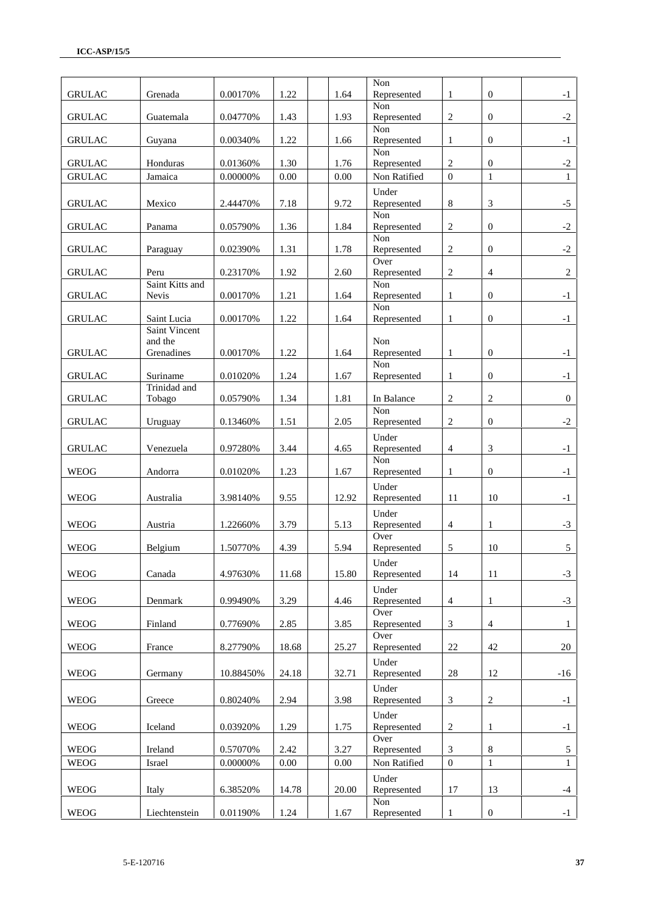| <b>GRULAC</b> | Grenada                                | 0.00170%    | 1.22     | 1.64     | Non<br>Represented           | 1                | $\overline{0}$   | $-1$         |
|---------------|----------------------------------------|-------------|----------|----------|------------------------------|------------------|------------------|--------------|
| <b>GRULAC</b> | Guatemala                              | 0.04770%    | 1.43     | 1.93     | Non<br>Represented           | 2                | $\overline{0}$   | $-2$         |
| <b>GRULAC</b> | Guyana                                 | 0.00340%    | 1.22     | 1.66     | Non<br>Represented           | $\mathbf{1}$     | $\boldsymbol{0}$ | $-1$         |
| <b>GRULAC</b> | Honduras                               | 0.01360%    | 1.30     | 1.76     | Non<br>Represented           | $\overline{2}$   | $\boldsymbol{0}$ | $-2$         |
| <b>GRULAC</b> | Jamaica                                | 0.00000%    | $0.00\,$ | 0.00     | Non Ratified                 | $\boldsymbol{0}$ | $\mathbf{1}$     | $\mathbf{1}$ |
|               |                                        |             |          |          | Under                        |                  |                  |              |
| <b>GRULAC</b> | Mexico                                 | 2.44470%    | 7.18     | 9.72     | Represented<br>Non           | $8\,$            | $\mathfrak{Z}$   | $-5$         |
| <b>GRULAC</b> | Panama                                 | 0.05790%    | 1.36     | 1.84     | Represented                  | $\sqrt{2}$       | $\mathbf{0}$     | $-2$         |
| <b>GRULAC</b> | Paraguay                               | 0.02390%    | 1.31     | 1.78     | Non<br>Represented           | $\overline{c}$   | $\boldsymbol{0}$ | $-2$         |
| <b>GRULAC</b> | Peru                                   | 0.23170%    | 1.92     | 2.60     | Over<br>Represented          | $\sqrt{2}$       | $\overline{4}$   | 2            |
|               | Saint Kitts and                        |             |          |          | Non                          |                  |                  |              |
| <b>GRULAC</b> | Nevis                                  | 0.00170%    | 1.21     | 1.64     | Represented<br>Non           | $\mathbf{1}$     | $\boldsymbol{0}$ | $-1$         |
| <b>GRULAC</b> | Saint Lucia                            | 0.00170%    | 1.22     | 1.64     | Represented                  | $\mathbf{1}$     | $\boldsymbol{0}$ | $-1$         |
| <b>GRULAC</b> | Saint Vincent<br>and the<br>Grenadines | 0.00170%    | 1.22     | 1.64     | Non<br>Represented           | $\mathbf{1}$     | $\overline{0}$   | $-1$         |
|               |                                        |             |          |          | Non                          |                  |                  |              |
| <b>GRULAC</b> | Suriname<br>Trinidad and               | 0.01020%    | 1.24     | 1.67     | Represented                  | 1                | $\overline{0}$   | $-1$         |
| <b>GRULAC</b> | Tobago                                 | 0.05790%    | 1.34     | 1.81     | In Balance<br>Non            | $\overline{2}$   | $\overline{2}$   | $\mathbf{0}$ |
| <b>GRULAC</b> | Uruguay                                | 0.13460%    | 1.51     | 2.05     | Represented                  | $\sqrt{2}$       | $\mathbf{0}$     | $-2$         |
| <b>GRULAC</b> | Venezuela                              | 0.97280%    | 3.44     | 4.65     | Under<br>Represented<br>Non  | $\overline{4}$   | 3                | $-1$         |
| <b>WEOG</b>   | Andorra                                | 0.01020%    | 1.23     | 1.67     | Represented                  | $\mathbf{1}$     | $\mathbf{0}$     | $-1$         |
|               |                                        |             |          |          | Under                        |                  |                  |              |
| <b>WEOG</b>   | Australia                              | 3.98140%    | 9.55     | 12.92    | Represented                  | 11               | 10               | $-1$         |
| <b>WEOG</b>   | Austria                                | 1.22660%    | 3.79     | 5.13     | Under<br>Represented<br>Over | $\overline{4}$   | 1                | $-3$         |
| <b>WEOG</b>   | Belgium                                | 1.50770%    | 4.39     | 5.94     | Represented                  | 5                | 10               | 5            |
| <b>WEOG</b>   | Canada                                 | 4.97630%    | 11.68    | 15.80    | Under<br>Represented         | 14               | 11               | $-3$         |
|               |                                        |             |          |          | Under                        |                  |                  |              |
| <b>WEOG</b>   | Denmark                                | 0.99490%    | 3.29     | 4.46     | Represented                  | $\overline{4}$   | $\mathbf{1}$     | $-3$         |
| <b>WEOG</b>   |                                        | 0.77690%    | 2.85     | 3.85     | Over<br>Represented          |                  | $\overline{4}$   |              |
|               | Finland                                |             |          |          | Over                         | 3                |                  | $\mathbf{1}$ |
| <b>WEOG</b>   | France                                 | 8.27790%    | 18.68    | 25.27    | Represented                  | $22\,$           | $42\,$           | 20           |
|               |                                        |             |          |          | Under                        |                  |                  |              |
| <b>WEOG</b>   | Germany                                | 10.88450%   | 24.18    | 32.71    | Represented                  | $28\,$           | 12               | $-16$        |
| <b>WEOG</b>   | Greece                                 | 0.80240%    | 2.94     | 3.98     | Under<br>Represented         | 3                | $\sqrt{2}$       | $-1$         |
|               |                                        |             |          |          | Under                        |                  |                  |              |
| <b>WEOG</b>   | Iceland                                | 0.03920%    | 1.29     | 1.75     | Represented                  | $\sqrt{2}$       | $\mathbf{1}$     | $-1$         |
| <b>WEOG</b>   | Ireland                                | 0.57070%    | 2.42     | 3.27     | Over<br>Represented          | 3                | $\,8\,$          | 5            |
| <b>WEOG</b>   | Israel                                 | $0.00000\%$ | $0.00\,$ | $0.00\,$ | Non Ratified                 | $\mathbf{0}$     | $\mathbf{1}$     | $\mathbf{1}$ |
| <b>WEOG</b>   | Italy                                  | 6.38520%    | 14.78    | 20.00    | Under<br>Represented         | 17               | 13               | $-4$         |
| <b>WEOG</b>   | Liechtenstein                          | 0.01190%    | 1.24     | 1.67     | Non<br>Represented           | $\mathbf{1}$     | $\boldsymbol{0}$ | $-1$         |
|               |                                        |             |          |          |                              |                  |                  |              |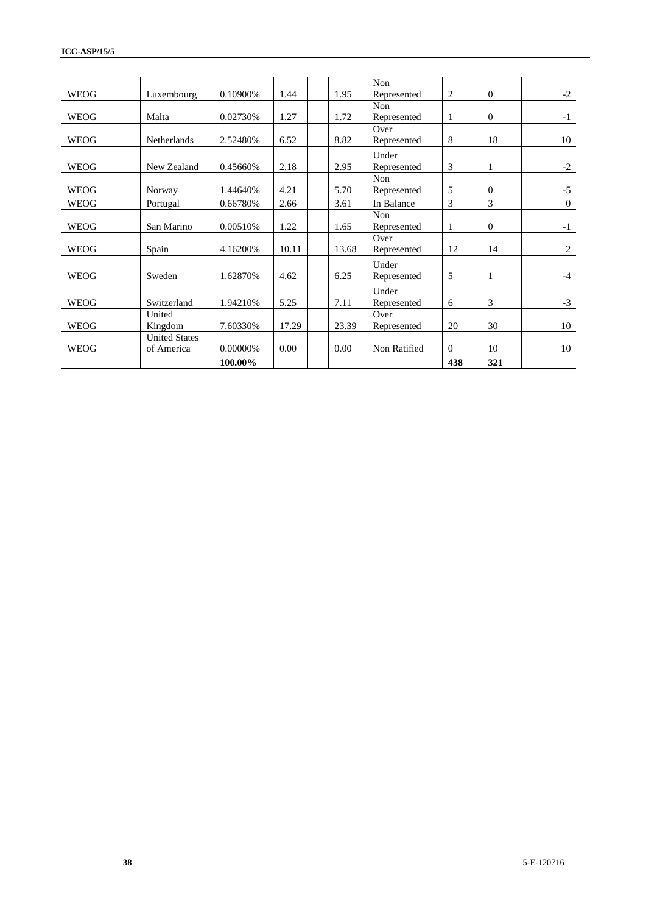|             |                      |           |       |       | Non          |              |                  |          |
|-------------|----------------------|-----------|-------|-------|--------------|--------------|------------------|----------|
| <b>WEOG</b> | Luxembourg           | 0.10900\% | 1.44  | 1.95  | Represented  | 2            | $\mathbf{0}$     | $-2$     |
|             |                      |           |       |       | <b>Non</b>   |              |                  |          |
| <b>WEOG</b> | Malta                | 0.02730%  | 1.27  | 1.72  | Represented  | $\mathbf{1}$ | $\theta$         | $-1$     |
|             |                      |           |       |       | Over         |              |                  |          |
| <b>WEOG</b> | Netherlands          | 2.52480%  | 6.52  | 8.82  | Represented  | 8            | 18               | 10       |
|             |                      |           |       |       | Under        |              |                  |          |
| <b>WEOG</b> | New Zealand          | 0.45660%  | 2.18  | 2.95  | Represented  | 3            | $\mathbf{1}$     | $-2$     |
|             |                      |           |       |       | <b>Non</b>   |              |                  |          |
| <b>WEOG</b> | Norway               | 1.44640%  | 4.21  | 5.70  | Represented  | 5            | $\Omega$         | $-5$     |
| <b>WEOG</b> | Portugal             | 0.66780%  | 2.66  | 3.61  | In Balance   | 3            | 3                | $\Omega$ |
|             |                      |           |       |       | Non          |              |                  |          |
| <b>WEOG</b> | San Marino           | 0.00510%  | 1.22  | 1.65  | Represented  | $\mathbf{1}$ | $\boldsymbol{0}$ | $-1$     |
|             |                      |           |       |       | Over         |              |                  |          |
| <b>WEOG</b> | Spain                | 4.16200%  | 10.11 | 13.68 | Represented  | 12           | 14               | 2        |
|             |                      |           |       |       | Under        |              |                  |          |
| <b>WEOG</b> | Sweden               | 1.62870%  | 4.62  | 6.25  | Represented  | 5            | 1                | $-4$     |
|             |                      |           |       |       | Under        |              |                  |          |
| <b>WEOG</b> | Switzerland          | 1.94210%  | 5.25  | 7.11  | Represented  | 6            | 3                | $-3$     |
|             | United               |           |       |       | Over         |              |                  |          |
| <b>WEOG</b> | Kingdom              | 7.60330%  | 17.29 | 23.39 | Represented  | 20           | 30               | 10       |
|             | <b>United States</b> |           |       |       |              |              |                  |          |
| <b>WEOG</b> | of America           | 0.00000%  | 0.00  | 0.00  | Non Ratified | $\mathbf{0}$ | 10               | 10       |
|             |                      | 100.00%   |       |       |              | 438          | 321              |          |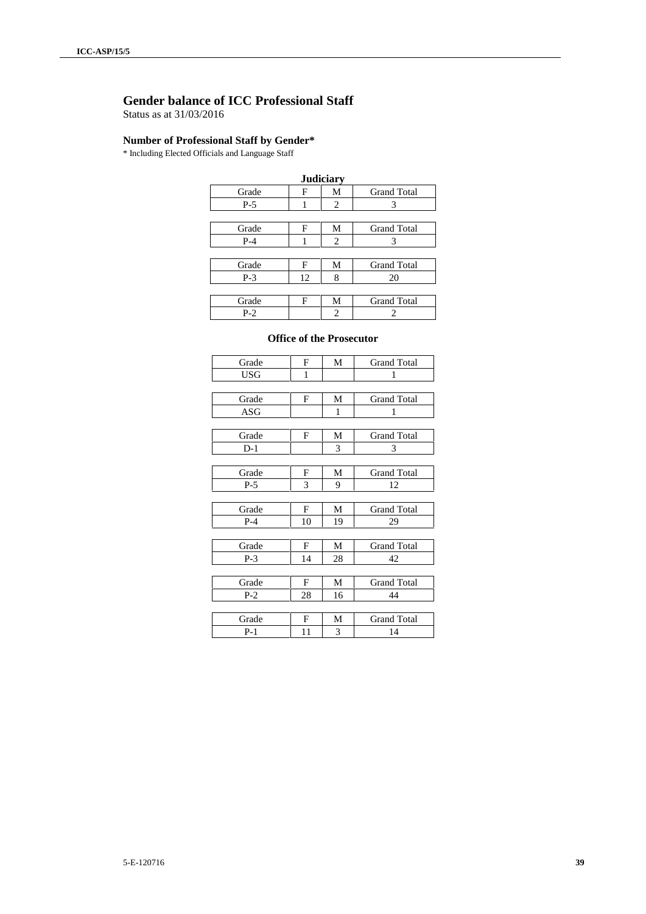## **Gender balance of ICC Professional Staff**

Status as at 31/03/2016

### **Number of Professional Staff by Gender\***

\* Including Elected Officials and Language Staff

| <b>Judiciary</b> |    |   |                    |  |  |  |  |  |  |
|------------------|----|---|--------------------|--|--|--|--|--|--|
| Grade            | F  | М | <b>Grand Total</b> |  |  |  |  |  |  |
| $P-5$            |    | 2 | 3                  |  |  |  |  |  |  |
|                  |    |   |                    |  |  |  |  |  |  |
| Grade            | F  | М | <b>Grand Total</b> |  |  |  |  |  |  |
| $P-4$            |    | 2 | 3                  |  |  |  |  |  |  |
|                  |    |   |                    |  |  |  |  |  |  |
| Grade            | F  | М | <b>Grand Total</b> |  |  |  |  |  |  |
| $P-3$            | 12 | 8 | 20                 |  |  |  |  |  |  |
|                  |    |   |                    |  |  |  |  |  |  |
| Grade            | F  | М | <b>Grand Total</b> |  |  |  |  |  |  |
| $P-2$            |    | 2 |                    |  |  |  |  |  |  |

#### **Office of the Prosecutor**

| Grade | F  | M  | <b>Grand Total</b> |
|-------|----|----|--------------------|
| USG   | 1  |    | 1                  |
|       |    |    |                    |
| Grade | F  | М  | <b>Grand Total</b> |
| ASG   |    | 1  | 1                  |
|       |    |    |                    |
| Grade | F  | М  | <b>Grand Total</b> |
| $D-1$ |    | 3  | 3                  |
|       |    |    |                    |
| Grade | F  | M  | <b>Grand Total</b> |
| $P-5$ | 3  | 9  | 12                 |
|       |    |    |                    |
| Grade | F  | М  | <b>Grand Total</b> |
| $P-4$ | 10 | 19 | 29                 |
|       |    |    |                    |
| Grade | F  | М  | <b>Grand Total</b> |
| $P-3$ | 14 | 28 | 42                 |
|       |    |    |                    |
| Grade | F  | М  | <b>Grand Total</b> |
| $P-2$ | 28 | 16 | 44                 |
|       |    |    |                    |
| Grade | F  | M  | <b>Grand Total</b> |
| $P-1$ | 11 | 3  | 14                 |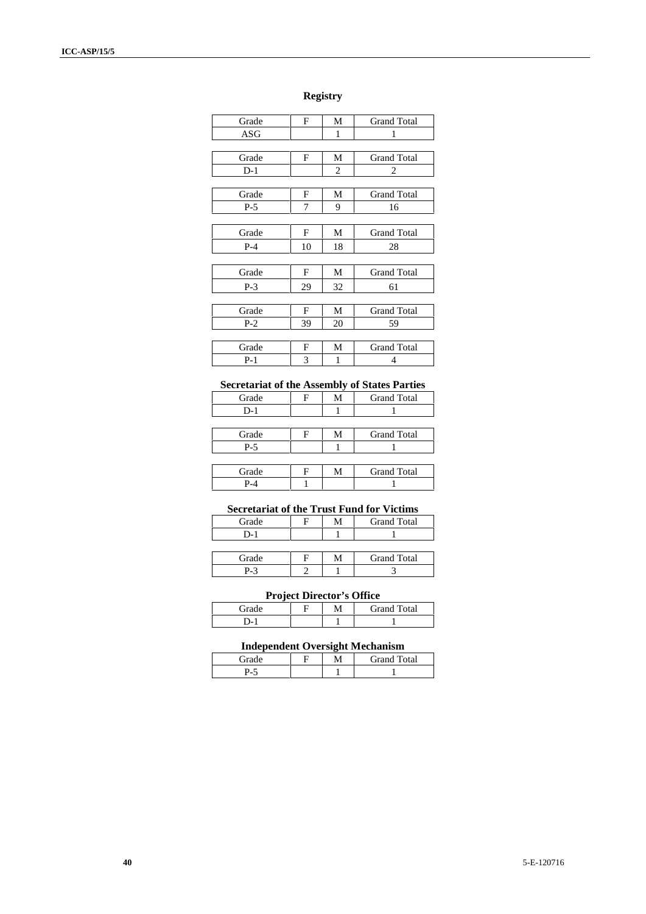### **Registry**

| Grade | F  | М  | <b>Grand Total</b> |
|-------|----|----|--------------------|
| ASG   |    | 1  | 1                  |
|       |    |    |                    |
| Grade | F  | М  | <b>Grand Total</b> |
| $D-1$ |    | 2  | 2                  |
|       |    |    |                    |
| Grade | F  | М  | <b>Grand Total</b> |
| $P-5$ | 7  | 9  | 16                 |
|       |    |    |                    |
| Grade | F  | М  | <b>Grand Total</b> |
| $P-4$ | 10 | 18 | 28                 |
|       |    |    |                    |
| Grade | F  | М  | <b>Grand Total</b> |
| $P-3$ | 29 | 32 | 61                 |
|       |    |    |                    |
| Grade | F  | М  | <b>Grand Total</b> |
| $P-2$ | 39 | 20 | 59                 |
|       |    |    |                    |
| Grade | F  | М  | <b>Grand Total</b> |
| $P-1$ | 3  | 1  | 4                  |

### **Secretariat of the Assembly of States Parties**

| Grade | Е | M | <b>Grand Total</b> |
|-------|---|---|--------------------|
| $D-1$ |   |   |                    |
|       |   |   |                    |
| Grade | Е | М | <b>Grand Total</b> |
| $P-5$ |   |   |                    |
|       |   |   |                    |
| Grade | F | Μ | <b>Grand Total</b> |
| P-4   |   |   |                    |

### **Secretariat of the Trust Fund for Victims**

| Grade | M | <b>Grand Total</b> |
|-------|---|--------------------|
| $D-1$ |   |                    |
|       |   |                    |
| Grade | м | <b>Grand Total</b> |

### **Project Director's Office**

| $T_{\rm rad}$ |  | <b>Grand Total</b> |
|---------------|--|--------------------|
| "             |  |                    |

P-3 2 1 3

### **Independent Oversight Mechanism**

|       | <b>A</b> F | $\overline{m}$<br><b>Frand</b><br>otal |
|-------|------------|----------------------------------------|
| .<br> |            |                                        |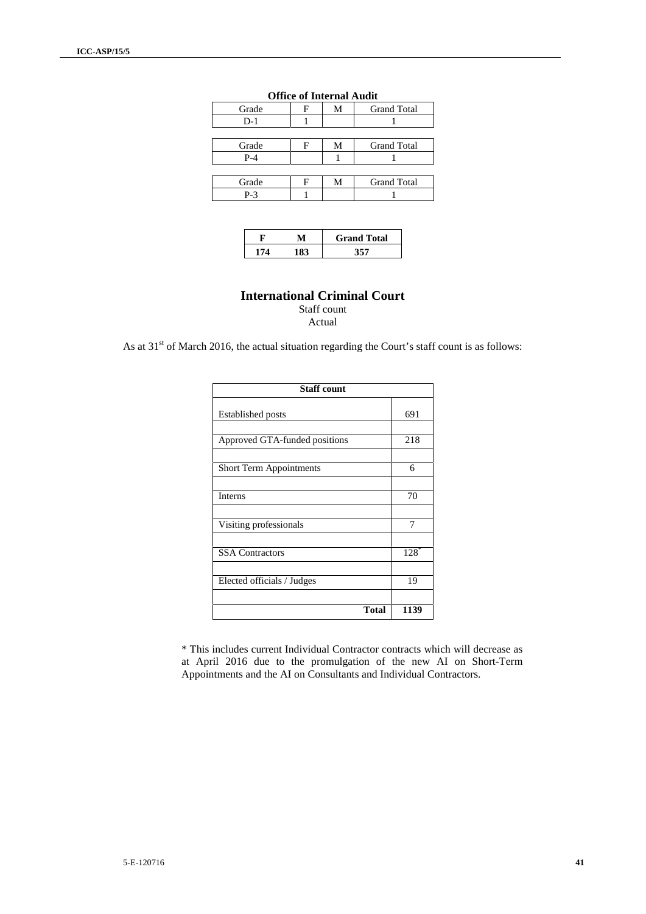| Grade |   | М | <b>Grand Total</b> |
|-------|---|---|--------------------|
| $D-1$ |   |   |                    |
|       |   |   |                    |
| Grade | н | М | <b>Grand Total</b> |
| $P-4$ |   |   |                    |
|       |   |   |                    |
| Grade | F | М | <b>Grand Total</b> |
| $P-3$ |   |   |                    |

#### **Office of Internal Audit**

|  | <b>Grand Total</b> |
|--|--------------------|
|  |                    |

## **International Criminal Court** Staff count

Actual

As at  $31<sup>st</sup>$  of March 2016, the actual situation regarding the Court's staff count is as follows:

| <b>Staff count</b>             |        |  |  |  |  |
|--------------------------------|--------|--|--|--|--|
| <b>Established posts</b>       | 691    |  |  |  |  |
| Approved GTA-funded positions  | 218    |  |  |  |  |
| <b>Short Term Appointments</b> | 6      |  |  |  |  |
| Interns                        | 70     |  |  |  |  |
| Visiting professionals         | 7      |  |  |  |  |
| <b>SSA Contractors</b>         | $128*$ |  |  |  |  |
| Elected officials / Judges     | 19     |  |  |  |  |
| <b>Total</b>                   | 1139   |  |  |  |  |

\* This includes current Individual Contractor contracts which will decrease as at April 2016 due to the promulgation of the new AI on Short-Term Appointments and the AI on Consultants and Individual Contractors.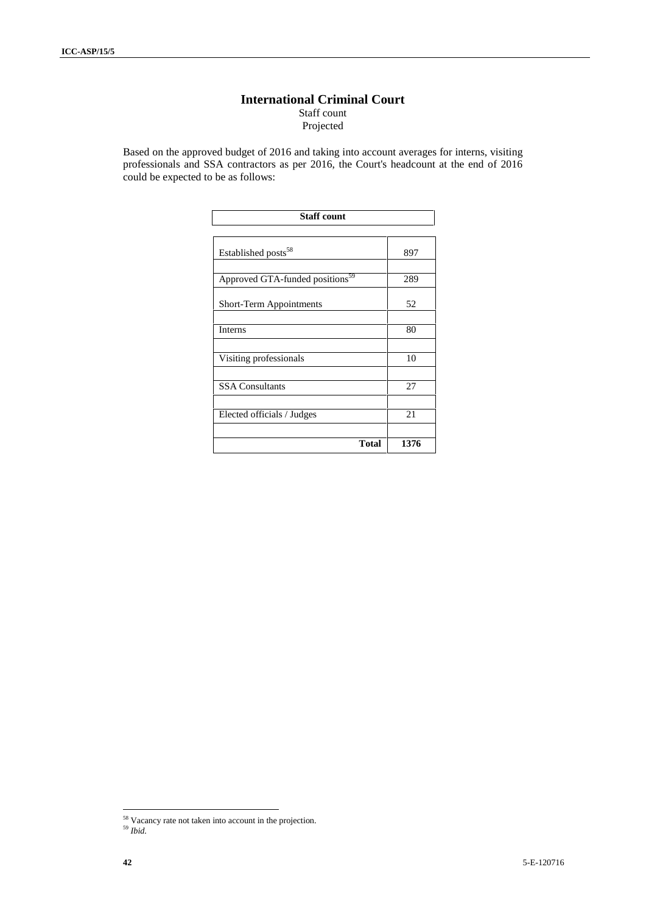### **International Criminal Court** Staff count Projected

Based on the approved budget of 2016 and taking into account averages for interns, visiting professionals and SSA contractors as per 2016, the Court's headcount at the end of 2016 could be expected to be as follows:

| <b>Staff count</b>                          |      |  |  |
|---------------------------------------------|------|--|--|
|                                             |      |  |  |
| Established posts <sup>58</sup>             | 897  |  |  |
| Approved GTA-funded positions <sup>59</sup> | 289  |  |  |
| Short-Term Appointments                     | 52   |  |  |
| Interns                                     | 80   |  |  |
| Visiting professionals                      | 10   |  |  |
| <b>SSA Consultants</b>                      | 27   |  |  |
| Elected officials / Judges                  | 21   |  |  |
| Total                                       | 1376 |  |  |

<sup>&</sup>lt;sup>58</sup> Vacancy rate not taken into account in the projection.

<sup>59</sup> *Ibid.*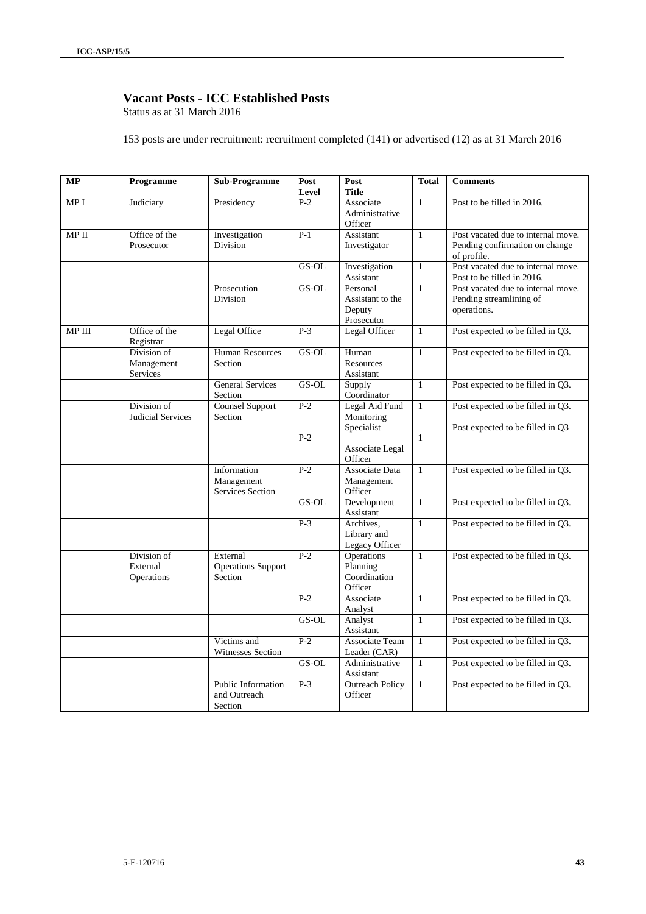## **Vacant Posts - ICC Established Posts**

Status as at 31 March 2016

153 posts are under recruitment: recruitment completed (141) or advertised (12) as at 31 March 2016

| <b>MP</b> | Programme                             | <b>Sub-Programme</b>                             | Post           | Post                                                          | <b>Total</b>                 | <b>Comments</b>                                                                     |
|-----------|---------------------------------------|--------------------------------------------------|----------------|---------------------------------------------------------------|------------------------------|-------------------------------------------------------------------------------------|
|           |                                       |                                                  | Level          | <b>Title</b>                                                  |                              |                                                                                     |
| MP I      | Judiciary                             | Presidency                                       | $P-2$          | Associate<br>Administrative<br>Officer                        | $\mathbf{1}$                 | Post to be filled in 2016.                                                          |
| MP II     | Office of the<br>Prosecutor           | Investigation<br>Division                        | $P-1$          | Assistant<br>Investigator                                     | $\mathbf{1}$                 | Post vacated due to internal move.<br>Pending confirmation on change<br>of profile. |
|           |                                       |                                                  | GS-OL          | Investigation<br>Assistant                                    | $\mathbf{1}$                 | Post vacated due to internal move.<br>Post to be filled in 2016.                    |
|           |                                       | Prosecution<br>Division                          | GS-OL          | Personal<br>Assistant to the<br>Deputy<br>Prosecutor          | $\mathbf{1}$                 | Post vacated due to internal move.<br>Pending streamlining of<br>operations.        |
| MP III    | Office of the<br>Registrar            | Legal Office                                     | $P-3$          | Legal Officer                                                 | $\mathbf{1}$                 | Post expected to be filled in Q3.                                                   |
|           | Division of<br>Management<br>Services | <b>Human Resources</b><br>Section                | GS-OL          | Human<br>Resources<br>Assistant                               | $\mathbf{1}$                 | Post expected to be filled in Q3.                                                   |
|           |                                       | <b>General Services</b><br>Section               | $GS-OL$        | Supply<br>Coordinator                                         | $\mathbf{1}$                 | Post expected to be filled in Q3.                                                   |
|           | Division of<br>Judicial Services      | <b>Counsel Support</b><br>Section                | $P-2$<br>$P-2$ | Legal Aid Fund<br>Monitoring<br>Specialist<br>Associate Legal | $\mathbf{1}$<br>$\mathbf{1}$ | Post expected to be filled in Q3.<br>Post expected to be filled in Q3               |
|           |                                       |                                                  |                | Officer                                                       |                              |                                                                                     |
|           |                                       | Information<br>Management<br>Services Section    | $P-2$          | Associate Data<br>Management<br>Officer                       | $\mathbf{1}$                 | Post expected to be filled in Q3.                                                   |
|           |                                       |                                                  | GS-OL          | Development<br>Assistant                                      | $\mathbf{1}$                 | Post expected to be filled in Q3.                                                   |
|           |                                       |                                                  | $P-3$          | Archives.<br>Library and<br>Legacy Officer                    | $\mathbf{1}$                 | Post expected to be filled in Q3.                                                   |
|           | Division of<br>External<br>Operations | External<br><b>Operations Support</b><br>Section | $P-2$          | <b>Operations</b><br>Planning<br>Coordination<br>Officer      | $\mathbf{1}$                 | Post expected to be filled in Q3.                                                   |
|           |                                       |                                                  | $P-2$          | Associate<br>Analyst                                          | $\mathbf{1}$                 | Post expected to be filled in Q3.                                                   |
|           |                                       |                                                  | $GS-OL$        | Analyst<br>Assistant                                          | $\mathbf{1}$                 | Post expected to be filled in Q3.                                                   |
|           |                                       | Victims and<br><b>Witnesses Section</b>          | $P-2$          | <b>Associate Team</b><br>Leader (CAR)                         | $\mathbf{1}$                 | Post expected to be filled in Q3.                                                   |
|           |                                       |                                                  | $GS-OL$        | Administrative<br>Assistant                                   | $\mathbf{1}$                 | Post expected to be filled in Q3.                                                   |
|           |                                       | Public Information<br>and Outreach<br>Section    | $P-3$          | <b>Outreach Policy</b><br>Officer                             | $\mathbf{1}$                 | Post expected to be filled in Q3.                                                   |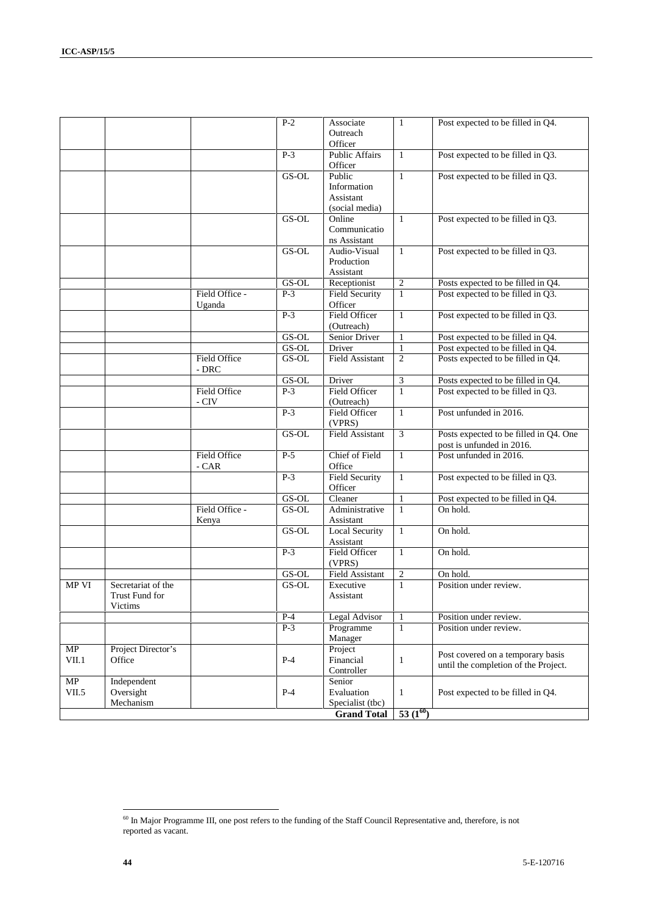|             |                                                 |                          | $P-2$   | Associate<br>Outreach<br>Officer                     | 1              | Post expected to be filled in Q4.                                         |
|-------------|-------------------------------------------------|--------------------------|---------|------------------------------------------------------|----------------|---------------------------------------------------------------------------|
|             |                                                 |                          | $P-3$   | <b>Public Affairs</b><br>Officer                     | 1              | Post expected to be filled in Q3.                                         |
|             |                                                 |                          | GS-OL   | Public<br>Information<br>Assistant<br>(social media) | $\mathbf{1}$   | Post expected to be filled in Q3.                                         |
|             |                                                 |                          | GS-OL   | Online<br>Communicatio<br>ns Assistant               | 1              | Post expected to be filled in Q3.                                         |
|             |                                                 |                          | GS-OL   | Audio-Visual<br>Production<br>Assistant              | $\mathbf{1}$   | Post expected to be filled in Q3.                                         |
|             |                                                 |                          | GS-OL   | Receptionist                                         | $\overline{c}$ | Posts expected to be filled in Q4.                                        |
|             |                                                 | Field Office -<br>Uganda | $P-3$   | <b>Field Security</b><br>Officer                     | $\mathbf{1}$   | Post expected to be filled in Q3.                                         |
|             |                                                 |                          | $P-3$   | Field Officer<br>(Outreach)                          | $\mathbf{1}$   | Post expected to be filled in Q3.                                         |
|             |                                                 |                          | GS-OL   | Senior Driver                                        | $\mathbf{1}$   | Post expected to be filled in Q4.                                         |
|             |                                                 |                          | GS-OL   | Driver                                               | $\mathbf{1}$   | Post expected to be filled in Q4.                                         |
|             |                                                 | Field Office<br>- DRC    | $GS-OL$ | <b>Field Assistant</b>                               | $\sqrt{2}$     | Posts expected to be filled in Q4.                                        |
|             |                                                 |                          | GS-OL   | Driver                                               | 3              | Posts expected to be filled in Q4.                                        |
|             |                                                 | Field Office<br>- CIV    | $P-3$   | Field Officer<br>(Outreach)                          | $\mathbf{1}$   | Post expected to be filled in Q3.                                         |
|             |                                                 |                          | $P-3$   | Field Officer<br>(VPRS)                              | $\mathbf{1}$   | Post unfunded in 2016.                                                    |
|             |                                                 |                          | GS-OL   | Field Assistant                                      | 3              | Posts expected to be filled in Q4. One<br>post is unfunded in 2016.       |
|             |                                                 | Field Office<br>- CAR    | $P-5$   | Chief of Field<br>Office                             | $\mathbf{1}$   | Post unfunded in 2016.                                                    |
|             |                                                 |                          | $P-3$   | <b>Field Security</b><br>Officer                     | $\mathbf{1}$   | Post expected to be filled in Q3.                                         |
|             |                                                 |                          | GS-OL   | Cleaner                                              | $\mathbf{1}$   | Post expected to be filled in Q4.                                         |
|             |                                                 | Field Office -<br>Kenya  | GS-OL   | Administrative<br>Assistant                          | $\mathbf{1}$   | On hold.                                                                  |
|             |                                                 |                          | GS-OL   | Local Security<br>Assistant                          | $\mathbf{1}$   | On hold.                                                                  |
|             |                                                 |                          | $P-3$   | Field Officer<br>(VPRS)                              | 1              | On hold.                                                                  |
|             |                                                 |                          | GS-OL   | <b>Field Assistant</b>                               | $\overline{c}$ | On hold.                                                                  |
| MP VI       | Secretariat of the<br>Trust Fund for<br>Victims |                          | GS-OL   | Executive<br>Assistant                               | 1              | Position under review.                                                    |
|             |                                                 |                          | $P-4$   | Legal Advisor                                        | $\mathbf{1}$   | Position under review.                                                    |
|             |                                                 |                          | $P-3$   | Programme<br>Manager                                 | $\mathbf{1}$   | Position under review.                                                    |
| MP<br>VII.1 | Project Director's<br>Office                    |                          | $P-4$   | Project<br>Financial<br>Controller                   | 1              | Post covered on a temporary basis<br>until the completion of the Project. |
| MP<br>VII.5 | Independent<br>Oversight<br>Mechanism           |                          | $P-4$   | Senior<br>Evaluation<br>Specialist (tbc)             | $\mathbf{1}$   | Post expected to be filled in Q4.                                         |
|             |                                                 |                          |         | <b>Grand Total</b>                                   | 53 $(1^{60})$  |                                                                           |

 $60$  In Major Programme III, one post refers to the funding of the Staff Council Representative and, therefore, is not reported as vacant.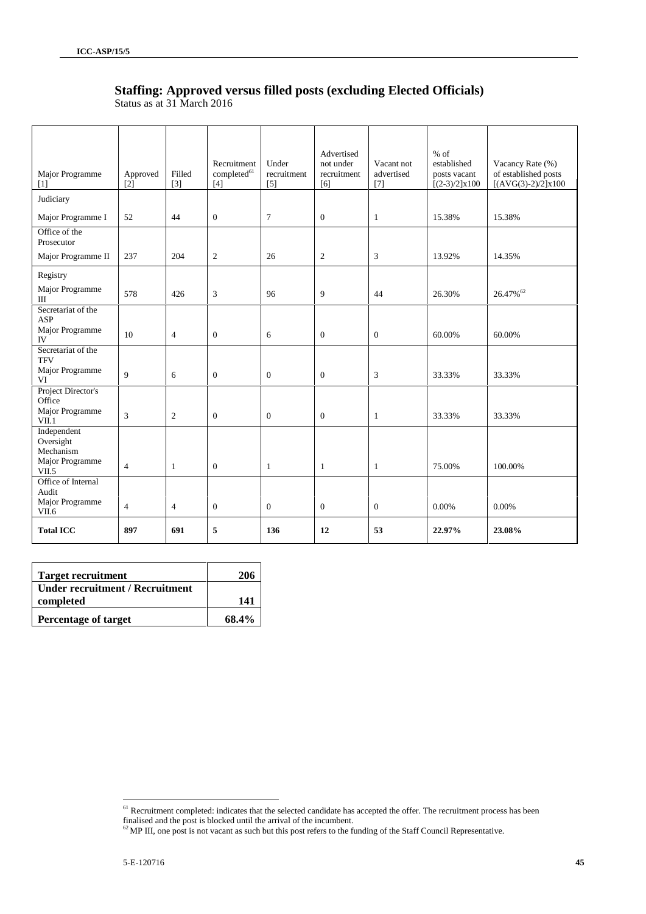## **Staffing: Approved versus filled posts (excluding Elected Officials)**

| Major Programme<br>[1]                | Approved<br>[2] | Filled<br>$[3]$ | Recruitment<br>$\text{completed}^{\text{61}}$<br>$[4]$ | Under<br>recruitment<br>[5] | Advertised<br>not under<br>recruitment<br>[6] | Vacant not<br>advertised<br>$[7]$ | $%$ of<br>established<br>posts vacant<br>$[(2-3)/2]x100$ | Vacancy Rate (%)<br>of established posts<br>$[(AVG(3)-2)/2]x100$ |
|---------------------------------------|-----------------|-----------------|--------------------------------------------------------|-----------------------------|-----------------------------------------------|-----------------------------------|----------------------------------------------------------|------------------------------------------------------------------|
| Judiciary                             |                 |                 |                                                        |                             |                                               |                                   |                                                          |                                                                  |
| Major Programme I                     | 52              | 44              | $\boldsymbol{0}$                                       | $\tau$                      | $\boldsymbol{0}$                              | $\mathbf{1}$                      | 15.38%                                                   | 15.38%                                                           |
| Office of the<br>Prosecutor           |                 |                 |                                                        |                             |                                               |                                   |                                                          |                                                                  |
| Major Programme II                    | 237             | 204             | $\overline{c}$                                         | 26                          | $\mathfrak{2}$                                | 3                                 | 13.92%                                                   | 14.35%                                                           |
| Registry                              |                 |                 |                                                        |                             |                                               |                                   |                                                          |                                                                  |
| Major Programme<br>Ш                  | 578             | 426             | 3                                                      | 96                          | 9                                             | 44                                | 26.30%                                                   | $26.47\%$ <sup>62</sup>                                          |
| Secretariat of the<br><b>ASP</b>      |                 |                 |                                                        |                             |                                               |                                   |                                                          |                                                                  |
| Major Programme<br>IV                 | 10              | $\overline{4}$  | $\boldsymbol{0}$                                       | 6                           | $\mathbf{0}$                                  | $\overline{0}$                    | 60.00%                                                   | 60.00%                                                           |
| Secretariat of the<br><b>TFV</b>      |                 |                 |                                                        |                             |                                               |                                   |                                                          |                                                                  |
| Major Programme<br>VI                 | 9               | 6               | $\boldsymbol{0}$                                       | $\mathbf{0}$                | $\overline{0}$                                | 3                                 | 33.33%                                                   | 33.33%                                                           |
| Project Director's<br>Office          |                 |                 |                                                        |                             |                                               |                                   |                                                          |                                                                  |
| Major Programme<br>VII.1              | 3               | $\mathfrak{2}$  | $\boldsymbol{0}$                                       | $\mathbf{0}$                | $\overline{0}$                                | $\mathbf{1}$                      | 33.33%                                                   | 33.33%                                                           |
| Independent<br>Oversight<br>Mechanism |                 |                 |                                                        |                             |                                               |                                   |                                                          |                                                                  |
| Major Programme<br>VII.5              | $\overline{4}$  | $\mathbf{1}$    | $\boldsymbol{0}$                                       | $\mathbf{1}$                | $\mathbf{1}$                                  | $\mathbf{1}$                      | 75.00%                                                   | 100.00%                                                          |
| Office of Internal<br>Audit           |                 |                 |                                                        |                             |                                               |                                   |                                                          |                                                                  |
| Major Programme<br>VII.6              | $\overline{4}$  | $\overline{4}$  | $\boldsymbol{0}$                                       | $\mathbf{0}$                | $\overline{0}$                                | $\theta$                          | 0.00%                                                    | 0.00%                                                            |
| <b>Total ICC</b>                      | 897             | 691             | 5                                                      | 136                         | 12                                            | 53                                | 22.97%                                                   | 23.08%                                                           |

Status as at 31 March 2016

| <b>Target recruitment</b>       | 206   |
|---------------------------------|-------|
| Under recruitment / Recruitment |       |
| completed                       | 141   |
| <b>Percentage of target</b>     | 68.4% |

 $61$  Recruitment completed: indicates that the selected candidate has accepted the offer. The recruitment process has been finalised and the post is blocked until the arrival of the incumbent.

 $62$  MP III, one post is not vacant as such but this post refers to the funding of the Staff Council Representative.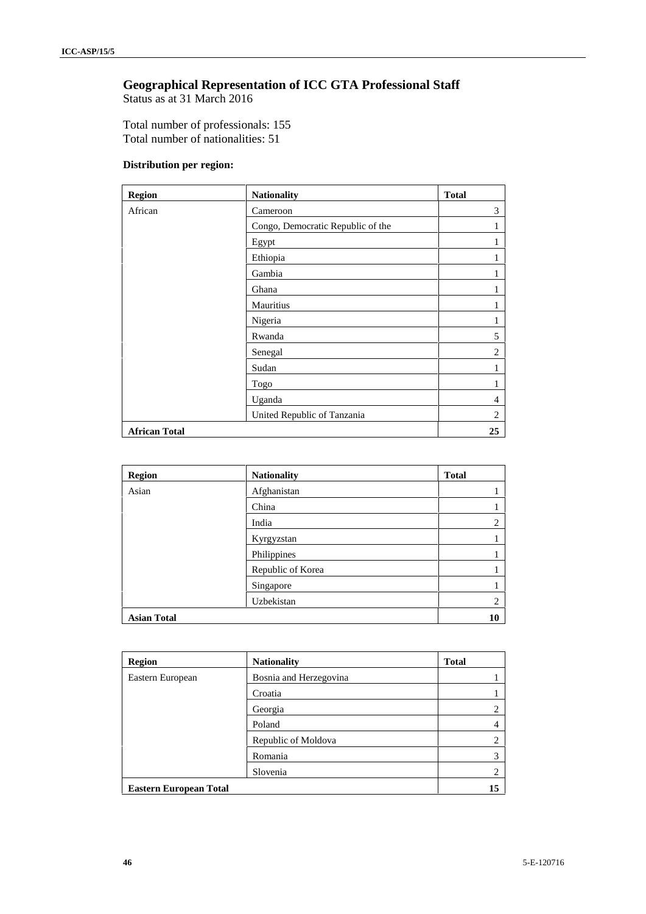## **Geographical Representation of ICC GTA Professional Staff**

Status as at 31 March 2016

Total number of professionals: 155 Total number of nationalities: 51

### **Distribution per region:**

| <b>Region</b>        | <b>Nationality</b>                | <b>Total</b> |
|----------------------|-----------------------------------|--------------|
| African              | Cameroon                          | 3            |
|                      | Congo, Democratic Republic of the | T            |
|                      | Egypt                             |              |
|                      | Ethiopia                          | 1            |
|                      | Gambia                            |              |
|                      | Ghana                             |              |
|                      | Mauritius                         |              |
|                      | Nigeria                           | T            |
|                      | Rwanda                            | 5            |
|                      | Senegal                           | 2            |
|                      | Sudan                             | L            |
|                      | Togo                              | 1            |
|                      | Uganda                            | 4            |
|                      | United Republic of Tanzania       | 2            |
| <b>African Total</b> |                                   | 25           |

| <b>Region</b>      | <b>Nationality</b> | <b>Total</b> |
|--------------------|--------------------|--------------|
| Asian              | Afghanistan        | ı            |
|                    | China              | ı.           |
|                    | India              | 2            |
|                    | Kyrgyzstan         | ı            |
|                    | Philippines        | ı.           |
|                    | Republic of Korea  | ı            |
|                    | Singapore          | Ŧ.           |
|                    | Uzbekistan         | 2            |
| <b>Asian Total</b> |                    | 10           |

| <b>Region</b>                 | <b>Nationality</b>     | <b>Total</b> |
|-------------------------------|------------------------|--------------|
| Eastern European              | Bosnia and Herzegovina |              |
|                               | Croatia                |              |
|                               | Georgia                | 2            |
|                               | Poland                 | 4            |
|                               | Republic of Moldova    | 2            |
|                               | Romania                | 3            |
|                               | Slovenia               | 2            |
| <b>Eastern European Total</b> |                        | 15           |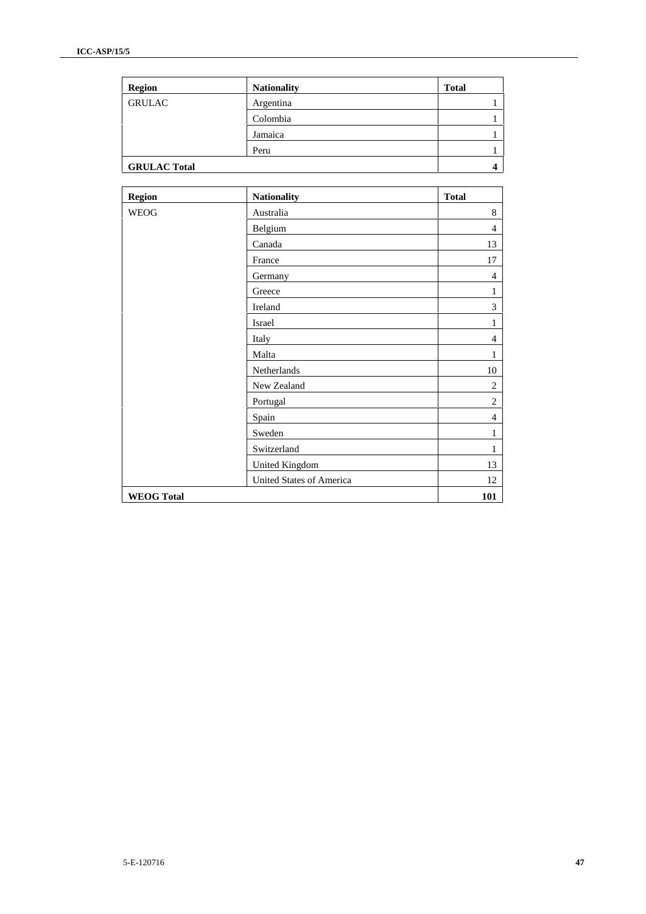| <b>Region</b>       | <b>Nationality</b> | <b>Total</b> |
|---------------------|--------------------|--------------|
| <b>GRULAC</b>       | Argentina          |              |
|                     | Colombia           |              |
|                     | Jamaica            |              |
|                     | Peru               |              |
| <b>GRULAC Total</b> |                    | 4            |

| <b>Region</b>     | <b>Nationality</b>       | <b>Total</b>   |
|-------------------|--------------------------|----------------|
| <b>WEOG</b>       | Australia                | 8              |
|                   | Belgium                  | $\overline{4}$ |
|                   | Canada                   | 13             |
|                   | France                   | 17             |
|                   | Germany                  | $\overline{4}$ |
|                   | Greece                   | 1              |
|                   | Ireland                  | 3              |
|                   | Israel                   | 1              |
|                   | Italy                    | $\overline{4}$ |
|                   | Malta                    | 1              |
|                   | Netherlands              | 10             |
|                   | New Zealand              | $\overline{2}$ |
|                   | Portugal                 | $\overline{2}$ |
|                   | Spain                    | $\overline{4}$ |
|                   | Sweden                   | $\mathbf{1}$   |
|                   | Switzerland              | 1              |
|                   | United Kingdom           | 13             |
|                   | United States of America | 12             |
| <b>WEOG Total</b> |                          | 101            |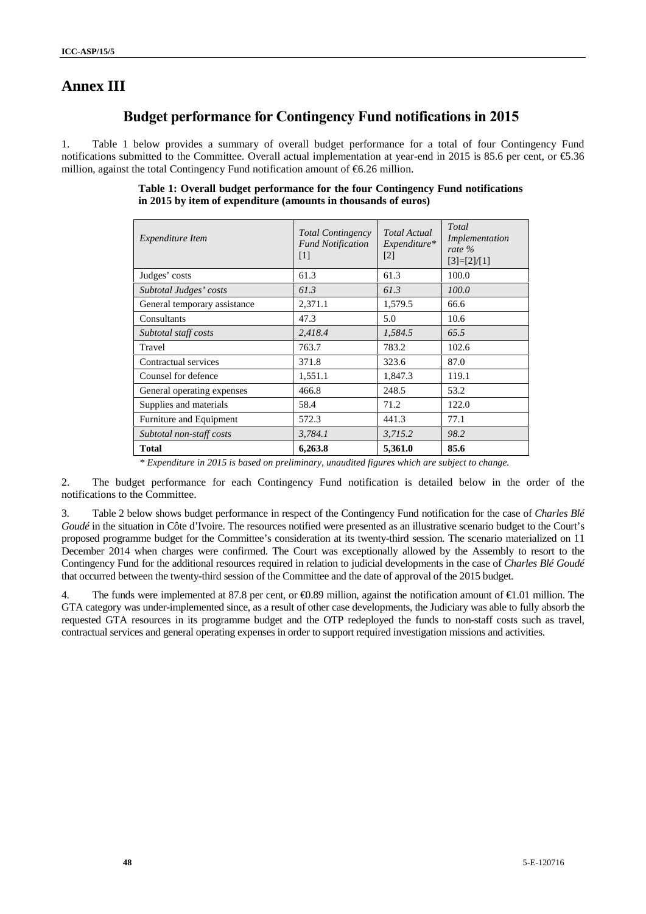## **Annex III**

## **Budget performance for Contingency Fund notifications in 2015**

1. Table 1 below provides a summary of overall budget performance for a total of four Contingency Fund notifications submitted to the Committee. Overall actual implementation at year-end in 2015 is 85.6 per cent, or €5.36 million, against the total Contingency Fund notification amount of  $66.26$  million.

| <i>Expenditure Item</i>      | <b>Total Contingency</b><br><b>Fund Notification</b><br>$\lceil 1 \rceil$ | <b>Total Actual</b><br>Expenditure*<br>$\lceil 2 \rceil$ | Total<br>Implementation<br>rate $\%$<br>$[3]=[2]/[1]$ |
|------------------------------|---------------------------------------------------------------------------|----------------------------------------------------------|-------------------------------------------------------|
| Judges' costs                | 61.3                                                                      | 61.3                                                     | 100.0                                                 |
| Subtotal Judges' costs       | 61.3                                                                      | 61.3                                                     | 100.0                                                 |
| General temporary assistance | 2,371.1                                                                   | 1,579.5                                                  | 66.6                                                  |
| Consultants                  | 47.3                                                                      | 5.0                                                      | 10.6                                                  |
| Subtotal staff costs         | 2,418.4                                                                   | 1,584.5                                                  | 65.5                                                  |
| Travel                       | 763.7                                                                     | 783.2                                                    | 102.6                                                 |
| Contractual services         | 371.8                                                                     | 323.6                                                    | 87.0                                                  |
| Counsel for defence          | 1,551.1                                                                   | 1,847.3                                                  | 119.1                                                 |
| General operating expenses   | 466.8                                                                     | 248.5                                                    | 53.2                                                  |
| Supplies and materials       | 58.4                                                                      | 71.2                                                     | 122.0                                                 |
| Furniture and Equipment      | 572.3<br>441.3                                                            |                                                          | 77.1                                                  |
| Subtotal non-staff costs     | 3,784.1                                                                   | 3,715.2                                                  | 98.2                                                  |
| Total                        | 6,263.8                                                                   | 5,361.0                                                  | 85.6                                                  |

**Table 1: Overall budget performance for the four Contingency Fund notifications in 2015 by item of expenditure (amounts in thousands of euros)**

*\* Expenditure in 2015 is based on preliminary, unaudited figures which are subject to change.*

2. The budget performance for each Contingency Fund notification is detailed below in the order of the notifications to the Committee.

3. Table 2 below shows budget performance in respect of the Contingency Fund notification for the case of *Charles Blé Goudé* in the situation in Côte d'Ivoire. The resources notified were presented as an illustrative scenario budget to the Court's proposed programme budget for the Committee's consideration at its twenty-third session. The scenario materialized on 11 December 2014 when charges were confirmed. The Court was exceptionally allowed by the Assembly to resort to the Contingency Fund for the additional resources required in relation to judicial developments in the case of *Charles Blé Goudé* that occurred between the twenty-third session of the Committee and the date of approval of the 2015 budget.

4. The funds were implemented at 87.8 per cent, or  $\Theta$ .89 million, against the notification amount of  $\Theta$ .01 million. The GTA category was under-implemented since, as a result of other case developments, the Judiciary was able to fully absorb the requested GTA resources in its programme budget and the OTP redeployed the funds to non-staff costs such as travel, contractual services and general operating expenses in order to support required investigation missions and activities.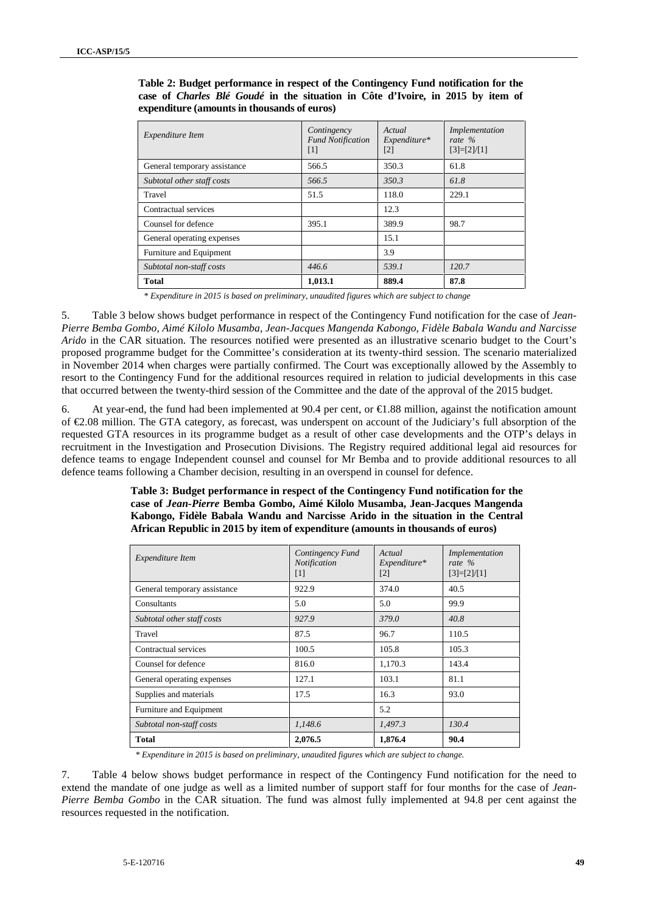| Expenditure Item             | Contingency<br><b>Fund Notification</b><br>$[1]$ | Actual<br>$Expenditure*$<br>$[2]$ | Implementation<br>rate $\%$<br>$[3]=[2]/[1]$ |
|------------------------------|--------------------------------------------------|-----------------------------------|----------------------------------------------|
| General temporary assistance | 566.5                                            | 350.3                             | 61.8                                         |
| Subtotal other staff costs   | 566.5                                            | 350.3                             | 61.8                                         |
| Travel                       | 51.5                                             | 118.0                             | 229.1                                        |
| Contractual services         |                                                  | 12.3                              |                                              |
| Counsel for defence          | 395.1                                            | 389.9                             | 98.7                                         |
| General operating expenses   |                                                  | 15.1                              |                                              |
| Furniture and Equipment      |                                                  | 3.9                               |                                              |
| Subtotal non-staff costs     | 446.6                                            | 539.1                             | 120.7                                        |
| <b>Total</b>                 | 1,013.1                                          | 889.4                             | 87.8                                         |

**Table 2: Budget performance in respect of the Contingency Fund notification for the case of** *Charles Blé Goudé* **in the situation in Côte d'Ivoire, in 2015 by item of expenditure (amounts in thousands of euros)**

*\* Expenditure in 2015 is based on preliminary, unaudited figures which are subject to change*

5. Table 3 below shows budget performance in respect of the Contingency Fund notification for the case of *Jean- Pierre Bemba Gombo, Aimé Kilolo Musamba, Jean-Jacques Mangenda Kabongo, Fidèle Babala Wandu and Narcisse Arido* in the CAR situation. The resources notified were presented as an illustrative scenario budget to the Court's proposed programme budget for the Committee's consideration at its twenty-third session. The scenario materialized in November 2014 when charges were partially confirmed. The Court was exceptionally allowed by the Assembly to resort to the Contingency Fund for the additional resources required in relation to judicial developments in this case that occurred between the twenty-third session of the Committee and the date of the approval of the 2015 budget.

6. At year-end, the fund had been implemented at 90.4 per cent, or  $\bigoplus$  8.88 million, against the notification amount of €2.08 million. The GTA category, as forecast, was underspent on account of the Judiciary's full absorption of the requested GTA resources in its programme budget as a result of other case developments and the OTP's delays in recruitment in the Investigation and Prosecution Divisions. The Registry required additional legal aid resources for defence teams to engage Independent counsel and counsel for Mr Bemba and to provide additional resources to all defence teams following a Chamber decision, resulting in an overspend in counsel for defence.

#### **Table 3: Budget performance in respect of the Contingency Fund notification for the case of** *Jean-Pierre* **Bemba Gombo, Aimé Kilolo Musamba, Jean-Jacques Mangenda Kabongo, Fidèle Babala Wandu and Narcisse Arido in the situation in the Central African Republic in 2015 by item of expenditure (amounts in thousands of euros)**

| <i>Expenditure Item</i>      | Contingency Fund<br>Notification<br>$[1]$ | Actual<br>$Expenditure*$<br>$[2]$ | Implementation<br>rate $\%$<br>$[3]=[2]/[1]$ |
|------------------------------|-------------------------------------------|-----------------------------------|----------------------------------------------|
| General temporary assistance | 922.9                                     | 374.0                             | 40.5                                         |
| Consultants                  | 5.0                                       | 5.0                               | 99.9                                         |
| Subtotal other staff costs   | 927.9                                     | 379.0                             | 40.8                                         |
| Travel                       | 87.5                                      | 96.7                              | 110.5                                        |
| Contractual services         | 100.5                                     | 105.8                             | 105.3                                        |
| Counsel for defence          | 816.0                                     | 1,170.3                           | 143.4                                        |
| General operating expenses   | 127.1                                     | 103.1                             | 81.1                                         |
| Supplies and materials       | 17.5                                      | 16.3                              | 93.0                                         |
| Furniture and Equipment      |                                           | 5.2                               |                                              |
| Subtotal non-staff costs     | 1,148.6                                   | 1,497.3                           | 130.4                                        |
| Total                        | 2,076.5                                   | 1,876.4                           | 90.4                                         |

*\* Expenditure in 2015 is based on preliminary, unaudited figures which are subject to change.*

7. Table 4 below shows budget performance in respect of the Contingency Fund notification for the need to extend the mandate of one judge as well as a limited number of support staff for four months for the case of *Jean- Pierre Bemba Gombo* in the CAR situation. The fund was almost fully implemented at 94.8 per cent against the resources requested in the notification.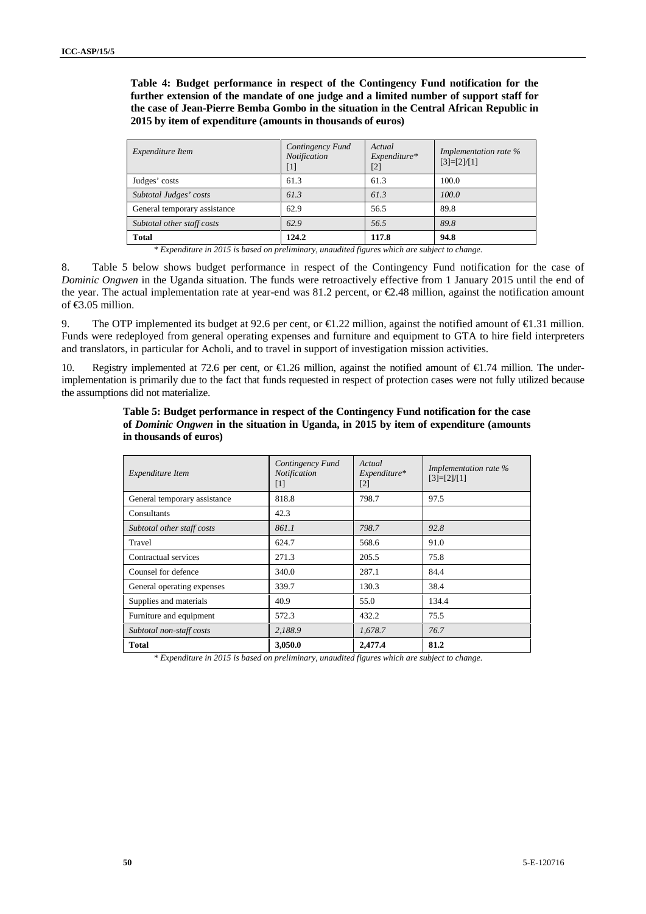**Table 4: Budget performance in respect of the Contingency Fund notification for the further extension of the mandate of one judge and a limited number of support staff for the case of Jean-Pierre Bemba Gombo in the situation in the Central African Republic in 2015 by item of expenditure (amounts in thousands of euros)**

| <i>Expenditure Item</i>      | Contingency Fund<br><b>Notification</b><br>$[1]$ | Actual<br>$Expenditure*$<br>$[2]$ | Implementation rate %<br>$[3]=[2]/[1]$ |  |
|------------------------------|--------------------------------------------------|-----------------------------------|----------------------------------------|--|
| Judges' costs                | 61.3                                             | 61.3                              | 100.0                                  |  |
| Subtotal Judges' costs       | 61.3                                             | 61.3                              | 100.0                                  |  |
| General temporary assistance | 62.9                                             | 56.5                              | 89.8                                   |  |
| Subtotal other staff costs   | 62.9                                             | 56.5                              | 89.8                                   |  |
| <b>Total</b>                 | 124.2                                            | 117.8                             | 94.8                                   |  |

*\* Expenditure in 2015 is based on preliminary, unaudited figures which are subject to change.*

8. Table 5 below shows budget performance in respect of the Contingency Fund notification for the case of *Dominic Ongwen* in the Uganda situation. The funds were retroactively effective from 1 January 2015 until the end of the year. The actual implementation rate at year-end was 81.2 percent, or €2.48 million, against the notification amount of  $$3.05$  million.

9. The OTP implemented its budget at 92.6 per cent, or  $\epsilon 1.22$  million, against the notified amount of  $\epsilon 1.31$  million. Funds were redeployed from general operating expenses and furniture and equipment to GTA to hire field interpreters and translators, in particular for Acholi, and to travel in support of investigation mission activities.

10. Registry implemented at 72.6 per cent, or €1.26 million, against the notified amount of €1.74 million. The underimplementation is primarily due to the fact that funds requested in respect of protection cases were not fully utilized because the assumptions did not materialize.

| <i>Expenditure Item</i>      | Contingency Fund<br>Notification<br>$[1]$ | Actual<br>Expenditure*<br>$[2]$ | Implementation rate %<br>$[3]=[2]/[1]$ |
|------------------------------|-------------------------------------------|---------------------------------|----------------------------------------|
| General temporary assistance | 818.8                                     | 798.7                           | 97.5                                   |
| Consultants                  | 42.3                                      |                                 |                                        |
| Subtotal other staff costs   | 861.1                                     | 798.7                           | 92.8                                   |
| Travel                       | 624.7                                     | 568.6                           | 91.0                                   |
| Contractual services         | 271.3                                     | 205.5                           | 75.8                                   |
| Counsel for defence          | 340.0                                     | 287.1                           | 84.4                                   |
| General operating expenses   | 339.7                                     | 130.3                           | 38.4                                   |
| Supplies and materials       | 40.9                                      | 55.0                            | 134.4                                  |
| Furniture and equipment      | 572.3                                     | 432.2                           | 75.5                                   |
| Subtotal non-staff costs     | 2,188.9                                   | 1,678.7                         | 76.7                                   |
| <b>Total</b>                 | 3,050.0                                   | 2,477.4                         | 81.2                                   |

**Table 5: Budget performance in respect of the Contingency Fund notification for the case of** *Dominic Ongwen* **in the situation in Uganda, in 2015 by item of expenditure (amounts in thousands of euros)**

*\* Expenditure in 2015 is based on preliminary, unaudited figures which are subject to change.*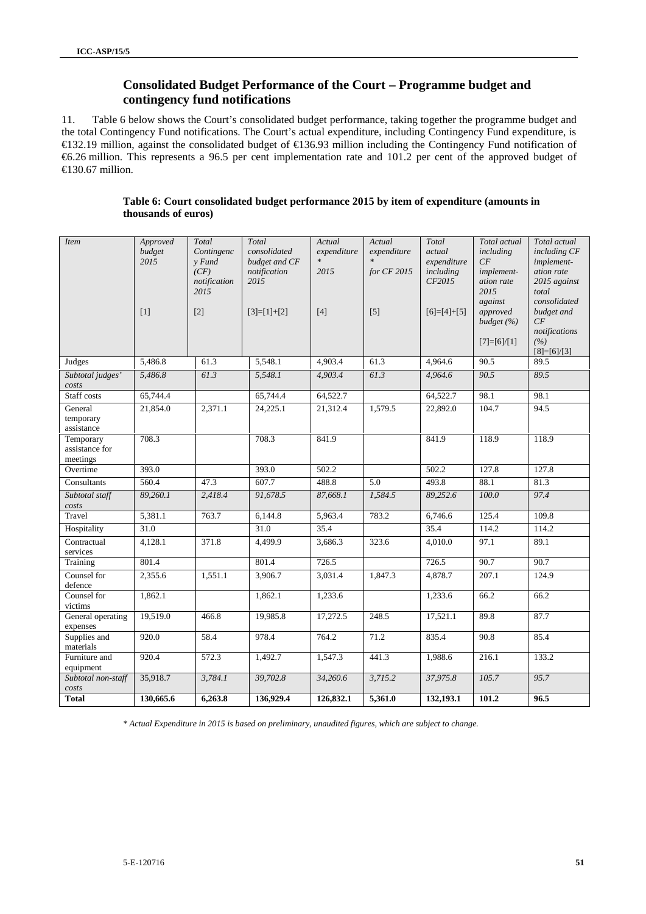## **Consolidated Budget Performance of the Court – Programme budget and contingency fund notifications**

11. Table 6 below shows the Court's consolidated budget performance, taking together the programme budget and the total Contingency Fund notifications. The Court's actual expenditure, including Contingency Fund expenditure, is €132.19 million, against the consolidated budget of €136.93 million including the Contingency Fund notification of €6.26 million. This represents a 96.5 per cent implementation rate and 101.2 per cent of the approved budget of €130.67 million.

| Table 6: Court consolidated budget performance 2015 by item of expenditure (amounts in |  |
|----------------------------------------------------------------------------------------|--|
| thousands of euros)                                                                    |  |

| <i>Item</i>                             | Approved<br>budget<br>2015<br>$[1]$ | Total<br>Contingenc<br>$v$ Fund<br>(CF)<br>notification<br>2015<br>$[2]$ | Total<br>consolidated<br>budget and CF<br>notification<br>2015<br>$[3]=[1]+[2]$ | Actual<br>expenditure<br>2015<br>$[4]$ | Actual<br>expenditure<br>for CF 2015<br>$[5]$ | Total<br>actual<br>expenditure<br>including<br>CF2015<br>$[6]=[4]+[5]$ | Total actual<br>including<br>CF<br>implement-<br>ation rate<br>2015<br>against<br>approved<br>budget (%)<br>$[7]=[6]/[1]$ | Total actual<br>including CF<br>implement-<br>ation rate<br>2015 against<br>total<br>consolidated<br>budget and<br>CF<br>notifications<br>(%)<br>$[8]=[6]/[3]$ |
|-----------------------------------------|-------------------------------------|--------------------------------------------------------------------------|---------------------------------------------------------------------------------|----------------------------------------|-----------------------------------------------|------------------------------------------------------------------------|---------------------------------------------------------------------------------------------------------------------------|----------------------------------------------------------------------------------------------------------------------------------------------------------------|
| Judges                                  | 5,486.8                             | 61.3                                                                     | 5,548.1                                                                         | 4,903.4                                | 61.3                                          | 4,964.6                                                                | 90.5                                                                                                                      | 89.5                                                                                                                                                           |
| Subtotal judges'<br>costs               | 5,486.8                             | 61.3                                                                     | 5,548.1                                                                         | 4,903.4                                | 61.3                                          | 4,964.6                                                                | 90.5                                                                                                                      | 89.5                                                                                                                                                           |
| Staff costs                             | 65,744.4                            |                                                                          | 65,744.4                                                                        | 64,522.7                               |                                               | 64,522.7                                                               | 98.1                                                                                                                      | 98.1                                                                                                                                                           |
| General<br>temporary<br>assistance      | 21,854.0                            | 2,371.1                                                                  | 24,225.1                                                                        | 21,312.4                               | 1,579.5                                       | 22,892.0                                                               | 104.7                                                                                                                     | 94.5                                                                                                                                                           |
| Temporary<br>assistance for<br>meetings | 708.3                               |                                                                          | 708.3                                                                           | 841.9                                  |                                               | 841.9                                                                  | 118.9                                                                                                                     | 118.9                                                                                                                                                          |
| Overtime                                | 393.0                               |                                                                          | 393.0                                                                           | 502.2                                  |                                               | 502.2                                                                  | 127.8                                                                                                                     | 127.8                                                                                                                                                          |
| Consultants                             | 560.4                               | 47.3                                                                     | 607.7                                                                           | 488.8                                  | 5.0                                           | 493.8                                                                  | 88.1                                                                                                                      | 81.3                                                                                                                                                           |
| Subtotal staff<br>costs                 | 89,260.1                            | 2,418.4                                                                  | 91,678.5                                                                        | 87,668.1                               | 1,584.5                                       | 89,252.6                                                               | 100.0                                                                                                                     | 97.4                                                                                                                                                           |
| Travel                                  | 5,381.1                             | 763.7                                                                    | 6,144.8                                                                         | 5.963.4                                | 783.2                                         | 6,746.6                                                                | 125.4                                                                                                                     | 109.8                                                                                                                                                          |
| Hospitality                             | $\overline{31.0}$                   |                                                                          | 31.0                                                                            | 35.4                                   |                                               | 35.4                                                                   | 114.2                                                                                                                     | 114.2                                                                                                                                                          |
| Contractual<br>services                 | 4,128.1                             | 371.8                                                                    | 4,499.9                                                                         | 3,686.3                                | 323.6                                         | 4,010.0                                                                | 97.1                                                                                                                      | 89.1                                                                                                                                                           |
| Training                                | 801.4                               |                                                                          | 801.4                                                                           | 726.5                                  |                                               | 726.5                                                                  | 90.7                                                                                                                      | 90.7                                                                                                                                                           |
| Counsel for<br>defence                  | 2,355.6                             | 1,551.1                                                                  | 3,906.7                                                                         | 3,031.4                                | 1,847.3                                       | 4,878.7                                                                | 207.1                                                                                                                     | 124.9                                                                                                                                                          |
| Counsel for<br>victims                  | 1,862.1                             |                                                                          | 1,862.1                                                                         | 1,233.6                                |                                               | 1,233.6                                                                | 66.2                                                                                                                      | 66.2                                                                                                                                                           |
| General operating<br>expenses           | 19,519.0                            | 466.8                                                                    | 19,985.8                                                                        | 17,272.5                               | 248.5                                         | 17,521.1                                                               | 89.8                                                                                                                      | 87.7                                                                                                                                                           |
| Supplies and<br>materials               | 920.0                               | 58.4                                                                     | 978.4                                                                           | 764.2                                  | 71.2                                          | 835.4                                                                  | 90.8                                                                                                                      | 85.4                                                                                                                                                           |
| Furniture and<br>equipment              | 920.4                               | 572.3                                                                    | 1,492.7                                                                         | 1,547.3                                | 441.3                                         | 1,988.6                                                                | 216.1                                                                                                                     | 133.2                                                                                                                                                          |
| Subtotal non-staff<br>costs             | 35,918.7                            | 3,784.1                                                                  | 39,702.8                                                                        | 34,260.6                               | 3,715.2                                       | 37,975.8                                                               | 105.7                                                                                                                     | 95.7                                                                                                                                                           |
| <b>Total</b>                            | 130,665.6                           | 6,263.8                                                                  | 136,929.4                                                                       | 126,832.1                              | 5,361.0                                       | 132,193.1                                                              | 101.2                                                                                                                     | 96.5                                                                                                                                                           |

*\* Actual Expenditure in 2015 is based on preliminary, unaudited figures, which are subject to change.*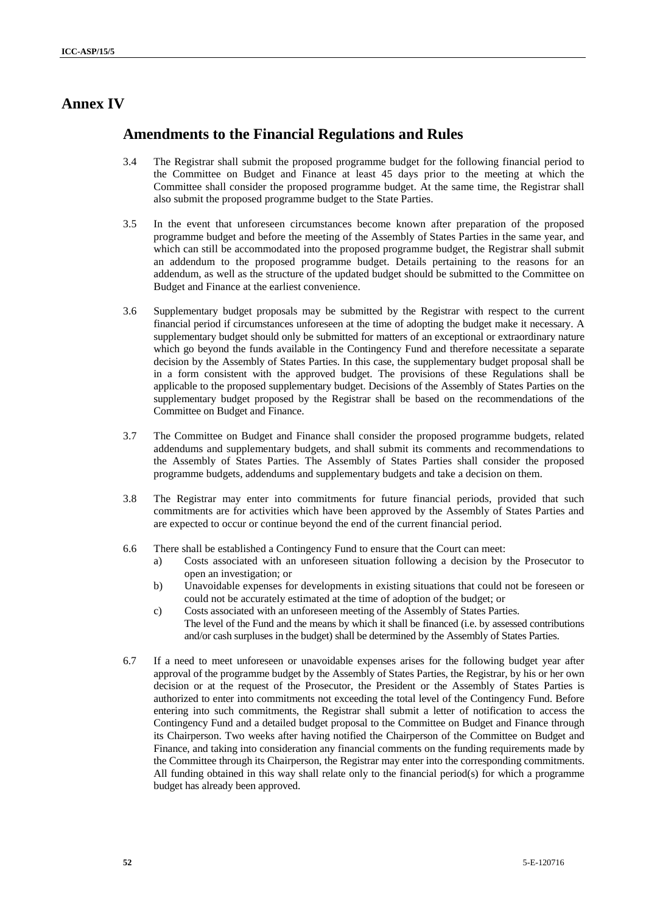## **Annex IV**

## **Amendments to the Financial Regulations and Rules**

- 3.4 The Registrar shall submit the proposed programme budget for the following financial period to the Committee on Budget and Finance at least 45 days prior to the meeting at which the Committee shall consider the proposed programme budget. At the same time, the Registrar shall also submit the proposed programme budget to the State Parties.
- 3.5 In the event that unforeseen circumstances become known after preparation of the proposed programme budget and before the meeting of the Assembly of States Parties in the same year, and which can still be accommodated into the proposed programme budget, the Registrar shall submit an addendum to the proposed programme budget. Details pertaining to the reasons for an addendum, as well as the structure of the updated budget should be submitted to the Committee on Budget and Finance at the earliest convenience.
- 3.6 Supplementary budget proposals may be submitted by the Registrar with respect to the current financial period if circumstances unforeseen at the time of adopting the budget make it necessary. A supplementary budget should only be submitted for matters of an exceptional or extraordinary nature which go beyond the funds available in the Contingency Fund and therefore necessitate a separate decision by the Assembly of States Parties. In this case, the supplementary budget proposal shall be in a form consistent with the approved budget. The provisions of these Regulations shall be applicable to the proposed supplementary budget. Decisions of the Assembly of States Parties on the supplementary budget proposed by the Registrar shall be based on the recommendations of the Committee on Budget and Finance.
- 3.7 The Committee on Budget and Finance shall consider the proposed programme budgets, related addendums and supplementary budgets, and shall submit its comments and recommendations to the Assembly of States Parties. The Assembly of States Parties shall consider the proposed programme budgets, addendums and supplementary budgets and take a decision on them.
- 3.8 The Registrar may enter into commitments for future financial periods, provided that such commitments are for activities which have been approved by the Assembly of States Parties and are expected to occur or continue beyond the end of the current financial period.
- 6.6 There shall be established a Contingency Fund to ensure that the Court can meet:
	- a) Costs associated with an unforeseen situation following a decision by the Prosecutor to open an investigation; or
	- b) Unavoidable expenses for developments in existing situations that could not be foreseen or could not be accurately estimated at the time of adoption of the budget; or
	- c) Costs associated with an unforeseen meeting of the Assembly of States Parties. The level of the Fund and the means by which it shall be financed (i.e. by assessed contributions and/or cash surpluses in the budget) shall be determined by the Assembly of States Parties.
- 6.7 If a need to meet unforeseen or unavoidable expenses arises for the following budget year after approval of the programme budget by the Assembly of States Parties, the Registrar, by his or her own decision or at the request of the Prosecutor, the President or the Assembly of States Parties is authorized to enter into commitments not exceeding the total level of the Contingency Fund. Before entering into such commitments, the Registrar shall submit a letter of notification to access the Contingency Fund and a detailed budget proposal to the Committee on Budget and Finance through its Chairperson. Two weeks after having notified the Chairperson of the Committee on Budget and Finance, and taking into consideration any financial comments on the funding requirements made by the Committee through its Chairperson, the Registrar may enter into the corresponding commitments. All funding obtained in this way shall relate only to the financial period(s) for which a programme budget has already been approved.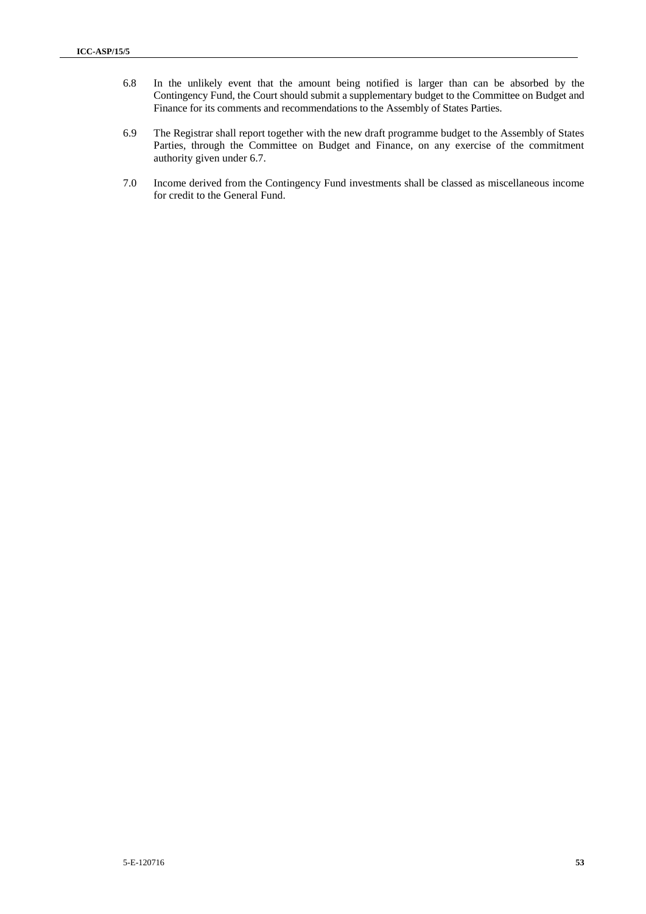- 6.8 In the unlikely event that the amount being notified is larger than can be absorbed by the Contingency Fund, the Court should submit a supplementary budget to the Committee on Budget and Finance for its comments and recommendations to the Assembly of States Parties.
- 6.9 The Registrar shall report together with the new draft programme budget to the Assembly of States Parties, through the Committee on Budget and Finance, on any exercise of the commitment authority given under 6.7.
- 7.0 Income derived from the Contingency Fund investments shall be classed as miscellaneous income for credit to the General Fund.